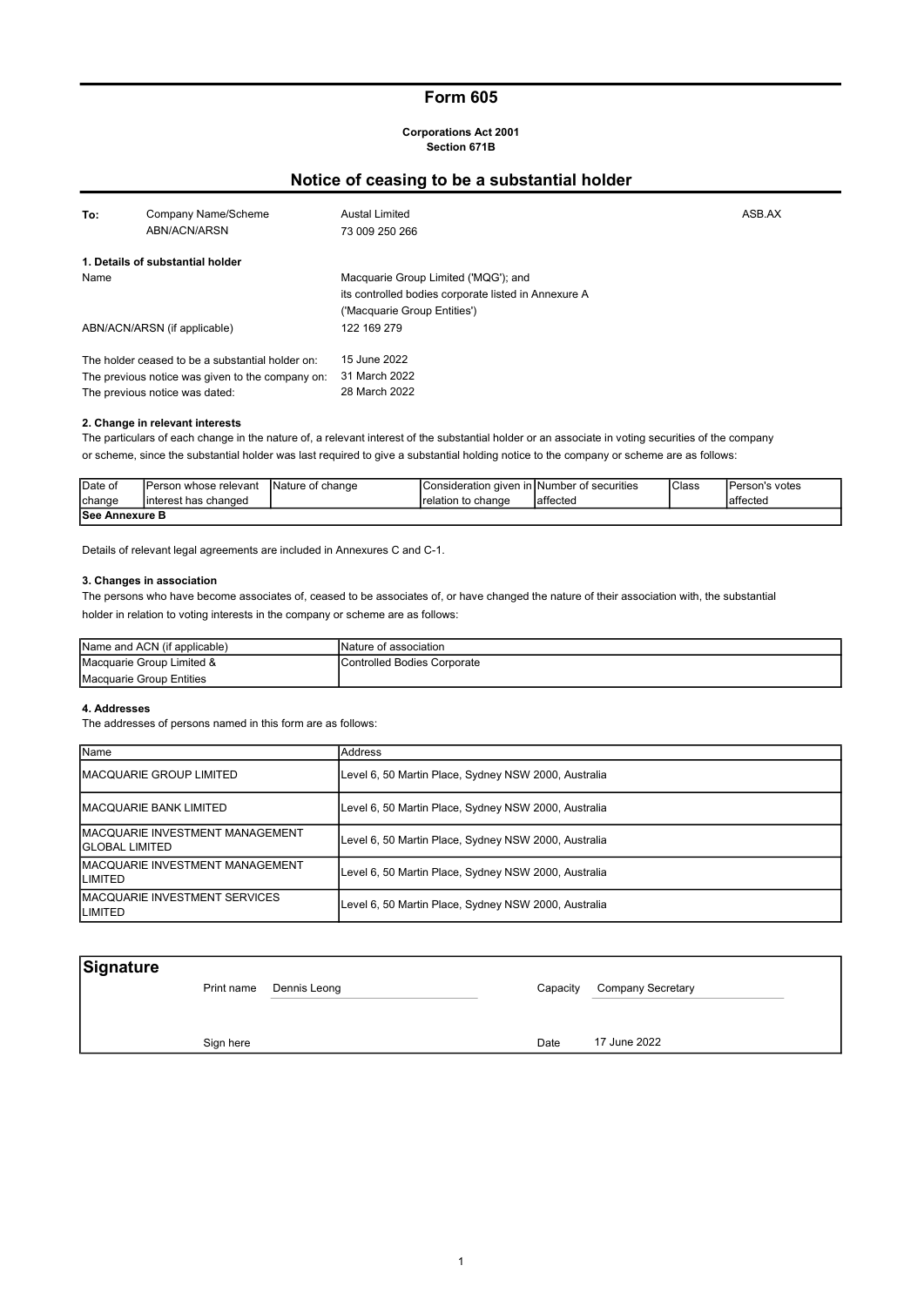# Form 605

#### Corporations Act 2001 Section 671B

#### To: Company Name/Scheme **Austal Limited** ASB.AX **ASB.AX** 73 009 250 266 1. Details of substantial holder Name Macquarie Group Limited ('MQG'); and its controlled bodies corporate listed in Annexure A ('Macquarie Group Entities') ABN/ACN/ARSN (if applicable) 122 169 279 The holder ceased to be a substantial holder on: The previous notice was given to the company on: The previous notice was dated: ABN/ACN/ARSN 31 March 2022 28 March 2022 15 June 2022 Notice of ceasing to be a substantial holder

#### 2. Change in relevant interests

The particulars of each change in the nature of, a relevant interest of the substantial holder or an associate in voting securities of the company or scheme, since the substantial holder was last required to give a substantial holding notice to the company or scheme are as follows:

| <b>IDate of</b>        | IPerson whose relevant | Nature of change | IConsideration given inTNumber of securities |           | <sup>'</sup> Class | lPerson's votes |
|------------------------|------------------------|------------------|----------------------------------------------|-----------|--------------------|-----------------|
| <b>I</b> change        | linterest has changed  |                  | Irelation to change                          | laffected |                    | affected        |
| <b>ISee Annexure B</b> |                        |                  |                                              |           |                    |                 |

Details of relevant legal agreements are included in Annexures C and C-1.

#### 3. Changes in association

The persons who have become associates of, ceased to be associates of, or have changed the nature of their association with, the substantial holder in relation to voting interests in the company or scheme are as follows:

| Name and ACN (if applicable) | INature of association       |
|------------------------------|------------------------------|
| Macquarie Group Limited &    | lControlled Bodies Corporate |
| Macquarie Group Entities     |                              |

#### 4. Addresses

The addresses of persons named in this form are as follows:

| Name                                                       | Address                                              |
|------------------------------------------------------------|------------------------------------------------------|
| <b>MACQUARIE GROUP LIMITED</b>                             | Level 6, 50 Martin Place, Sydney NSW 2000, Australia |
| <b>MACQUARIE BANK LIMITED</b>                              | Level 6, 50 Martin Place, Sydney NSW 2000, Australia |
| <b>IMACQUARIE INVESTMENT MANAGEMENT</b><br>IGLOBAL LIMITED | Level 6, 50 Martin Place, Sydney NSW 2000, Australia |
| <b>IMACQUARIE INVESTMENT MANAGEMENT</b><br><b>ILIMITED</b> | Level 6, 50 Martin Place, Sydney NSW 2000, Australia |
| <b>IMACQUARIE INVESTMENT SERVICES</b><br><b>ILIMITED</b>   | Level 6, 50 Martin Place, Sydney NSW 2000, Australia |

| Signature |            |              |          |                   |  |
|-----------|------------|--------------|----------|-------------------|--|
|           | Print name | Dennis Leong | Capacity | Company Secretary |  |
|           |            |              |          |                   |  |
|           |            |              |          |                   |  |
|           | Sign here  |              | Date     | 17 June 2022      |  |
|           |            |              |          |                   |  |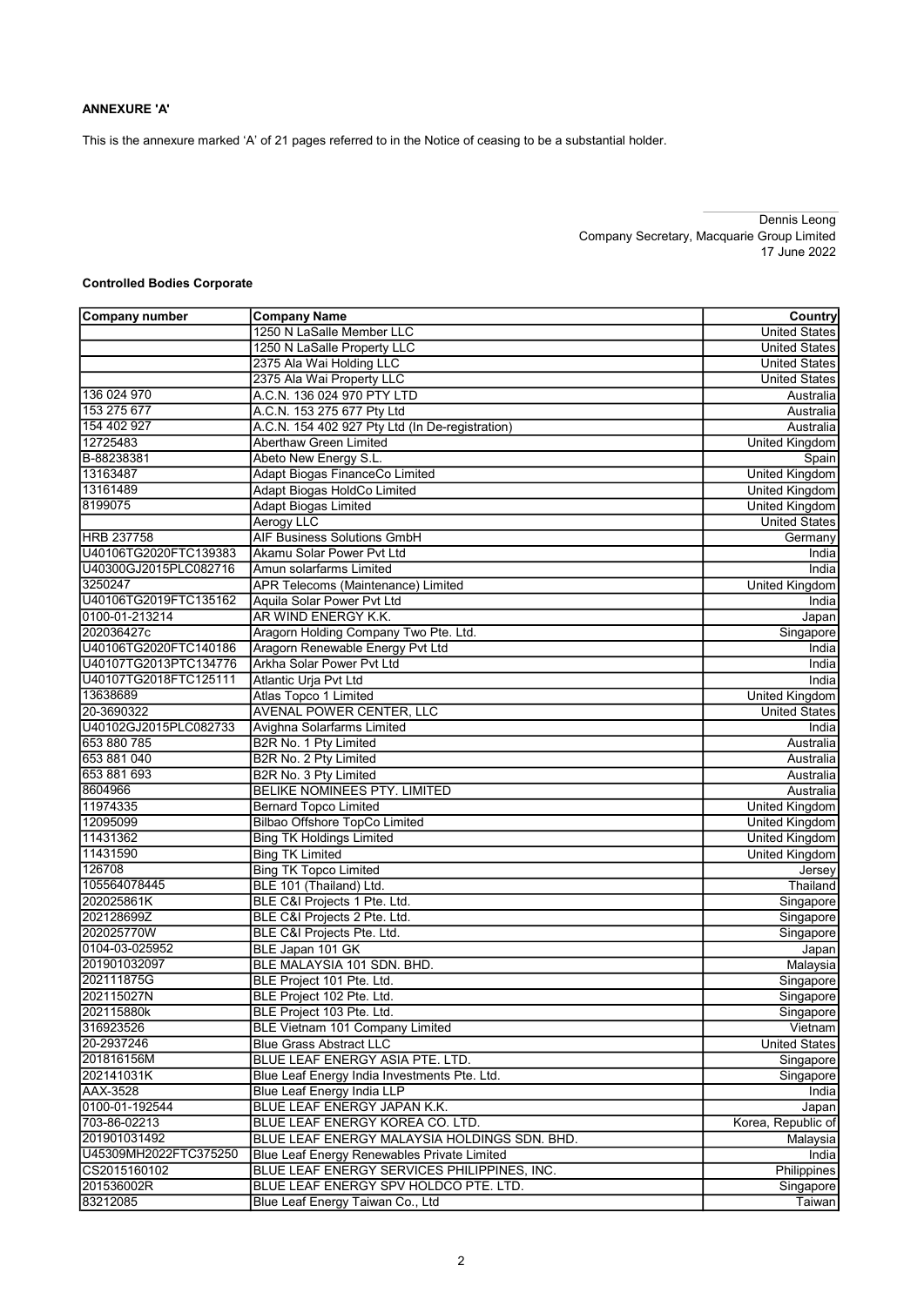This is the annexure marked 'A' of 21 pages referred to in the Notice of ceasing to be a substantial holder.

Dennis Leong Company Secretary, Macquarie Group Limited 17 June 2022

## Controlled Bodies Corporate

| Company number        | <b>Company Name</b>                             | Country               |
|-----------------------|-------------------------------------------------|-----------------------|
|                       | 1250 N LaSalle Member LLC                       | <b>United States</b>  |
|                       | 1250 N LaSalle Property LLC                     | <b>United States</b>  |
|                       | 2375 Ala Wai Holding LLC                        | <b>United States</b>  |
|                       | 2375 Ala Wai Property LLC                       | <b>United States</b>  |
| 136 024 970           | A.C.N. 136 024 970 PTY LTD                      | Australia             |
| 153 275 677           | A.C.N. 153 275 677 Pty Ltd                      | Australia             |
| 154 402 927           | A.C.N. 154 402 927 Pty Ltd (In De-registration) | Australia             |
| 12725483              | Aberthaw Green Limited                          | <b>United Kingdom</b> |
| B-88238381            | Abeto New Energy S.L.                           | Spain                 |
| 13163487              | Adapt Biogas FinanceCo Limited                  | United Kingdom        |
| 13161489              | Adapt Biogas HoldCo Limited                     | United Kingdom        |
| 8199075               | <b>Adapt Biogas Limited</b>                     | <b>United Kingdom</b> |
|                       | <b>Aerogy LLC</b>                               | <b>United States</b>  |
| <b>HRB 237758</b>     | <b>AIF Business Solutions GmbH</b>              | Germany               |
| U40106TG2020FTC139383 | Akamu Solar Power Pvt Ltd                       | India                 |
| U40300GJ2015PLC082716 | Amun solarfarms Limited                         | India                 |
| 3250247               | APR Telecoms (Maintenance) Limited              | United Kingdom        |
| U40106TG2019FTC135162 | Aquila Solar Power Pvt Ltd                      | India                 |
| 0100-01-213214        | AR WIND ENERGY K.K.                             | Japan                 |
| 202036427c            | Aragorn Holding Company Two Pte. Ltd.           | Singapore             |
| U40106TG2020FTC140186 | Aragorn Renewable Energy Pvt Ltd                | India                 |
| U40107TG2013PTC134776 | Arkha Solar Power Pvt Ltd                       | India                 |
| U40107TG2018FTC125111 | Atlantic Urja Pvt Ltd                           | India                 |
| 13638689              | Atlas Topco 1 Limited                           | <b>United Kingdom</b> |
| 20-3690322            | AVENAL POWER CENTER, LLC                        | <b>United States</b>  |
| U40102GJ2015PLC082733 | Avighna Solarfarms Limited                      | India                 |
| 653 880 785           | B2R No. 1 Pty Limited                           | Australia             |
| 653 881 040           | B2R No. 2 Pty Limited                           | Australia             |
| 653 881 693           | B2R No. 3 Pty Limited                           | Australia             |
| 8604966               | BELIKE NOMINEES PTY. LIMITED                    | Australia             |
| 11974335              | <b>Bernard Topco Limited</b>                    | <b>United Kingdom</b> |
| 12095099              | Bilbao Offshore TopCo Limited                   | United Kingdom        |
| 11431362              | <b>Bing TK Holdings Limited</b>                 | United Kingdom        |
| 11431590              | <b>Bing TK Limited</b>                          | United Kingdom        |
| 126708                | <b>Bing TK Topco Limited</b>                    | Jersey                |
| 105564078445          | BLE 101 (Thailand) Ltd.                         | Thailand              |
| 202025861K            | BLE C&I Projects 1 Pte. Ltd.                    | Singapore             |
| 202128699Z            | BLE C&I Projects 2 Pte. Ltd.                    | Singapore             |
| 202025770W            | BLE C&I Projects Pte. Ltd.                      | Singapore             |
| 0104-03-025952        | BLE Japan 101 GK                                | Japan                 |
| 201901032097          | BLE MALAYSIA 101 SDN. BHD.                      | Malaysia              |
| 202111875G            | BLE Project 101 Pte. Ltd.                       | Singapore             |
| 202115027N            | BLE Project 102 Pte. Ltd.                       | Singapore             |
| 202115880k            | BLE Project 103 Pte. Ltd.                       | Singapore             |
| 316923526             | BLE Vietnam 101 Company Limited                 | Vietnam               |
| 20-2937246            | <b>Blue Grass Abstract LLC</b>                  | <b>United States</b>  |
| 201816156M            | BLUE LEAF ENERGY ASIA PTE. LTD.                 | Singapore             |
| 202141031K            | Blue Leaf Energy India Investments Pte. Ltd.    | Singapore             |
| <b>AAX-3528</b>       | Blue Leaf Energy India LLP                      | India                 |
| 0100-01-192544        | BLUE LEAF ENERGY JAPAN K.K.                     | Japan                 |
| 703-86-02213          | BLUE LEAF ENERGY KOREA CO. LTD.                 | Korea, Republic of    |
| 201901031492          | BLUE LEAF ENERGY MALAYSIA HOLDINGS SDN. BHD.    | Malaysia              |
| U45309MH2022FTC375250 | Blue Leaf Energy Renewables Private Limited     | India                 |
| CS2015160102          | BLUE LEAF ENERGY SERVICES PHILIPPINES, INC.     | Philippines           |
| 201536002R            | BLUE LEAF ENERGY SPV HOLDCO PTE. LTD.           | Singapore             |
| 83212085              | Blue Leaf Energy Taiwan Co., Ltd                | Taiwan                |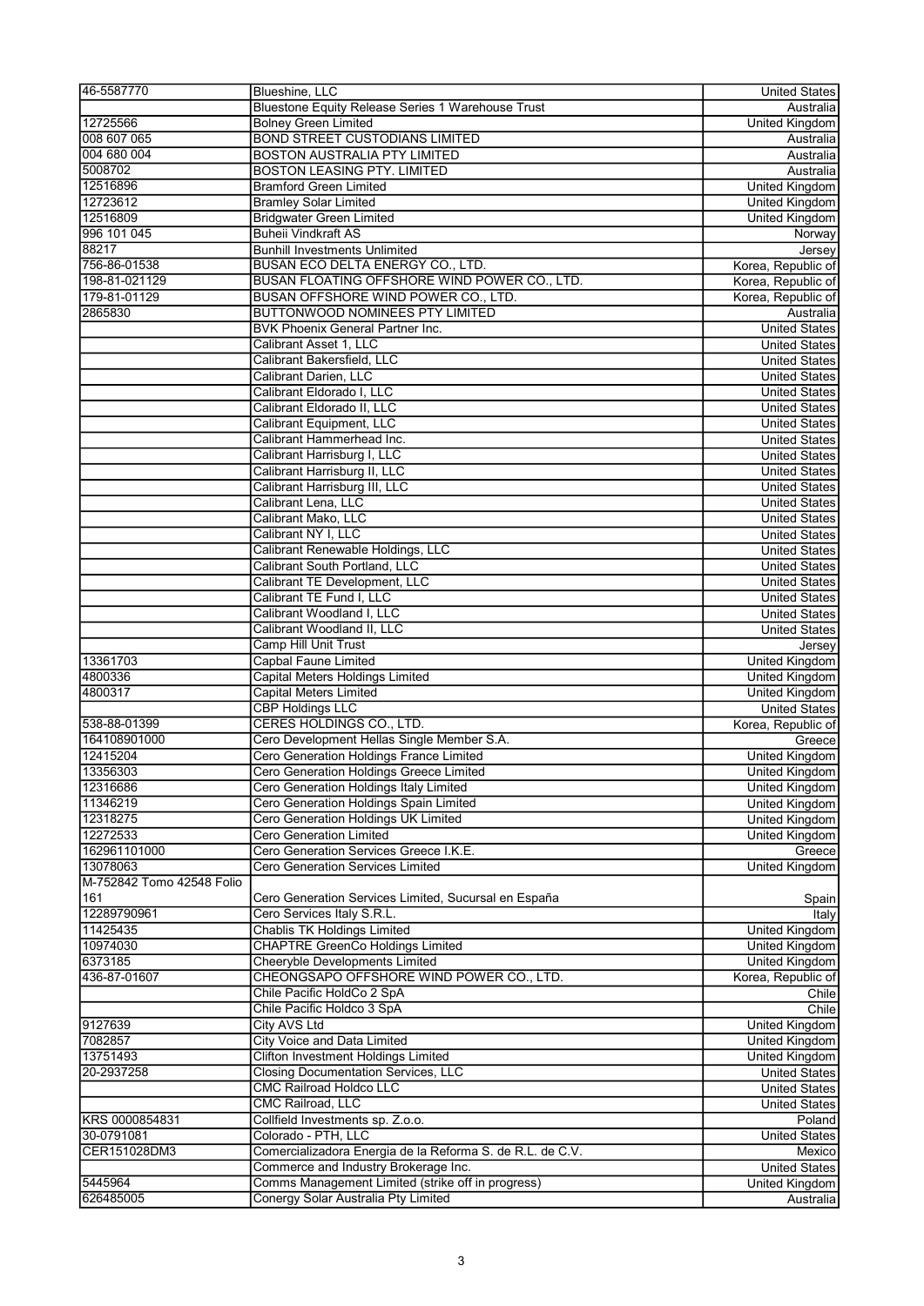| 46-5587770                | Blueshine, LLC                                            | <b>United States</b>  |
|---------------------------|-----------------------------------------------------------|-----------------------|
|                           | Bluestone Equity Release Series 1 Warehouse Trust         | Australia             |
| 12725566                  | <b>Bolney Green Limited</b>                               | United Kingdom        |
| 008 607 065               | <b>BOND STREET CUSTODIANS LIMITED</b>                     | Australia             |
| 004 680 004               | <b>BOSTON AUSTRALIA PTY LIMITED</b>                       | Australia             |
| 5008702                   | <b>BOSTON LEASING PTY. LIMITED</b>                        | Australia             |
| 12516896                  | <b>Bramford Green Limited</b>                             | <b>United Kingdom</b> |
| 12723612                  | <b>Bramley Solar Limited</b>                              | <b>United Kingdom</b> |
| 12516809                  | <b>Bridgwater Green Limited</b>                           | United Kingdom        |
| 996 101 045               | <b>Buheii Vindkraft AS</b>                                | Norway                |
| 88217                     | <b>Bunhill Investments Unlimited</b>                      | Jersey                |
| 756-86-01538              | BUSAN ECO DELTA ENERGY CO., LTD.                          | Korea, Republic of    |
| 198-81-021129             | BUSAN FLOATING OFFSHORE WIND POWER CO., LTD.              |                       |
|                           |                                                           | Korea, Republic of    |
| 179-81-01129              | <b>BUSAN OFFSHORE WIND POWER CO., LTD.</b>                | Korea, Republic of    |
| 2865830                   | <b>BUTTONWOOD NOMINEES PTY LIMITED</b>                    | Australia             |
|                           | <b>BVK Phoenix General Partner Inc.</b>                   | <b>United States</b>  |
|                           | Calibrant Asset 1, LLC                                    | <b>United States</b>  |
|                           | Calibrant Bakersfield, LLC                                | <b>United States</b>  |
|                           | Calibrant Darien, LLC                                     | <b>United States</b>  |
|                           | Calibrant Eldorado I, LLC                                 | <b>United States</b>  |
|                           | Calibrant Eldorado II, LLC                                | <b>United States</b>  |
|                           | <b>Calibrant Equipment, LLC</b>                           | <b>United States</b>  |
|                           | Calibrant Hammerhead Inc.                                 | <b>United States</b>  |
|                           | Calibrant Harrisburg I, LLC                               | <b>United States</b>  |
|                           | Calibrant Harrisburg II, LLC                              | <b>United States</b>  |
|                           | Calibrant Harrisburg III, LLC                             | <b>United States</b>  |
|                           | Calibrant Lena, LLC                                       | <b>United States</b>  |
|                           | Calibrant Mako, LLC                                       | <b>United States</b>  |
|                           | Calibrant NY I, LLC                                       |                       |
|                           |                                                           | <b>United States</b>  |
|                           | Calibrant Renewable Holdings, LLC                         | <b>United States</b>  |
|                           | Calibrant South Portland, LLC                             | <b>United States</b>  |
|                           | Calibrant TE Development, LLC                             | <b>United States</b>  |
|                           | Calibrant TE Fund I, LLC                                  | <b>United States</b>  |
|                           | Calibrant Woodland I, LLC                                 | <b>United States</b>  |
|                           | Calibrant Woodland II, LLC                                | <b>United States</b>  |
|                           | Camp Hill Unit Trust                                      | Jersey                |
| 13361703                  | <b>Capbal Faune Limited</b>                               | <b>United Kingdom</b> |
| 4800336                   | Capital Meters Holdings Limited                           | United Kingdom        |
| 4800317                   | <b>Capital Meters Limited</b>                             | United Kingdom        |
|                           | <b>CBP Holdings LLC</b>                                   | <b>United States</b>  |
| 538-88-01399              | CERES HOLDINGS CO., LTD.                                  | Korea, Republic of    |
| 164108901000              | Cero Development Hellas Single Member S.A.                | Greece                |
| 12415204                  | Cero Generation Holdings France Limited                   | United Kingdom        |
| 13356303                  | Cero Generation Holdings Greece Limited                   | United Kingdom        |
|                           |                                                           |                       |
| 12316686                  | Cero Generation Holdings Italy Limited                    | <b>United Kingdom</b> |
| 11346219                  | Cero Generation Holdings Spain Limited                    | <b>United Kingdom</b> |
| 12318275                  | Cero Generation Holdings UK Limited                       | United Kingdom        |
| 12272533                  | Cero Generation Limited                                   | United Kingdom        |
| 162961101000              | Cero Generation Services Greece I.K.E.                    | Greece                |
| 13078063                  | Cero Generation Services Limited                          | <b>United Kingdom</b> |
| M-752842 Tomo 42548 Folio |                                                           |                       |
| 161                       | Cero Generation Services Limited, Sucursal en España      | Spain                 |
| 12289790961               | Cero Services Italy S.R.L.                                | Italy                 |
| 11425435                  | Chablis TK Holdings Limited                               | <b>United Kingdom</b> |
| 10974030                  | <b>CHAPTRE GreenCo Holdings Limited</b>                   | <b>United Kingdom</b> |
| 6373185                   | Cheeryble Developments Limited                            | <b>United Kingdom</b> |
| 436-87-01607              | CHEONGSAPO OFFSHORE WIND POWER CO., LTD.                  | Korea, Republic of    |
|                           | Chile Pacific HoldCo 2 SpA                                | Chile                 |
|                           | Chile Pacific Holdco 3 SpA                                | Chile                 |
| 9127639                   | <b>City AVS Ltd</b>                                       | <b>United Kingdom</b> |
|                           | <b>City Voice and Data Limited</b>                        |                       |
| 7082857<br>13751493       | <b>Clifton Investment Holdings Limited</b>                | United Kingdom        |
|                           |                                                           | United Kingdom        |
| 20-2937258                | <b>Closing Documentation Services, LLC</b>                | <b>United States</b>  |
|                           | <b>CMC Railroad Holdco LLC</b>                            | United States         |
|                           | CMC Railroad, LLC                                         | <b>United States</b>  |
| KRS 0000854831            | Collfield Investments sp. Z.o.o.                          | Poland                |
| 30-0791081                | Colorado - PTH, LLC                                       | <b>United States</b>  |
| CER151028DM3              | Comercializadora Energia de la Reforma S. de R.L. de C.V. | Mexico                |
|                           | Commerce and Industry Brokerage Inc.                      | <b>United States</b>  |
| 5445964                   | Comms Management Limited (strike off in progress)         | United Kingdom        |
| 626485005                 | Conergy Solar Australia Pty Limited                       | Australia             |
|                           |                                                           |                       |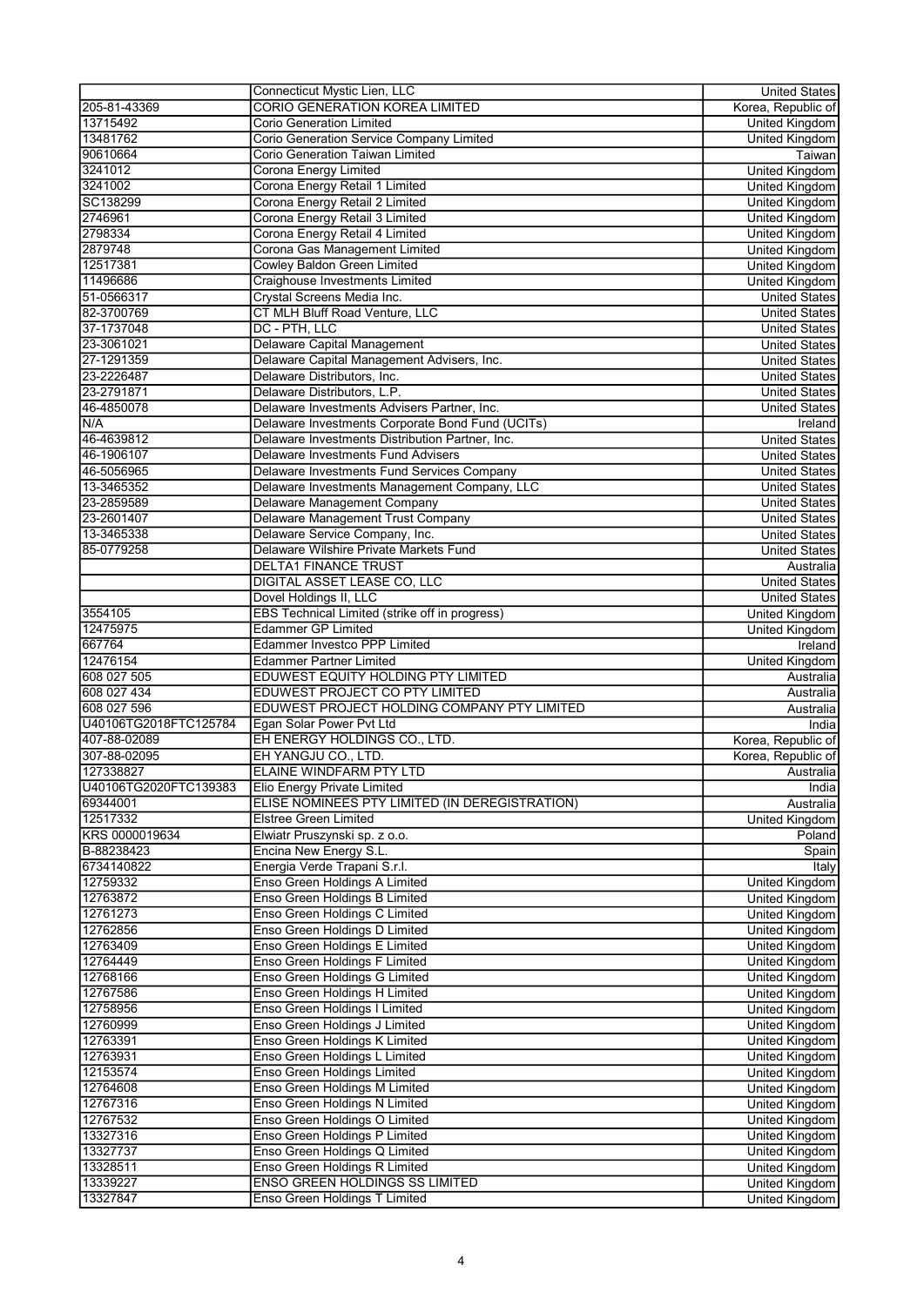|                       | Connecticut Mystic Lien, LLC                     | <b>United States</b>  |
|-----------------------|--------------------------------------------------|-----------------------|
| 205-81-43369          | <b>CORIO GENERATION KOREA LIMITED</b>            | Korea, Republic of    |
| 13715492              | <b>Corio Generation Limited</b>                  | <b>United Kingdom</b> |
| 13481762              | Corio Generation Service Company Limited         | <b>United Kingdom</b> |
| 90610664              | Corio Generation Taiwan Limited                  | Taiwan                |
| 3241012               | Corona Energy Limited                            | United Kingdom        |
| 3241002               | Corona Energy Retail 1 Limited                   | United Kingdom        |
| SC138299              | Corona Energy Retail 2 Limited                   | United Kingdom        |
| 2746961               | Corona Energy Retail 3 Limited                   | United Kingdom        |
| 2798334               | Corona Energy Retail 4 Limited                   |                       |
|                       |                                                  | United Kingdom        |
| 2879748               | Corona Gas Management Limited                    | <b>United Kingdom</b> |
| 12517381              | <b>Cowley Baldon Green Limited</b>               | <b>United Kingdom</b> |
| 11496686              | Craighouse Investments Limited                   | United Kingdom        |
| 51-0566317            | Crystal Screens Media Inc.                       | <b>United States</b>  |
| 82-3700769            | CT MLH Bluff Road Venture, LLC                   | <b>United States</b>  |
| 37-1737048            | DC - PTH, LLC                                    | <b>United States</b>  |
| 23-3061021            | Delaware Capital Management                      | <b>United States</b>  |
| 27-1291359            | Delaware Capital Management Advisers, Inc.       | <b>United States</b>  |
| 23-2226487            | Delaware Distributors, Inc.                      | <b>United States</b>  |
| 23-2791871            | Delaware Distributors, L.P.                      | <b>United States</b>  |
| 46-4850078            | Delaware Investments Advisers Partner, Inc.      | <b>United States</b>  |
| N/A                   | Delaware Investments Corporate Bond Fund (UCITs) | Ireland               |
| 46-4639812            | Delaware Investments Distribution Partner, Inc.  | <b>United States</b>  |
| 46-1906107            | Delaware Investments Fund Advisers               | <b>United States</b>  |
| 46-5056965            | Delaware Investments Fund Services Company       | <b>United States</b>  |
| 13-3465352            | Delaware Investments Management Company, LLC     | <b>United States</b>  |
| 23-2859589            | Delaware Management Company                      | <b>United States</b>  |
|                       |                                                  |                       |
| 23-2601407            | Delaware Management Trust Company                | <b>United States</b>  |
| 13-3465338            | Delaware Service Company, Inc.                   | United States         |
| 85-0779258            | Delaware Wilshire Private Markets Fund           | <b>United States</b>  |
|                       | <b>DELTA1 FINANCE TRUST</b>                      | Australia             |
|                       | <b>DIGITAL ASSET LEASE CO, LLC</b>               | <b>United States</b>  |
|                       | Dovel Holdings II, LLC                           | <b>United States</b>  |
| 3554105               | EBS Technical Limited (strike off in progress)   | United Kingdom        |
| 12475975              | <b>Edammer GP Limited</b>                        | <b>United Kingdom</b> |
| 667764                | <b>Edammer Investco PPP Limited</b>              | Ireland               |
| 12476154              | Edammer Partner Limited                          | United Kingdom        |
| 608 027 505           | EDUWEST EQUITY HOLDING PTY LIMITED               | Australia             |
| 608 027 434           | EDUWEST PROJECT CO PTY LIMITED                   | Australia             |
| 608 027 596           | EDUWEST PROJECT HOLDING COMPANY PTY LIMITED      | Australia             |
| U40106TG2018FTC125784 | Egan Solar Power Pvt Ltd                         | India                 |
| 407-88-02089          | EH ENERGY HOLDINGS CO., LTD.                     | Korea, Republic of    |
| 307-88-02095          | EH YANGJU CO., LTD.                              | Korea, Republic of    |
| 127338827             | ELAINE WINDFARM PTY LTD                          |                       |
|                       |                                                  | Australia             |
| U40106TG2020FTC139383 | Elio Energy Private Limited                      | India                 |
| 69344001              | ELISE NOMINEES PTY LIMITED (IN DEREGISTRATION)   | Australia             |
| 12517332              | <b>Elstree Green Limited</b>                     | United Kingdom        |
| KRS 0000019634        | Elwiatr Pruszynski sp. z o.o.                    | Poland                |
| B-88238423            | Encina New Energy S.L.                           | Spain                 |
| 6734140822            | Energia Verde Trapani S.r.l.                     | Italy                 |
| 12759332              | Enso Green Holdings A Limited                    | United Kingdom        |
| 12763872              | Enso Green Holdings B Limited                    | <b>United Kingdom</b> |
| 12761273              | Enso Green Holdings C Limited                    | <b>United Kingdom</b> |
| 12762856              | Enso Green Holdings D Limited                    | United Kingdom        |
| 12763409              | Enso Green Holdings E Limited                    | United Kingdom        |
| 12764449              | Enso Green Holdings F Limited                    | United Kingdom        |
| 12768166              | Enso Green Holdings G Limited                    | <b>United Kingdom</b> |
| 12767586              | Enso Green Holdings H Limited                    | United Kingdom        |
| 12758956              | Enso Green Holdings I Limited                    | <b>United Kingdom</b> |
| 12760999              | Enso Green Holdings J Limited                    | <b>United Kingdom</b> |
|                       |                                                  |                       |
| 12763391              | Enso Green Holdings K Limited                    | United Kingdom        |
| 12763931              | Enso Green Holdings L Limited                    | <b>United Kingdom</b> |
| 12153574              | Enso Green Holdings Limited                      | United Kingdom        |
| 12764608              | Enso Green Holdings M Limited                    | United Kingdom        |
| 12767316              | Enso Green Holdings N Limited                    | <b>United Kingdom</b> |
| 12767532              | Enso Green Holdings O Limited                    | <b>United Kingdom</b> |
| 13327316              | Enso Green Holdings P Limited                    | <b>United Kingdom</b> |
| 13327737              | Enso Green Holdings Q Limited                    | United Kingdom        |
| 13328511              | Enso Green Holdings R Limited                    | United Kingdom        |
| 13339227              | <b>ENSO GREEN HOLDINGS SS LIMITED</b>            | <b>United Kingdom</b> |
| 13327847              |                                                  |                       |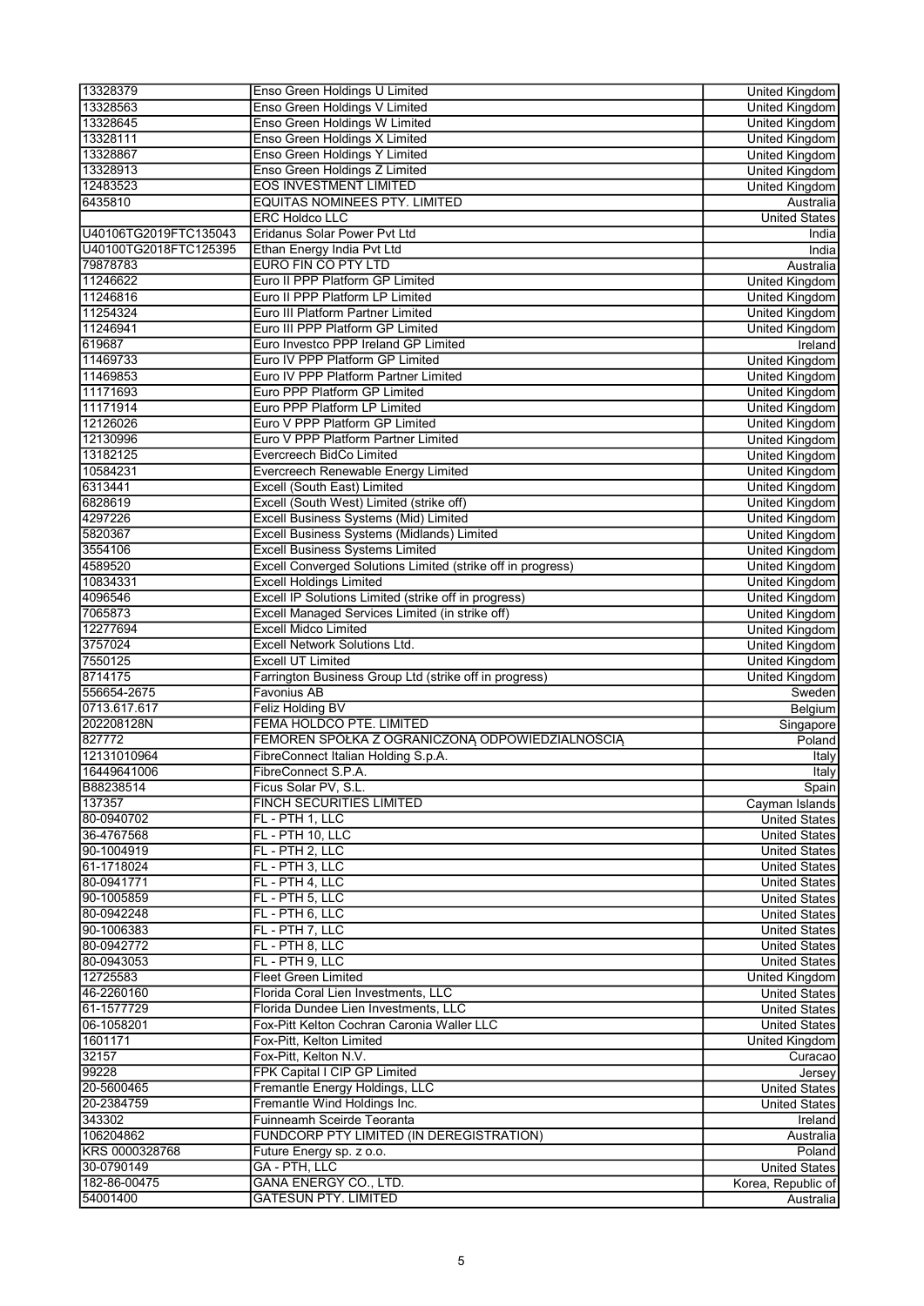| 13328379                 | Enso Green Holdings U Limited                               | United Kingdom                  |
|--------------------------|-------------------------------------------------------------|---------------------------------|
| 13328563                 | Enso Green Holdings V Limited                               | <b>United Kingdom</b>           |
| 13328645                 | Enso Green Holdings W Limited                               | <b>United Kingdom</b>           |
| 13328111                 | Enso Green Holdings X Limited                               | United Kingdom                  |
| 13328867                 | Enso Green Holdings Y Limited                               | United Kingdom                  |
| 13328913                 | Enso Green Holdings Z Limited                               | <b>United Kingdom</b>           |
| 12483523                 | <b>EOS INVESTMENT LIMITED</b>                               | United Kingdom                  |
| 6435810                  | EQUITAS NOMINEES PTY. LIMITED                               | Australia                       |
|                          | <b>ERC Holdco LLC</b>                                       | <b>United States</b>            |
| U40106TG2019FTC135043    | Eridanus Solar Power Pvt Ltd                                | India                           |
| U40100TG2018FTC125395    | Ethan Energy India Pvt Ltd                                  | India                           |
| 79878783                 | <b>EURO FIN CO PTY LTD</b>                                  | Australia                       |
| 11246622                 | Euro II PPP Platform GP Limited                             | United Kingdom                  |
| 11246816                 | Euro II PPP Platform LP Limited                             | United Kingdom                  |
| 11254324                 | Euro III Platform Partner Limited                           |                                 |
| 11246941                 | Euro III PPP Platform GP Limited                            | United Kingdom                  |
|                          |                                                             | United Kingdom                  |
| 619687                   | Euro Investco PPP Ireland GP Limited                        | Ireland                         |
| 11469733                 | Euro IV PPP Platform GP Limited                             | United Kingdom                  |
| 11469853                 | Euro IV PPP Platform Partner Limited                        | United Kingdom                  |
| 11171693                 | Euro PPP Platform GP Limited                                | <b>United Kingdom</b>           |
| 11171914                 | Euro PPP Platform LP Limited                                | <b>United Kingdom</b>           |
| 12126026                 | Euro V PPP Platform GP Limited                              | United Kingdom                  |
| 12130996                 | Euro V PPP Platform Partner Limited                         | United Kingdom                  |
| 13182125                 | Evercreech BidCo Limited                                    | <b>United Kingdom</b>           |
| 10584231                 | Evercreech Renewable Energy Limited                         | <b>United Kingdom</b>           |
| 6313441                  | Excell (South East) Limited                                 | <b>United Kingdom</b>           |
| 6828619                  | Excell (South West) Limited (strike off)                    | <b>United Kingdom</b>           |
| 4297226                  | Excell Business Systems (Mid) Limited                       | United Kingdom                  |
| 5820367                  | Excell Business Systems (Midlands) Limited                  | United Kingdom                  |
| 3554106                  | <b>Excell Business Systems Limited</b>                      | United Kingdom                  |
| 4589520                  | Excell Converged Solutions Limited (strike off in progress) | <b>United Kingdom</b>           |
| 10834331                 | <b>Excell Holdings Limited</b>                              | <b>United Kingdom</b>           |
| 4096546                  | Excell IP Solutions Limited (strike off in progress)        | <b>United Kingdom</b>           |
| 7065873                  | Excell Managed Services Limited (in strike off)             | United Kingdom                  |
| 12277694                 | <b>Excell Midco Limited</b>                                 | United Kingdom                  |
| 3757024                  | <b>Excell Network Solutions Ltd.</b>                        |                                 |
|                          | <b>Excell UT Limited</b>                                    | United Kingdom                  |
| 7550125                  |                                                             | <b>United Kingdom</b>           |
| 8714175                  | Farrington Business Group Ltd (strike off in progress)      | <b>United Kingdom</b>           |
| 556654-2675              | Favonius AB                                                 | Sweden                          |
| 0713.617.617             | Feliz Holding BV                                            | Belgium                         |
| 202208128N               | FEMA HOLDCO PTE. LIMITED                                    | Singapore                       |
| 827772                   | FEMOREN SPÓŁKA Z OGRANICZONĄ ODPOWIEDZIALNOŚCIĄ             | Poland                          |
| 12131010964              | FibreConnect Italian Holding S.p.A.                         | Italy                           |
| 16449641006              | FibreConnect S.P.A.                                         | <b>Italy</b>                    |
| B88238514                | Ficus Solar PV, S.L.                                        | Spain                           |
| 137357                   | FINCH SECURITIES LIMITED                                    | Cayman Islands                  |
| 80-0940702               | FL - PTH 1, LLC                                             | <b>United States</b>            |
| 36-4767568               | FL - PTH 10, LLC                                            | <b>United States</b>            |
| 90-1004919               | FL - PTH 2, LLC                                             | <b>United States</b>            |
| 61-1718024               | FL - PTH 3, LLC                                             | <b>United States</b>            |
| 80-0941771               | FL - PTH 4, LLC                                             | <b>United States</b>            |
| 90-1005859               | FL - PTH 5, LLC                                             | <b>United States</b>            |
| 80-0942248               | FL - PTH 6, LLC                                             | <b>United States</b>            |
| 90-1006383               | FL - PTH 7, LLC                                             | <b>United States</b>            |
| 80-0942772               | FL - PTH 8, LLC                                             | <b>United States</b>            |
| 80-0943053               | FL - PTH 9, LLC                                             | <b>United States</b>            |
| 12725583                 | <b>Fleet Green Limited</b>                                  | United Kingdom                  |
| 46-2260160               | Florida Coral Lien Investments, LLC                         | <b>United States</b>            |
| 61-1577729               | Florida Dundee Lien Investments, LLC                        | <b>United States</b>            |
| 06-1058201               | Fox-Pitt Kelton Cochran Caronia Waller LLC                  | <b>United States</b>            |
| 1601171                  | Fox-Pitt, Kelton Limited                                    | United Kingdom                  |
| 32157                    | Fox-Pitt, Kelton N.V.                                       | Curacao                         |
| 99228                    | FPK Capital I CIP GP Limited                                | Jersey                          |
| 20-5600465               | Fremantle Energy Holdings, LLC                              | <b>United States</b>            |
| 20-2384759               | Fremantle Wind Holdings Inc.                                |                                 |
| 343302                   | Fuinneamh Sceirde Teoranta                                  | United States                   |
|                          |                                                             | Ireland                         |
| 106204862                | FUNDCORP PTY LIMITED (IN DEREGISTRATION)                    | Australia                       |
| KRS 0000328768           | Future Energy sp. z o.o.                                    | Poland                          |
| 30-0790149               |                                                             |                                 |
|                          | GA - PTH, LLC                                               | <b>United States</b>            |
| 182-86-00475<br>54001400 | GANA ENERGY CO., LTD.<br><b>GATESUN PTY. LIMITED</b>        | Korea, Republic of<br>Australia |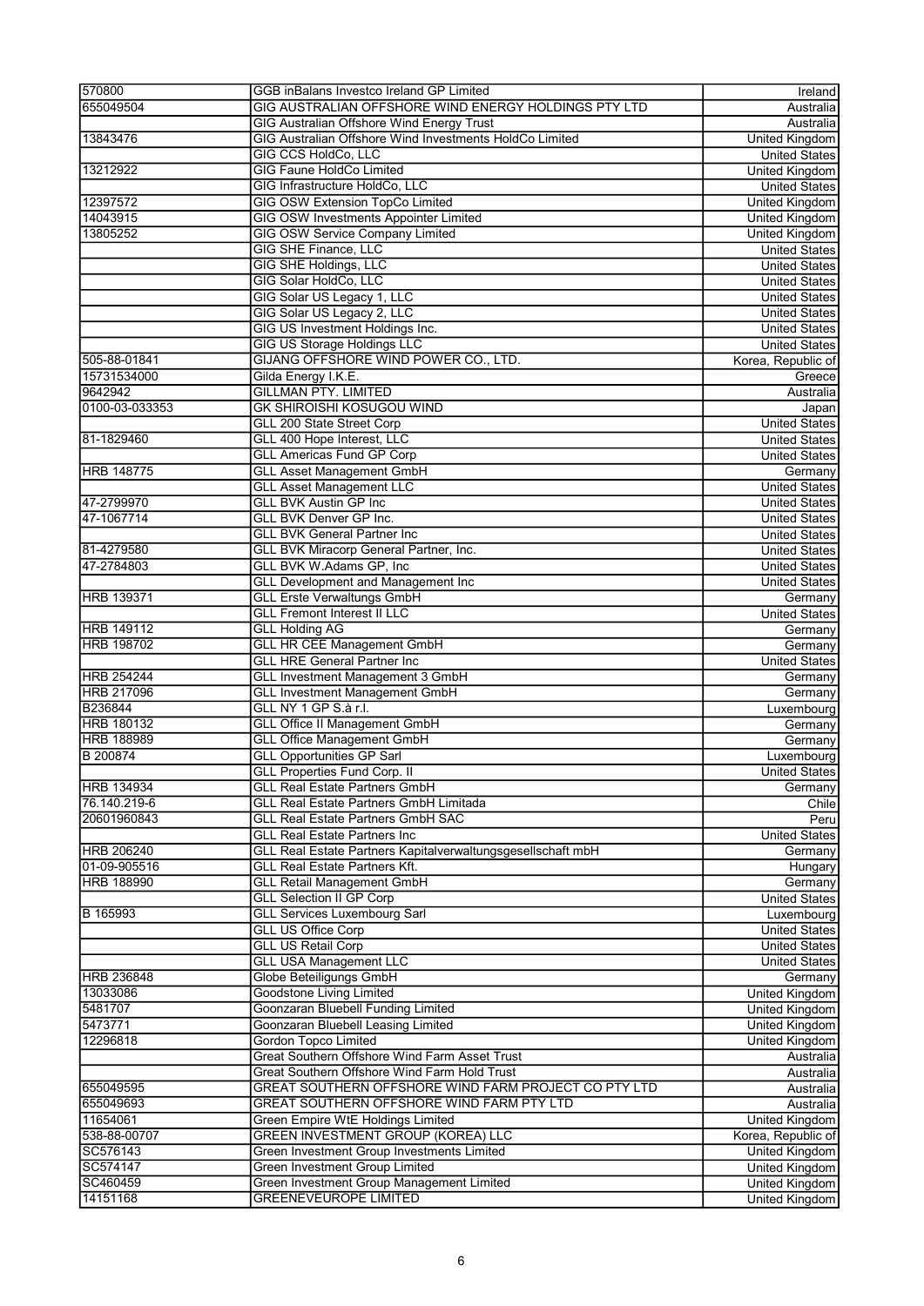| 570800                            | GGB inBalans Investco Ireland GP Limited                                       | Ireland               |
|-----------------------------------|--------------------------------------------------------------------------------|-----------------------|
| 655049504                         | GIG AUSTRALIAN OFFSHORE WIND ENERGY HOLDINGS PTY LTD                           | Australia             |
|                                   | <b>GIG Australian Offshore Wind Energy Trust</b>                               | Australia             |
| 13843476                          | GIG Australian Offshore Wind Investments HoldCo Limited                        | <b>United Kingdom</b> |
|                                   | <b>GIG CCS HoldCo, LLC</b>                                                     | <b>United States</b>  |
| 13212922                          | <b>GIG Faune HoldCo Limited</b>                                                | <b>United Kingdom</b> |
|                                   | GIG Infrastructure HoldCo, LLC                                                 | <b>United States</b>  |
| 12397572                          | <b>GIG OSW Extension TopCo Limited</b>                                         | <b>United Kingdom</b> |
| 14043915                          | <b>GIG OSW Investments Appointer Limited</b>                                   | <b>United Kingdom</b> |
| 13805252                          | <b>GIG OSW Service Company Limited</b>                                         | <b>United Kingdom</b> |
|                                   | <b>GIG SHE Finance, LLC</b>                                                    | <b>United States</b>  |
|                                   | <b>GIG SHE Holdings, LLC</b>                                                   | <b>United States</b>  |
|                                   | <b>GIG Solar HoldCo, LLC</b>                                                   | <b>United States</b>  |
|                                   | GIG Solar US Legacy 1, LLC                                                     |                       |
|                                   |                                                                                | <b>United States</b>  |
|                                   | GIG Solar US Legacy 2, LLC                                                     | <b>United States</b>  |
|                                   | GIG US Investment Holdings Inc.                                                | <b>United States</b>  |
|                                   | <b>GIG US Storage Holdings LLC</b>                                             | <b>United States</b>  |
| 505-88-01841                      | GIJANG OFFSHORE WIND POWER CO., LTD.                                           | Korea, Republic of    |
| 15731534000                       | Gilda Energy I.K.E.                                                            | Greece                |
| 9642942                           | <b>GILLMAN PTY. LIMITED</b>                                                    | Australia             |
| 0100-03-033353                    | <b>GK SHIROISHI KOSUGOU WIND</b>                                               | Japan                 |
|                                   | <b>GLL 200 State Street Corp</b>                                               | <b>United States</b>  |
| 81-1829460                        | GLL 400 Hope Interest, LLC                                                     | <b>United States</b>  |
|                                   | <b>GLL Americas Fund GP Corp</b>                                               | <b>United States</b>  |
| <b>HRB 148775</b>                 | <b>GLL Asset Management GmbH</b>                                               | Germany               |
|                                   | <b>GLL Asset Management LLC</b>                                                | <b>United States</b>  |
| 47-2799970                        | <b>GLL BVK Austin GP Inc</b>                                                   | <b>United States</b>  |
| 47-1067714                        | <b>GLL BVK Denver GP Inc.</b>                                                  | United States         |
|                                   | <b>GLL BVK General Partner Inc</b>                                             | <b>United States</b>  |
| 81-4279580                        | <b>GLL BVK Miracorp General Partner, Inc.</b>                                  | <b>United States</b>  |
| 47-2784803                        | GLL BVK W.Adams GP, Inc                                                        | <b>United States</b>  |
|                                   |                                                                                |                       |
|                                   | <b>GLL Development and Management Inc</b><br><b>GLL Erste Verwaltungs GmbH</b> | <b>United States</b>  |
| <b>HRB 139371</b>                 |                                                                                | Germany               |
|                                   | <b>GLL Fremont Interest II LLC</b>                                             | <b>United States</b>  |
| <b>HRB 149112</b>                 | <b>GLL Holding AG</b>                                                          | Germany               |
| <b>HRB 198702</b>                 | <b>GLL HR CEE Management GmbH</b>                                              | Germany               |
|                                   | <b>GLL HRE General Partner Inc</b>                                             | <b>United States</b>  |
| <b>HRB 254244</b>                 | <b>GLL Investment Management 3 GmbH</b>                                        | Germany               |
| <b>HRB 217096</b>                 | <b>GLL Investment Management GmbH</b>                                          | Germany               |
| B236844                           | GLL NY 1 GP S.à r.l.                                                           | Luxembourg            |
| <b>HRB 180132</b>                 | <b>GLL Office II Management GmbH</b>                                           | Germany               |
| <b>HRB 188989</b>                 | <b>GLL Office Management GmbH</b>                                              | Germany               |
| B 200874                          | <b>GLL Opportunities GP Sarl</b>                                               | Luxembourg            |
|                                   | <b>GLL Properties Fund Corp. II</b>                                            | <b>United States</b>  |
| <b>HRB 134934</b>                 | <b>GLL Real Estate Partners GmbH</b>                                           | Germany               |
| 76.140.219-6                      | <b>GLL Real Estate Partners GmbH Limitada</b>                                  | Chile                 |
| 20601960843                       | <b>GLL Real Estate Partners GmbH SAC</b>                                       | Peru                  |
|                                   | <b>GLL Real Estate Partners Inc</b>                                            | <b>United States</b>  |
| <b>HRB 206240</b>                 | GLL Real Estate Partners Kapitalverwaltungsgesellschaft mbH                    | Germany               |
|                                   |                                                                                |                       |
| 01-09-905516<br><b>HRB 188990</b> | <b>GLL Real Estate Partners Kft.</b>                                           | Hungary               |
|                                   | <b>GLL Retail Management GmbH</b>                                              | Germany               |
|                                   | <b>GLL Selection II GP Corp</b>                                                | <b>United States</b>  |
| B 165993                          | <b>GLL Services Luxembourg Sarl</b>                                            | Luxembourg            |
|                                   | <b>GLL US Office Corp</b>                                                      | <b>United States</b>  |
|                                   | <b>GLL US Retail Corp</b>                                                      | <b>United States</b>  |
|                                   | <b>GLL USA Management LLC</b>                                                  | <b>United States</b>  |
| <b>HRB 236848</b>                 | Globe Beteiligungs GmbH                                                        | Germany               |
| 13033086                          | <b>Goodstone Living Limited</b>                                                | <b>United Kingdom</b> |
| 5481707                           | <b>Goonzaran Bluebell Funding Limited</b>                                      | <b>United Kingdom</b> |
| 5473771                           | Goonzaran Bluebell Leasing Limited                                             | <b>United Kingdom</b> |
| 12296818                          | <b>Gordon Topco Limited</b>                                                    | United Kingdom        |
|                                   | Great Southern Offshore Wind Farm Asset Trust                                  | Australia             |
|                                   | Great Southern Offshore Wind Farm Hold Trust                                   | Australia             |
| 655049595                         | GREAT SOUTHERN OFFSHORE WIND FARM PROJECT CO PTY LTD                           | Australia             |
| 655049693                         | GREAT SOUTHERN OFFSHORE WIND FARM PTY LTD                                      | Australia             |
| 11654061                          | Green Empire WtE Holdings Limited                                              | <b>United Kingdom</b> |
| 538-88-00707                      | <b>GREEN INVESTMENT GROUP (KOREA) LLC</b>                                      | Korea, Republic of    |
| SC576143                          | Green Investment Group Investments Limited                                     | United Kingdom        |
| SC574147                          | <b>Green Investment Group Limited</b>                                          | <b>United Kingdom</b> |
| SC460459                          | Green Investment Group Management Limited                                      | <b>United Kingdom</b> |
|                                   | <b>GREENEVEUROPE LIMITED</b>                                                   |                       |
| 14151168                          |                                                                                | United Kingdom        |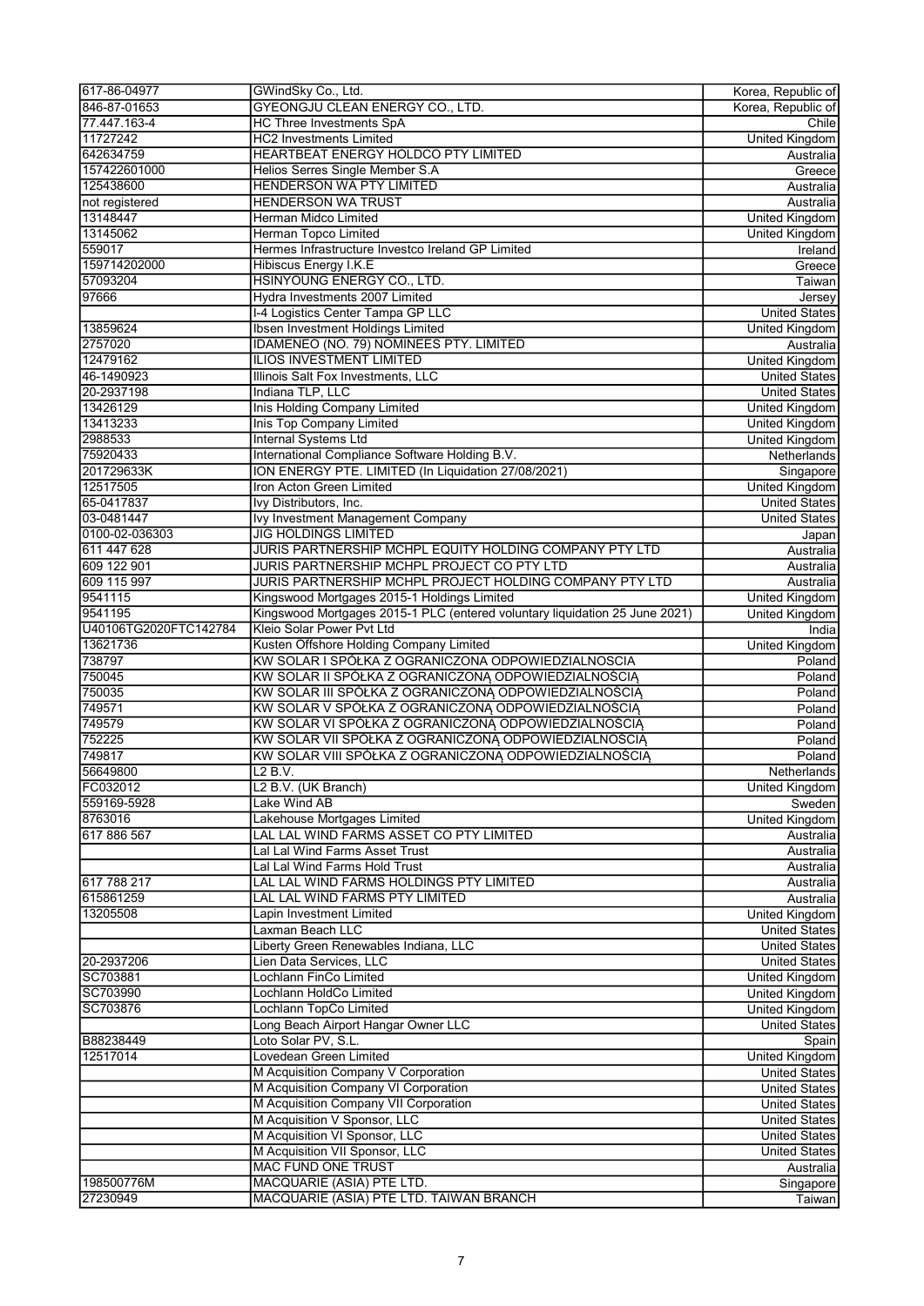| 617-86-04977          | GWindSky Co., Ltd.                                                          | Korea, Republic of    |
|-----------------------|-----------------------------------------------------------------------------|-----------------------|
| 846-87-01653          | <b>GYEONGJU CLEAN ENERGY CO., LTD.</b>                                      | Korea, Republic of    |
| 77.447.163-4          | <b>HC Three Investments SpA</b>                                             | Chile                 |
| 11727242              | <b>HC2 Investments Limited</b>                                              | <b>United Kingdom</b> |
| 642634759             | HEARTBEAT ENERGY HOLDCO PTY LIMITED                                         | Australia             |
| 157422601000          | Helios Serres Single Member S.A                                             | Greece                |
| 125438600             | HENDERSON WA PTY LIMITED                                                    | Australia             |
| not registered        | <b>HENDERSON WA TRUST</b>                                                   | Australia             |
| 13148447              | Herman Midco Limited                                                        | <b>United Kingdom</b> |
| 13145062              | Herman Topco Limited                                                        | <b>United Kingdom</b> |
| 559017                | Hermes Infrastructure Investco Ireland GP Limited                           | Ireland               |
| 159714202000          | Hibiscus Energy I.K.E                                                       | Greece                |
| 57093204              | HSINYOUNG ENERGY CO., LTD.                                                  |                       |
| 97666                 |                                                                             | Taiwan                |
|                       | Hydra Investments 2007 Limited                                              | Jersey                |
|                       | I-4 Logistics Center Tampa GP LLC                                           | <b>United States</b>  |
| 13859624              | Ibsen Investment Holdings Limited                                           | <b>United Kingdom</b> |
| 2757020               | IDAMENEO (NO. 79) NOMINEES PTY. LIMITED                                     | Australia             |
| 12479162              | <b>ILIOS INVESTMENT LIMITED</b>                                             | United Kingdom        |
| 46-1490923            | Illinois Salt Fox Investments, LLC                                          | <b>United States</b>  |
| 20-2937198            | Indiana TLP, LLC                                                            | <b>United States</b>  |
| 13426129              | Inis Holding Company Limited                                                | <b>United Kingdom</b> |
| 13413233              | <b>Inis Top Company Limited</b>                                             | United Kingdom        |
| 2988533               | <b>Internal Systems Ltd</b>                                                 | United Kingdom        |
| 75920433              | International Compliance Software Holding B.V.                              | Netherlands           |
| 201729633K            | ION ENERGY PTE. LIMITED (In Liquidation 27/08/2021)                         | Singapore             |
| 12517505              | Iron Acton Green Limited                                                    | <b>United Kingdom</b> |
| 65-0417837            | Ivy Distributors, Inc.                                                      | <b>United States</b>  |
| 03-0481447            | Ivy Investment Management Company                                           | <b>United States</b>  |
| 0100-02-036303        | <b>JIG HOLDINGS LIMITED</b>                                                 |                       |
| 611 447 628           |                                                                             | Japan                 |
|                       | JURIS PARTNERSHIP MCHPL EQUITY HOLDING COMPANY PTY LTD                      | Australia             |
| 609 122 901           | JURIS PARTNERSHIP MCHPL PROJECT CO PTY LTD                                  | Australia             |
| 609 115 997           | JURIS PARTNERSHIP MCHPL PROJECT HOLDING COMPANY PTY LTD                     | Australia             |
| 9541115               | Kingswood Mortgages 2015-1 Holdings Limited                                 | United Kingdom        |
| 9541195               | Kingswood Mortgages 2015-1 PLC (entered voluntary liquidation 25 June 2021) | United Kingdom        |
| U40106TG2020FTC142784 | Kleio Solar Power Pvt Ltd                                                   | India                 |
| 13621736              | Kusten Offshore Holding Company Limited                                     | <b>United Kingdom</b> |
| 738797                | KW SOLAR I SPÓŁKA Z OGRANICZONA ODPOWIEDZIALNOSCIA                          | Poland                |
| 750045                | KW SOLAR II SPÓŁKA Z OGRANICZONĄ ODPOWIEDZIALNOŚCIĄ                         | Poland                |
| 750035                | KW SOLAR III SPÓŁKA Z OGRANICZONĄ ODPOWIEDZIALNOŚCIĄ                        | Poland                |
| 749571                | KW SOLAR V SPÓŁKA Z OGRANICZONĄ ODPOWIEDZIALNOŚCIĄ                          | Poland                |
| 749579                | KW SOLAR VI SPÓŁKA Z OGRANICZONĄ ODPOWIEDZIALNOŚCIĄ                         | Poland                |
| 752225                | KW SOLAR VII SPÓŁKA Z OGRANICZONĄ ODPOWIEDZIALNOŚCIĄ                        | Poland                |
| 749817                | KW SOLAR VIII SPÓŁKA Z OGRANICZONĄ ODPOWIEDZIALNOŚCIĄ                       | Poland                |
| 56649800              | L2 B.V.                                                                     | Netherlands           |
| FC032012              | L2 B.V. (UK Branch)                                                         | <b>United Kingdom</b> |
| 559169-5928           | Lake Wind AB                                                                | Sweden                |
| 8763016               | Lakehouse Mortgages Limited                                                 |                       |
|                       |                                                                             | United Kingdom        |
| 617 886 567           | LAL LAL WIND FARMS ASSET CO PTY LIMITED                                     | Australia             |
|                       | Lal Lal Wind Farms Asset Trust                                              | Australia             |
|                       | Lal Lal Wind Farms Hold Trust                                               | Australia             |
| 617 788 217           | LAL LAL WIND FARMS HOLDINGS PTY LIMITED                                     | Australia             |
| 615861259             | LAL LAL WIND FARMS PTY LIMITED                                              | Australia             |
| 13205508              | Lapin Investment Limited                                                    | United Kingdom        |
|                       | Laxman Beach LLC                                                            | <b>United States</b>  |
|                       | Liberty Green Renewables Indiana, LLC                                       | <b>United States</b>  |
| 20-2937206            | Lien Data Services, LLC                                                     | <b>United States</b>  |
| SC703881              | Lochlann FinCo Limited                                                      | United Kingdom        |
| SC703990              | Lochlann HoldCo Limited                                                     | United Kingdom        |
| SC703876              | Lochlann TopCo Limited                                                      | <b>United Kingdom</b> |
|                       | Long Beach Airport Hangar Owner LLC                                         | <b>United States</b>  |
| B88238449             | Loto Solar PV, S.L.                                                         | Spain                 |
| 12517014              | Lovedean Green Limited                                                      | <b>United Kingdom</b> |
|                       | M Acquisition Company V Corporation                                         | <b>United States</b>  |
|                       |                                                                             |                       |
|                       | M Acquisition Company VI Corporation                                        | <b>United States</b>  |
|                       | M Acquisition Company VII Corporation                                       | <b>United States</b>  |
|                       | M Acquisition V Sponsor, LLC                                                | <b>United States</b>  |
|                       | M Acquisition VI Sponsor, LLC                                               | <b>United States</b>  |
|                       | M Acquisition VII Sponsor, LLC                                              | United States         |
|                       | <b>MAC FUND ONE TRUST</b>                                                   | Australia             |
| 198500776M            | MACQUARIE (ASIA) PTE LTD.                                                   | Singapore             |
| 27230949              | MACQUARIE (ASIA) PTE LTD. TAIWAN BRANCH                                     | Taiwan                |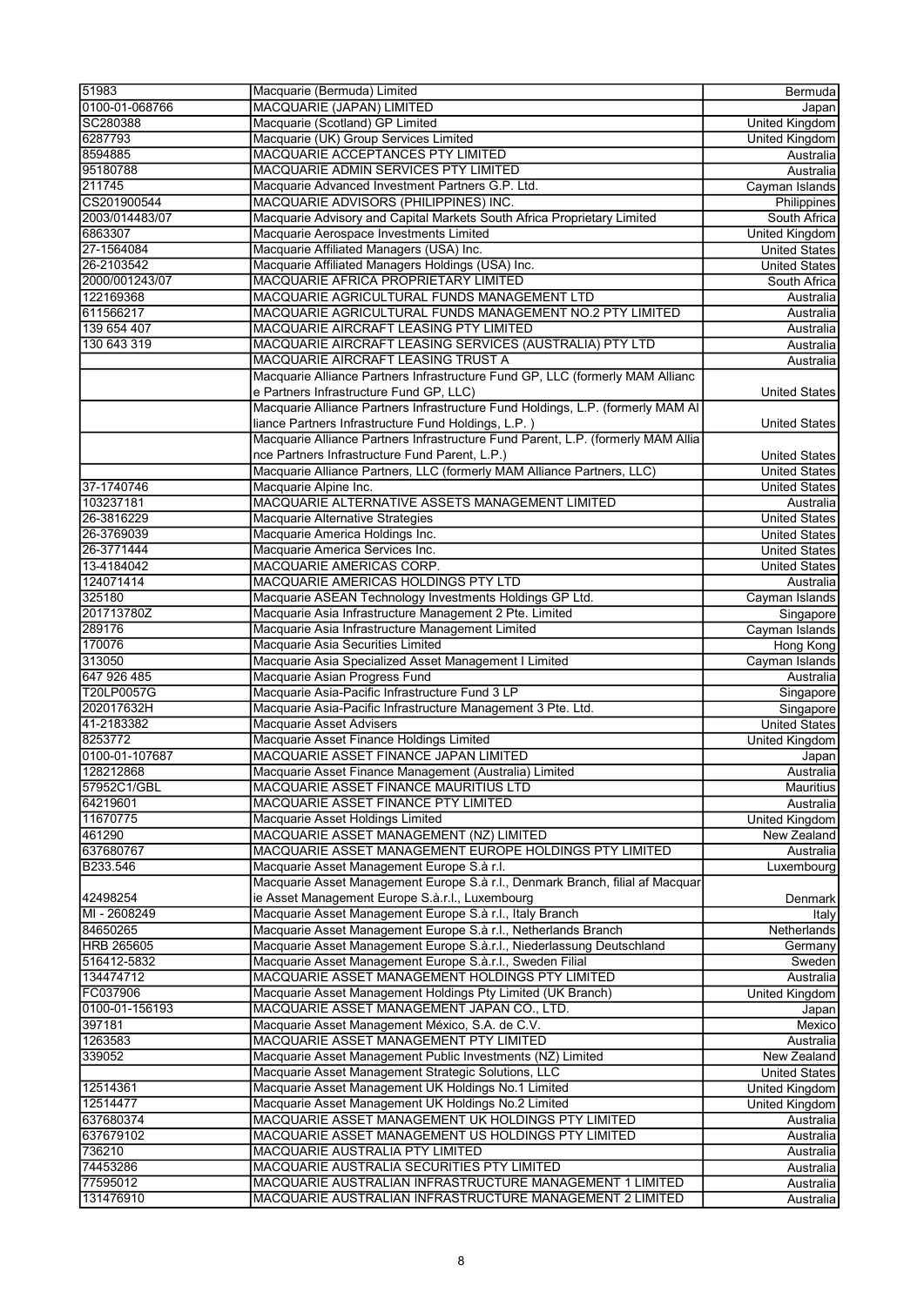| 51983             | Macquarie (Bermuda) Limited                                                      | Bermuda               |
|-------------------|----------------------------------------------------------------------------------|-----------------------|
|                   |                                                                                  |                       |
| 0100-01-068766    | MACQUARIE (JAPAN) LIMITED                                                        | Japan                 |
| SC280388          | Macquarie (Scotland) GP Limited                                                  | <b>United Kingdom</b> |
| 6287793           | Macquarie (UK) Group Services Limited                                            | <b>United Kingdom</b> |
| 8594885           | MACQUARIE ACCEPTANCES PTY LIMITED                                                | Australia             |
| 95180788          | MACQUARIE ADMIN SERVICES PTY LIMITED                                             | Australia             |
| 211745            | Macquarie Advanced Investment Partners G.P. Ltd.                                 | Cayman Islands        |
| CS201900544       |                                                                                  |                       |
|                   | MACQUARIE ADVISORS (PHILIPPINES) INC.                                            | Philippines           |
| 2003/014483/07    | Macquarie Advisory and Capital Markets South Africa Proprietary Limited          | South Africa          |
| 6863307           | Macquarie Aerospace Investments Limited                                          | <b>United Kingdom</b> |
| 27-1564084        | Macquarie Affiliated Managers (USA) Inc.                                         | <b>United States</b>  |
| 26-2103542        | Macquarie Affiliated Managers Holdings (USA) Inc.                                | <b>United States</b>  |
| 2000/001243/07    | MACQUARIE AFRICA PROPRIETARY LIMITED                                             | South Africa          |
|                   |                                                                                  |                       |
| 122169368         | MACQUARIE AGRICULTURAL FUNDS MANAGEMENT LTD                                      | Australia             |
| 611566217         | MACQUARIE AGRICULTURAL FUNDS MANAGEMENT NO.2 PTY LIMITED                         | Australia             |
| 139 654 407       | MACQUARIE AIRCRAFT LEASING PTY LIMITED                                           | Australia             |
| 130 643 319       | MACQUARIE AIRCRAFT LEASING SERVICES (AUSTRALIA) PTY LTD                          | Australia             |
|                   | MACQUARIE AIRCRAFT LEASING TRUST A                                               | Australia             |
|                   | Macquarie Alliance Partners Infrastructure Fund GP, LLC (formerly MAM Allianc    |                       |
|                   | e Partners Infrastructure Fund GP. LLC)                                          | <b>United States</b>  |
|                   |                                                                                  |                       |
|                   | Macquarie Alliance Partners Infrastructure Fund Holdings, L.P. (formerly MAM Al  |                       |
|                   | liance Partners Infrastructure Fund Holdings, L.P.)                              | <b>United States</b>  |
|                   | Macquarie Alliance Partners Infrastructure Fund Parent, L.P. (formerly MAM Allia |                       |
|                   | nce Partners Infrastructure Fund Parent, L.P.)                                   | <b>United States</b>  |
|                   | Macquarie Alliance Partners, LLC (formerly MAM Alliance Partners, LLC)           | <b>United States</b>  |
| 37-1740746        |                                                                                  | <b>United States</b>  |
|                   | Macquarie Alpine Inc.                                                            |                       |
| 103237181         | MACQUARIE ALTERNATIVE ASSETS MANAGEMENT LIMITED                                  | Australia             |
| 26-3816229        | Macquarie Alternative Strategies                                                 | <b>United States</b>  |
| 26-3769039        | Macquarie America Holdings Inc.                                                  | <b>United States</b>  |
| 26-3771444        | Macquarie America Services Inc.                                                  | United States         |
| 13-4184042        | MACQUARIE AMERICAS CORP.                                                         | <b>United States</b>  |
|                   |                                                                                  |                       |
| 124071414         | MACQUARIE AMERICAS HOLDINGS PTY LTD                                              | Australia             |
| 325180            | Macquarie ASEAN Technology Investments Holdings GP Ltd.                          | Cayman Islands        |
| 201713780Z        | Macquarie Asia Infrastructure Management 2 Pte. Limited                          | Singapore             |
| 289176            | Macquarie Asia Infrastructure Management Limited                                 | Cayman Islands        |
| 170076            | Macquarie Asia Securities Limited                                                | <b>Hong Kong</b>      |
| 313050            | Macquarie Asia Specialized Asset Management I Limited                            | Cayman Islands        |
| 647 926 485       | Macquarie Asian Progress Fund                                                    |                       |
|                   |                                                                                  | Australia             |
| T20LP0057G        | Macquarie Asia-Pacific Infrastructure Fund 3 LP                                  | Singapore             |
| 202017632H        | Macquarie Asia-Pacific Infrastructure Management 3 Pte. Ltd.                     | Singapore             |
| 41-2183382        | Macquarie Asset Advisers                                                         | <b>United States</b>  |
| 8253772           | Macquarie Asset Finance Holdings Limited                                         | United Kingdom        |
| 0100-01-107687    | MACQUARIE ASSET FINANCE JAPAN LIMITED                                            | Japan                 |
|                   |                                                                                  |                       |
| 128212868         | Macquarie Asset Finance Management (Australia) Limited                           | Australia             |
| 57952C1/GBL       | MACQUARIE ASSET FINANCE MAURITIUS LTD                                            | <b>Mauritius</b>      |
| 64219601          | MACQUARIE ASSET FINANCE PTY LIMITED                                              | Australia             |
| 11670775          | Macquarie Asset Holdings Limited                                                 | United Kingdom        |
| 461290            | MACQUARIE ASSET MANAGEMENT (NZ) LIMITED                                          | New Zealand           |
| 637680767         | MACQUARIE ASSET MANAGEMENT EUROPE HOLDINGS PTY LIMITED                           |                       |
|                   |                                                                                  | Australia             |
| B233.546          | Macquarie Asset Management Europe S.à r.l.                                       | Luxembourg            |
|                   | Macquarie Asset Management Europe S.à r.l., Denmark Branch, filial af Macquar    |                       |
| 42498254          | ie Asset Management Europe S.à.r.l., Luxembourg                                  | Denmark               |
| MI - 2608249      | Macquarie Asset Management Europe S.à r.l., Italy Branch                         | Italy                 |
| 84650265          | Macquarie Asset Management Europe S.à r.l., Netherlands Branch                   | Netherlands           |
| <b>HRB 265605</b> | Macquarie Asset Management Europe S.à.r.l., Niederlassung Deutschland            | Germany               |
|                   |                                                                                  |                       |
| 516412-5832       | Macquarie Asset Management Europe S.à.r.l., Sweden Filial                        | Sweden                |
| 134474712         | MACQUARIE ASSET MANAGEMENT HOLDINGS PTY LIMITED                                  | Australia             |
| FC037906          | Macquarie Asset Management Holdings Pty Limited (UK Branch)                      | United Kingdom        |
| 0100-01-156193    | MACQUARIE ASSET MANAGEMENT JAPAN CO., LTD.                                       | Japan                 |
| 397181            | Macquarie Asset Management México, S.A. de C.V.                                  | Mexico                |
| 1263583           | MACQUARIE ASSET MANAGEMENT PTY LIMITED                                           | Australia             |
|                   |                                                                                  |                       |
| 339052            | Macquarie Asset Management Public Investments (NZ) Limited                       | New Zealand           |
|                   | Macquarie Asset Management Strategic Solutions, LLC                              | <b>United States</b>  |
| 12514361          | Macquarie Asset Management UK Holdings No.1 Limited                              | United Kingdom        |
| 12514477          | Macquarie Asset Management UK Holdings No.2 Limited                              | United Kingdom        |
| 637680374         | MACQUARIE ASSET MANAGEMENT UK HOLDINGS PTY LIMITED                               | Australia             |
| 637679102         | MACQUARIE ASSET MANAGEMENT US HOLDINGS PTY LIMITED                               | Australia             |
|                   |                                                                                  |                       |
| 736210            | MACQUARIE AUSTRALIA PTY LIMITED                                                  | Australia             |
| 74453286          | MACQUARIE AUSTRALIA SECURITIES PTY LIMITED                                       | Australia             |
| 77595012          | MACQUARIE AUSTRALIAN INFRASTRUCTURE MANAGEMENT 1 LIMITED                         | Australia             |
| 131476910         | MACQUARIE AUSTRALIAN INFRASTRUCTURE MANAGEMENT 2 LIMITED                         | Australia             |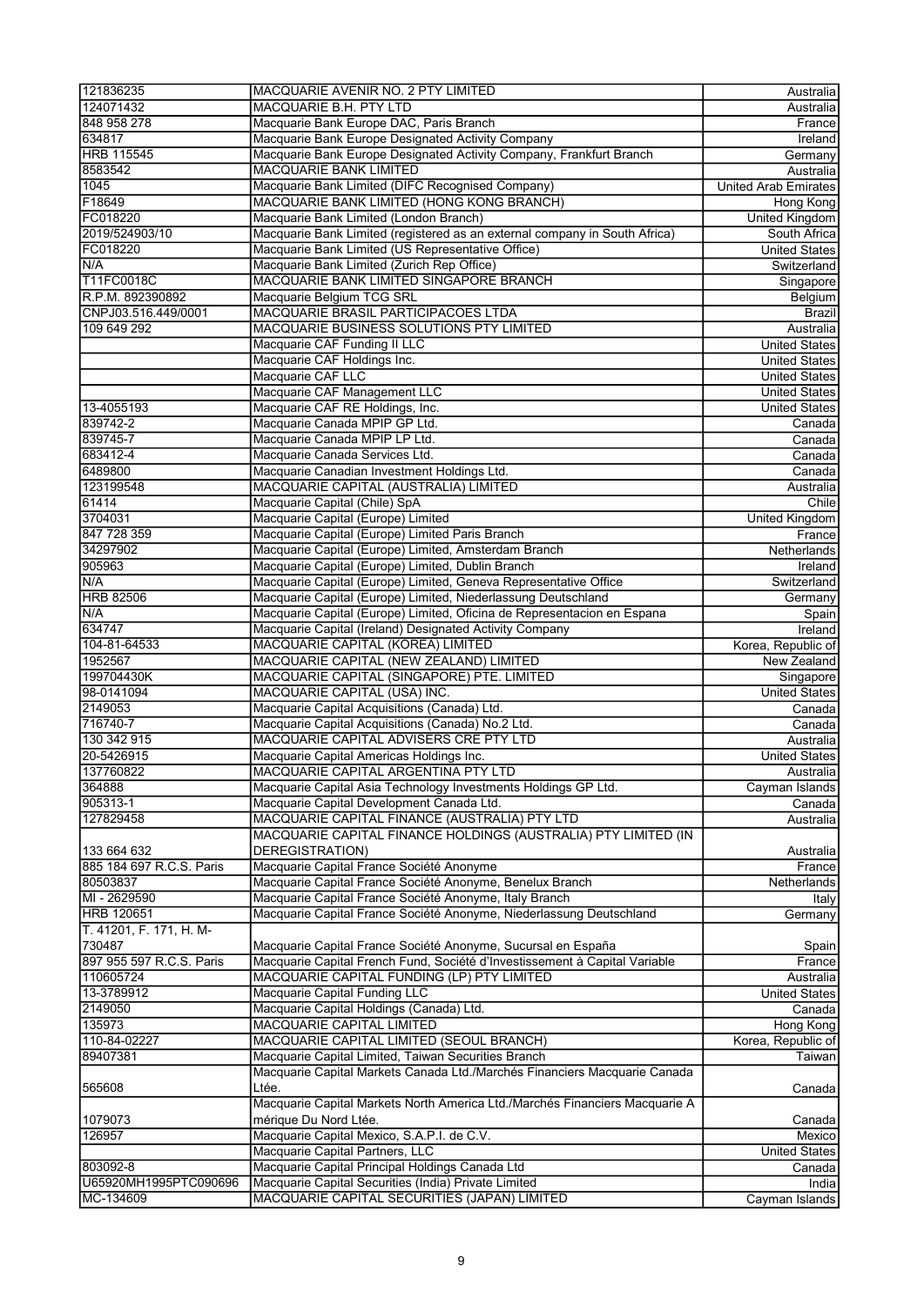| 121836235                | MACQUARIE AVENIR NO. 2 PTY LIMITED                                          | Australia                   |
|--------------------------|-----------------------------------------------------------------------------|-----------------------------|
| 124071432                | MACQUARIE B.H. PTY LTD                                                      | Australia                   |
| 848 958 278              | Macquarie Bank Europe DAC, Paris Branch                                     | France                      |
| 634817                   | Macquarie Bank Europe Designated Activity Company                           | Ireland                     |
| <b>HRB 115545</b>        | Macquarie Bank Europe Designated Activity Company, Frankfurt Branch         | Germany                     |
| 8583542                  | <b>MACQUARIE BANK LIMITED</b>                                               | Australia                   |
| 1045                     | Macquarie Bank Limited (DIFC Recognised Company)                            | <b>United Arab Emirates</b> |
| F18649                   | MACQUARIE BANK LIMITED (HONG KONG BRANCH)                                   | Hong Kong                   |
| FC018220                 | Macquarie Bank Limited (London Branch)                                      | United Kingdom              |
| 2019/524903/10           | Macquarie Bank Limited (registered as an external company in South Africa)  | South Africa                |
| FC018220                 | Macquarie Bank Limited (US Representative Office)                           | <b>United States</b>        |
| N/A                      | Macquarie Bank Limited (Zurich Rep Office)                                  | Switzerland                 |
| T11FC0018C               | MACQUARIE BANK LIMITED SINGAPORE BRANCH                                     | Singapore                   |
| R.P.M. 892390892         | Macquarie Belgium TCG SRL                                                   | Belgium                     |
| CNPJ03.516.449/0001      | MACQUARIE BRASIL PARTICIPACOES LTDA                                         | <b>Brazil</b>               |
| 109 649 292              | MACQUARIE BUSINESS SOLUTIONS PTY LIMITED                                    | Australia                   |
|                          | Macquarie CAF Funding II LLC                                                | <b>United States</b>        |
|                          | Macquarie CAF Holdings Inc.                                                 | <b>United States</b>        |
|                          | Macquarie CAF LLC                                                           | <b>United States</b>        |
|                          | Macquarie CAF Management LLC                                                | <b>United States</b>        |
| 13-4055193               | Macquarie CAF RE Holdings, Inc.                                             | <b>United States</b>        |
| 839742-2                 | Macquarie Canada MPIP GP Ltd.                                               | Canada                      |
| 839745-7                 | Macquarie Canada MPIP LP Ltd.                                               | Canada                      |
| 683412-4                 | Macquarie Canada Services Ltd.                                              |                             |
| 6489800                  |                                                                             | Canada<br>Canada            |
|                          | Macquarie Canadian Investment Holdings Ltd.                                 |                             |
| 123199548                | MACQUARIE CAPITAL (AUSTRALIA) LIMITED                                       | Australia                   |
| 61414                    | Macquarie Capital (Chile) SpA                                               | Chile                       |
| 3704031                  | Macquarie Capital (Europe) Limited                                          | United Kingdom              |
| 847 728 359              | Macquarie Capital (Europe) Limited Paris Branch                             | France                      |
| 34297902                 | Macquarie Capital (Europe) Limited, Amsterdam Branch                        | Netherlands                 |
| 905963                   | Macquarie Capital (Europe) Limited, Dublin Branch                           | Ireland                     |
| N/A                      | Macquarie Capital (Europe) Limited, Geneva Representative Office            | Switzerland                 |
| <b>HRB 82506</b>         | Macquarie Capital (Europe) Limited, Niederlassung Deutschland               | Germany                     |
| N/A                      | Macquarie Capital (Europe) Limited, Oficina de Representacion en Espana     | Spain                       |
| 634747                   | Macquarie Capital (Ireland) Designated Activity Company                     | Ireland                     |
| 104-81-64533             | MACQUARIE CAPITAL (KOREA) LIMITED                                           | Korea, Republic of          |
| 1952567                  | MACQUARIE CAPITAL (NEW ZEALAND) LIMITED                                     | New Zealand                 |
| 199704430K               | MACQUARIE CAPITAL (SINGAPORE) PTE. LIMITED                                  | Singapore                   |
| 98-0141094               | MACQUARIE CAPITAL (USA) INC.                                                | <b>United States</b>        |
| 2149053                  | Macquarie Capital Acquisitions (Canada) Ltd.                                | Canada                      |
| 716740-7                 | Macquarie Capital Acquisitions (Canada) No.2 Ltd.                           | Canada                      |
| 130 342 915              | MACQUARIE CAPITAL ADVISERS CRE PTY LTD                                      | Australia                   |
| 20-5426915               | Macquarie Capital Americas Holdings Inc.                                    | <b>United States</b>        |
| 137760822                | MACQUARIE CAPITAL ARGENTINA PTY LTD                                         | Australia                   |
| 364888                   | Macquarie Capital Asia Technology Investments Holdings GP Ltd.              | Cayman Islands              |
| 905313-1                 | Macquarie Capital Development Canada Ltd.                                   | Canada                      |
| 127829458                | MACQUARIE CAPITAL FINANCE (AUSTRALIA) PTY LTD                               | Australia                   |
|                          | MACQUARIE CAPITAL FINANCE HOLDINGS (AUSTRALIA) PTY LIMITED (IN              |                             |
| 133 664 632              | DEREGISTRATION)                                                             | Australia                   |
| 885 184 697 R.C.S. Paris | Macquarie Capital France Société Anonyme                                    | France                      |
| 80503837                 | Macquarie Capital France Société Anonyme, Benelux Branch                    | Netherlands                 |
| MI - 2629590             | Macquarie Capital France Société Anonyme, Italy Branch                      | Italy                       |
| <b>HRB 120651</b>        | Macquarie Capital France Société Anonyme, Niederlassung Deutschland         | Germany                     |
| T. 41201, F. 171, H. M-  |                                                                             |                             |
| 730487                   | Macquarie Capital France Société Anonyme, Sucursal en España                | Spain                       |
| 897 955 597 R.C.S. Paris | Macquarie Capital French Fund, Société d'Investissement à Capital Variable  | France                      |
| 110605724                | MACQUARIE CAPITAL FUNDING (LP) PTY LIMITED                                  | Australia                   |
| 13-3789912               | Macquarie Capital Funding LLC                                               | United States               |
| 2149050                  | Macquarie Capital Holdings (Canada) Ltd.                                    | Canada                      |
| 135973                   | MACQUARIE CAPITAL LIMITED                                                   | Hong Kong                   |
| 110-84-02227             | MACQUARIE CAPITAL LIMITED (SEOUL BRANCH)                                    | Korea, Republic of          |
| 89407381                 | Macquarie Capital Limited, Taiwan Securities Branch                         | Taiwan∣                     |
|                          | Macquarie Capital Markets Canada Ltd./Marchés Financiers Macquarie Canada   |                             |
|                          |                                                                             |                             |
| 565608                   | Ltée.                                                                       | Canada                      |
|                          | Macquarie Capital Markets North America Ltd./Marchés Financiers Macquarie A |                             |
| 1079073                  | mérique Du Nord Ltée.                                                       | Canada                      |
| 126957                   | Macquarie Capital Mexico, S.A.P.I. de C.V.                                  | Mexico                      |
|                          | Macquarie Capital Partners, LLC                                             | United States               |
| 803092-8                 | Macquarie Capital Principal Holdings Canada Ltd                             | $\overline{C}$ anada        |
| U65920MH1995PTC090696    | Macquarie Capital Securities (India) Private Limited                        | India                       |
| MC-134609                | MACQUARIE CAPITAL SECURITIES (JAPAN) LIMITED                                | Cayman Islands              |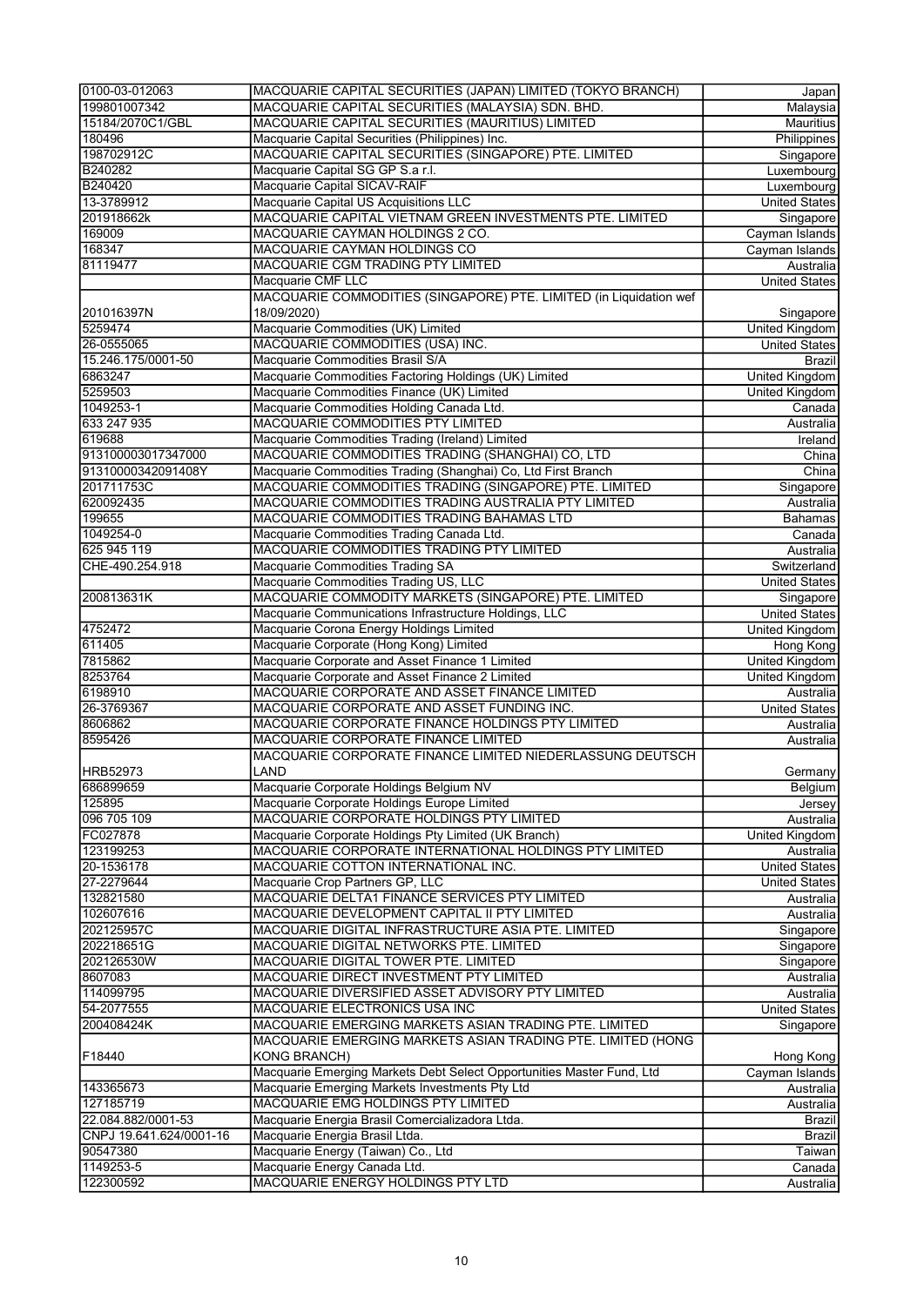| 0100-03-012063          | MACQUARIE CAPITAL SECURITIES (JAPAN) LIMITED (TOKYO BRANCH)           | Japan                     |
|-------------------------|-----------------------------------------------------------------------|---------------------------|
| 199801007342            | MACQUARIE CAPITAL SECURITIES (MALAYSIA) SDN. BHD.                     | Malaysia                  |
| 15184/2070C1/GBL        | MACQUARIE CAPITAL SECURITIES (MAURITIUS) LIMITED                      | Mauritius                 |
| 180496                  | Macquarie Capital Securities (Philippines) Inc.                       | Philippines               |
| 198702912C              | MACQUARIE CAPITAL SECURITIES (SINGAPORE) PTE. LIMITED                 | Singapore                 |
| B240282                 | Macquarie Capital SG GP S.a r.l.                                      | Luxembourg                |
| B240420                 | Macquarie Capital SICAV-RAIF                                          | Luxembourg                |
| 13-3789912              | Macquarie Capital US Acquisitions LLC                                 | <b>United States</b>      |
| 201918662k              | MACQUARIE CAPITAL VIETNAM GREEN INVESTMENTS PTE. LIMITED              | Singapore                 |
| 169009                  | MACQUARIE CAYMAN HOLDINGS 2 CO.                                       | Cayman Islands            |
| 168347                  | MACQUARIE CAYMAN HOLDINGS CO                                          | Cayman Islands            |
| 81119477                | MACQUARIE CGM TRADING PTY LIMITED                                     | Australia                 |
|                         | Macquarie CMF LLC                                                     | <b>United States</b>      |
|                         | MACQUARIE COMMODITIES (SINGAPORE) PTE. LIMITED (in Liquidation wef    |                           |
| 201016397N              | 18/09/2020)                                                           | Singapore                 |
| 5259474                 | Macquarie Commodities (UK) Limited                                    | <b>United Kingdom</b>     |
| 26-0555065              | MACQUARIE COMMODITIES (USA) INC.                                      | <b>United States</b>      |
| 15.246.175/0001-50      | Macquarie Commodities Brasil S/A                                      | Brazil                    |
| 6863247                 | Macquarie Commodities Factoring Holdings (UK) Limited                 | <b>United Kingdom</b>     |
| 5259503                 | Macquarie Commodities Finance (UK) Limited                            | United Kingdom            |
| 1049253-1               | Macquarie Commodities Holding Canada Ltd.                             | Canada                    |
| 633 247 935             | MACQUARIE COMMODITIES PTY LIMITED                                     | Australia                 |
| 619688                  | Macquarie Commodities Trading (Ireland) Limited                       | Ireland                   |
| 913100003017347000      | MACQUARIE COMMODITIES TRADING (SHANGHAI) CO, LTD                      | $\overline{\text{China}}$ |
| 91310000342091408Y      | Macquarie Commodities Trading (Shanghai) Co, Ltd First Branch         | China                     |
| 201711753C              | MACQUARIE COMMODITIES TRADING (SINGAPORE) PTE. LIMITED                | Singapore                 |
| 620092435               | MACQUARIE COMMODITIES TRADING AUSTRALIA PTY LIMITED                   | Australia                 |
| 199655                  | MACQUARIE COMMODITIES TRADING BAHAMAS LTD                             | <b>Bahamas</b>            |
| 1049254-0               | Macquarie Commodities Trading Canada Ltd.                             | Canada                    |
| 625 945 119             | MACQUARIE COMMODITIES TRADING PTY LIMITED                             | Australia                 |
| CHE-490.254.918         | Macquarie Commodities Trading SA                                      | Switzerland               |
|                         | Macquarie Commodities Trading US, LLC                                 | <b>United States</b>      |
| 200813631K              | MACQUARIE COMMODITY MARKETS (SINGAPORE) PTE. LIMITED                  | Singapore                 |
|                         | Macquarie Communications Infrastructure Holdings, LLC                 | <b>United States</b>      |
| 4752472                 | Macquarie Corona Energy Holdings Limited                              | United Kingdom            |
| 611405                  | Macquarie Corporate (Hong Kong) Limited                               | Hong Kong                 |
| 7815862                 | Macquarie Corporate and Asset Finance 1 Limited                       | <b>United Kingdom</b>     |
| 8253764                 | Macquarie Corporate and Asset Finance 2 Limited                       | United Kingdom            |
| 6198910                 | MACQUARIE CORPORATE AND ASSET FINANCE LIMITED                         | Australia                 |
| 26-3769367              | MACQUARIE CORPORATE AND ASSET FUNDING INC.                            | <b>United States</b>      |
| 8606862                 | MACQUARIE CORPORATE FINANCE HOLDINGS PTY LIMITED                      | Australia                 |
| 8595426                 | MACQUARIE CORPORATE FINANCE LIMITED                                   | Australia                 |
|                         | MACQUARIE CORPORATE FINANCE LIMITED NIEDERLASSUNG DEUTSCH             |                           |
| HRB52973                | LAND                                                                  | Germany                   |
| 686899659               | Macquarie Corporate Holdings Belgium NV                               | Belgium                   |
| 125895                  | Macquarie Corporate Holdings Europe Limited                           | Jersey                    |
| 096 705 109             | MACQUARIE CORPORATE HOLDINGS PTY LIMITED                              | Australia                 |
| FC027878                | Macquarie Corporate Holdings Pty Limited (UK Branch)                  | <b>United Kingdom</b>     |
| 123199253               | MACQUARIE CORPORATE INTERNATIONAL HOLDINGS PTY LIMITED                | Australia                 |
| 20-1536178              | MACQUARIE COTTON INTERNATIONAL INC.                                   | <b>United States</b>      |
| 27-2279644              | Macquarie Crop Partners GP, LLC                                       | <b>United States</b>      |
| 132821580               | MACQUARIE DELTA1 FINANCE SERVICES PTY LIMITED                         | Australia                 |
| 102607616               | MACQUARIE DEVELOPMENT CAPITAL II PTY LIMITED                          | Australia                 |
| 202125957C              | MACQUARIE DIGITAL INFRASTRUCTURE ASIA PTE. LIMITED                    | Singapore                 |
| 202218651G              | MACQUARIE DIGITAL NETWORKS PTE. LIMITED                               | Singapore                 |
| 202126530W              | MACQUARIE DIGITAL TOWER PTE. LIMITED                                  | Singapore                 |
| 8607083                 | MACQUARIE DIRECT INVESTMENT PTY LIMITED                               | Australia                 |
| 114099795               | MACQUARIE DIVERSIFIED ASSET ADVISORY PTY LIMITED                      | Australia                 |
| 54-2077555              | MACQUARIE ELECTRONICS USA INC                                         | <b>United States</b>      |
| 200408424K              | MACQUARIE EMERGING MARKETS ASIAN TRADING PTE. LIMITED                 | Singapore                 |
|                         | MACQUARIE EMERGING MARKETS ASIAN TRADING PTE. LIMITED (HONG           |                           |
| F18440                  | <b>KONG BRANCH)</b>                                                   | Hong Kong                 |
|                         | Macquarie Emerging Markets Debt Select Opportunities Master Fund, Ltd | Cayman Islands            |
| 143365673               | Macquarie Emerging Markets Investments Pty Ltd                        | Australia                 |
| 127185719               | MACQUARIE EMG HOLDINGS PTY LIMITED                                    | Australia                 |
| 22.084.882/0001-53      | Macquarie Energia Brasil Comercializadora Ltda.                       | Brazil                    |
| CNPJ 19.641.624/0001-16 | Macquarie Energia Brasil Ltda.                                        | <b>Brazil</b>             |
| 90547380                | Macquarie Energy (Taiwan) Co., Ltd                                    | Taiwan                    |
| 1149253-5               | Macquarie Energy Canada Ltd.                                          | Canada                    |
| 122300592               | MACQUARIE ENERGY HOLDINGS PTY LTD                                     | Australia                 |
|                         |                                                                       |                           |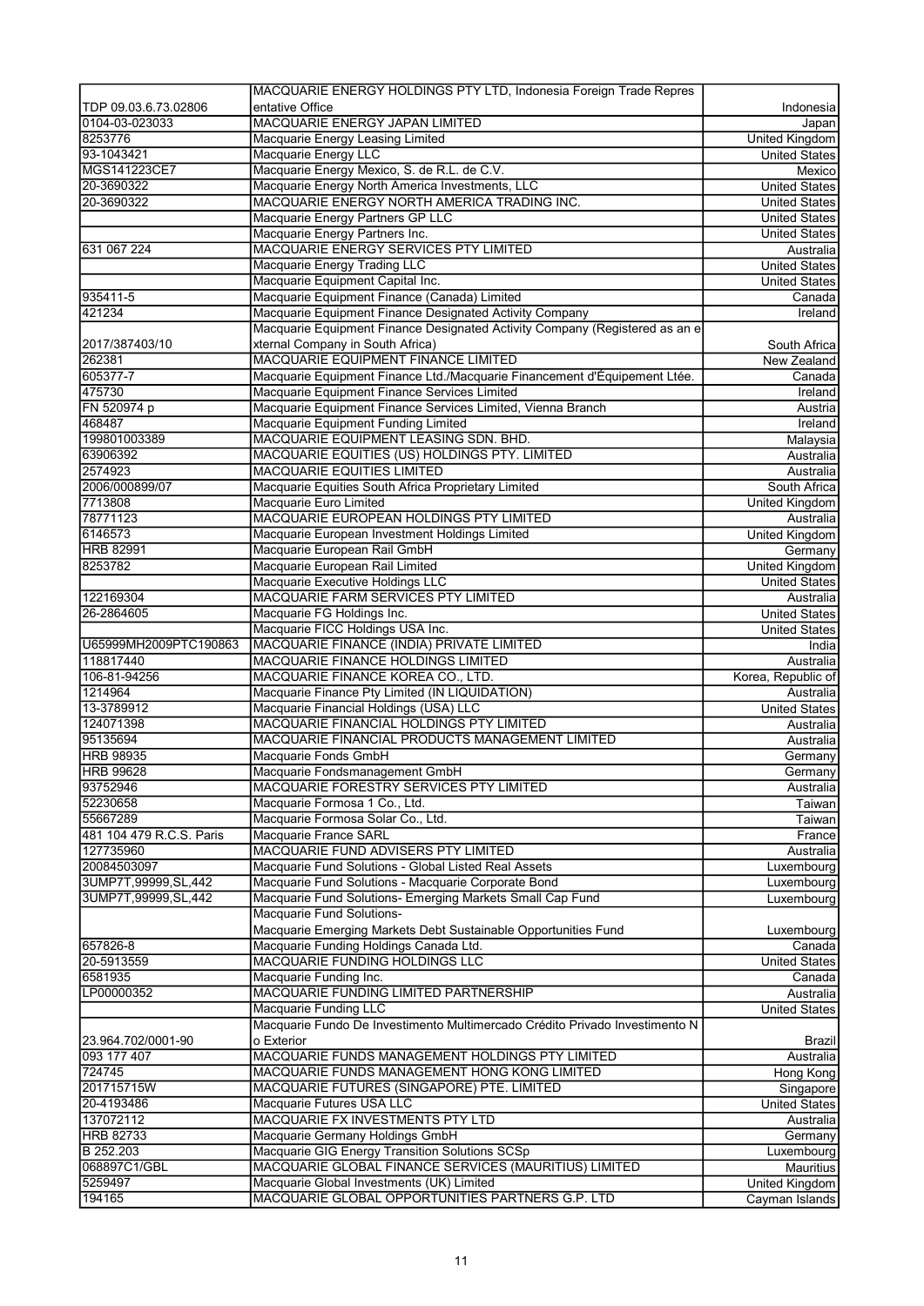|                          | MACQUARIE ENERGY HOLDINGS PTY LTD, Indonesia Foreign Trade Repres                                        |                       |
|--------------------------|----------------------------------------------------------------------------------------------------------|-----------------------|
| TDP 09.03.6.73.02806     | entative Office                                                                                          | Indonesia             |
| 0104-03-023033           | MACQUARIE ENERGY JAPAN LIMITED                                                                           | Japan                 |
| 8253776                  | Macquarie Energy Leasing Limited                                                                         | <b>United Kingdom</b> |
| 93-1043421               | Macquarie Energy LLC                                                                                     | <b>United States</b>  |
| MGS141223CE7             | Macquarie Energy Mexico, S. de R.L. de C.V.                                                              | Mexico                |
| 20-3690322               | Macquarie Energy North America Investments, LLC                                                          | <b>United States</b>  |
| 20-3690322               | MACQUARIE ENERGY NORTH AMERICA TRADING INC.                                                              | <b>United States</b>  |
|                          | Macquarie Energy Partners GP LLC                                                                         | <b>United States</b>  |
|                          | Macquarie Energy Partners Inc.                                                                           | <b>United States</b>  |
| 631 067 224              | MACQUARIE ENERGY SERVICES PTY LIMITED                                                                    | Australia             |
|                          | Macquarie Energy Trading LLC                                                                             | <b>United States</b>  |
|                          | Macquarie Equipment Capital Inc.                                                                         | <b>United States</b>  |
| 935411-5                 | Macquarie Equipment Finance (Canada) Limited                                                             | Canada                |
| 421234                   | Macquarie Equipment Finance Designated Activity Company                                                  | Ireland               |
|                          | Macquarie Equipment Finance Designated Activity Company (Registered as an e                              |                       |
| 2017/387403/10           | xternal Company in South Africa)                                                                         | South Africa          |
| 262381                   | MACQUARIE EQUIPMENT FINANCE LIMITED                                                                      | New Zealand           |
| 605377-7                 | Macquarie Equipment Finance Ltd./Macquarie Financement d'Équipement Ltée.                                | Canada                |
| 475730                   | Macquarie Equipment Finance Services Limited                                                             | Ireland               |
| FN 520974 p              | Macquarie Equipment Finance Services Limited, Vienna Branch                                              | Austria               |
| 468487                   | Macquarie Equipment Funding Limited                                                                      | Ireland               |
| 199801003389             | MACQUARIE EQUIPMENT LEASING SDN. BHD.                                                                    | Malaysia              |
| 63906392                 | MACQUARIE EQUITIES (US) HOLDINGS PTY. LIMITED                                                            | Australia             |
| 2574923                  | <b>MACQUARIE EQUITIES LIMITED</b>                                                                        | Australia             |
| 2006/000899/07           | Macquarie Equities South Africa Proprietary Limited                                                      | South Africa          |
| 7713808                  | Macquarie Euro Limited                                                                                   | United Kingdom        |
| 78771123                 | MACQUARIE EUROPEAN HOLDINGS PTY LIMITED                                                                  | Australia             |
| 6146573                  | Macquarie European Investment Holdings Limited                                                           | <b>United Kingdom</b> |
| <b>HRB 82991</b>         | Macquarie European Rail GmbH                                                                             | Germany               |
| 8253782                  | Macquarie European Rail Limited                                                                          | United Kingdom        |
|                          | Macquarie Executive Holdings LLC                                                                         | <b>United States</b>  |
| 122169304                | MACQUARIE FARM SERVICES PTY LIMITED                                                                      | Australia             |
| 26-2864605               | Macquarie FG Holdings Inc.                                                                               | <b>United States</b>  |
|                          | Macquarie FICC Holdings USA Inc.                                                                         | <b>United States</b>  |
| U65999MH2009PTC190863    | MACQUARIE FINANCE (INDIA) PRIVATE LIMITED                                                                | India                 |
| 118817440                | MACQUARIE FINANCE HOLDINGS LIMITED                                                                       | Australia             |
| 106-81-94256             | MACQUARIE FINANCE KOREA CO., LTD.                                                                        | Korea, Republic of    |
| 1214964                  | Macquarie Finance Pty Limited (IN LIQUIDATION)                                                           | Australia             |
| 13-3789912               | Macquarie Financial Holdings (USA) LLC                                                                   | <b>United States</b>  |
|                          |                                                                                                          |                       |
| 124071398                | MACQUARIE FINANCIAL HOLDINGS PTY LIMITED                                                                 | Australia             |
| 95135694                 | MACQUARIE FINANCIAL PRODUCTS MANAGEMENT LIMITED                                                          | Australia             |
| <b>HRB 98935</b>         | Macquarie Fonds GmbH                                                                                     | Germany               |
| <b>HRB 99628</b>         | Macquarie Fondsmanagement GmbH                                                                           | Germany               |
| 93752946                 | MACQUARIE FORESTRY SERVICES PTY LIMITED                                                                  | Australia             |
| 52230658                 | Macquarie Formosa 1 Co., Ltd.                                                                            | Taiwan                |
| 55667289                 | Macquarie Formosa Solar Co., Ltd.                                                                        | Taiwan                |
| 481 104 479 R.C.S. Paris | Macquarie France SARL                                                                                    | France                |
| 127735960                | MACQUARIE FUND ADVISERS PTY LIMITED                                                                      | Australia             |
| 20084503097              | Macquarie Fund Solutions - Global Listed Real Assets                                                     | Luxembourg            |
| 3UMP7T,99999,SL,442      | Macquarie Fund Solutions - Macquarie Corporate Bond                                                      | Luxembourg            |
| 3UMP7T,99999,SL,442      | Macquarie Fund Solutions- Emerging Markets Small Cap Fund                                                | Luxembourg            |
|                          | Macquarie Fund Solutions-                                                                                |                       |
|                          |                                                                                                          |                       |
| 657826-8                 | Macquarie Emerging Markets Debt Sustainable Opportunities Fund<br>Macquarie Funding Holdings Canada Ltd. | Luxembourg<br>Canada  |
| 20-5913559               | MACQUARIE FUNDING HOLDINGS LLC                                                                           | United States         |
| 6581935                  | Macquarie Funding Inc.                                                                                   | Canada                |
| LP00000352               | MACQUARIE FUNDING LIMITED PARTNERSHIP                                                                    | Australia             |
|                          | Macquarie Funding LLC                                                                                    | <b>United States</b>  |
|                          | Macquarie Fundo De Investimento Multimercado Crédito Privado Investimento N                              |                       |
| 23.964.702/0001-90       | o Exterior                                                                                               | Brazil                |
|                          | MACQUARIE FUNDS MANAGEMENT HOLDINGS PTY LIMITED                                                          | Australia             |
| 724745                   | MACQUARIE FUNDS MANAGEMENT HONG KONG LIMITED                                                             | Hong Kong             |
| 201715715W               | MACQUARIE FUTURES (SINGAPORE) PTE. LIMITED                                                               | Singapore             |
| 20-4193486               | Macquarie Futures USA LLC                                                                                | <b>United States</b>  |
| 137072112                | MACQUARIE FX INVESTMENTS PTY LTD                                                                         | Australia             |
| <b>HRB 82733</b>         | Macquarie Germany Holdings GmbH                                                                          | Germany               |
| 093 177 407<br>B 252.203 | Macquarie GIG Energy Transition Solutions SCSp                                                           | Luxembourg            |
| 068897C1/GBL             | MACQUARIE GLOBAL FINANCE SERVICES (MAURITIUS) LIMITED                                                    | <b>Mauritius</b>      |
| 5259497<br>194165        | Macquarie Global Investments (UK) Limited                                                                | United Kingdom        |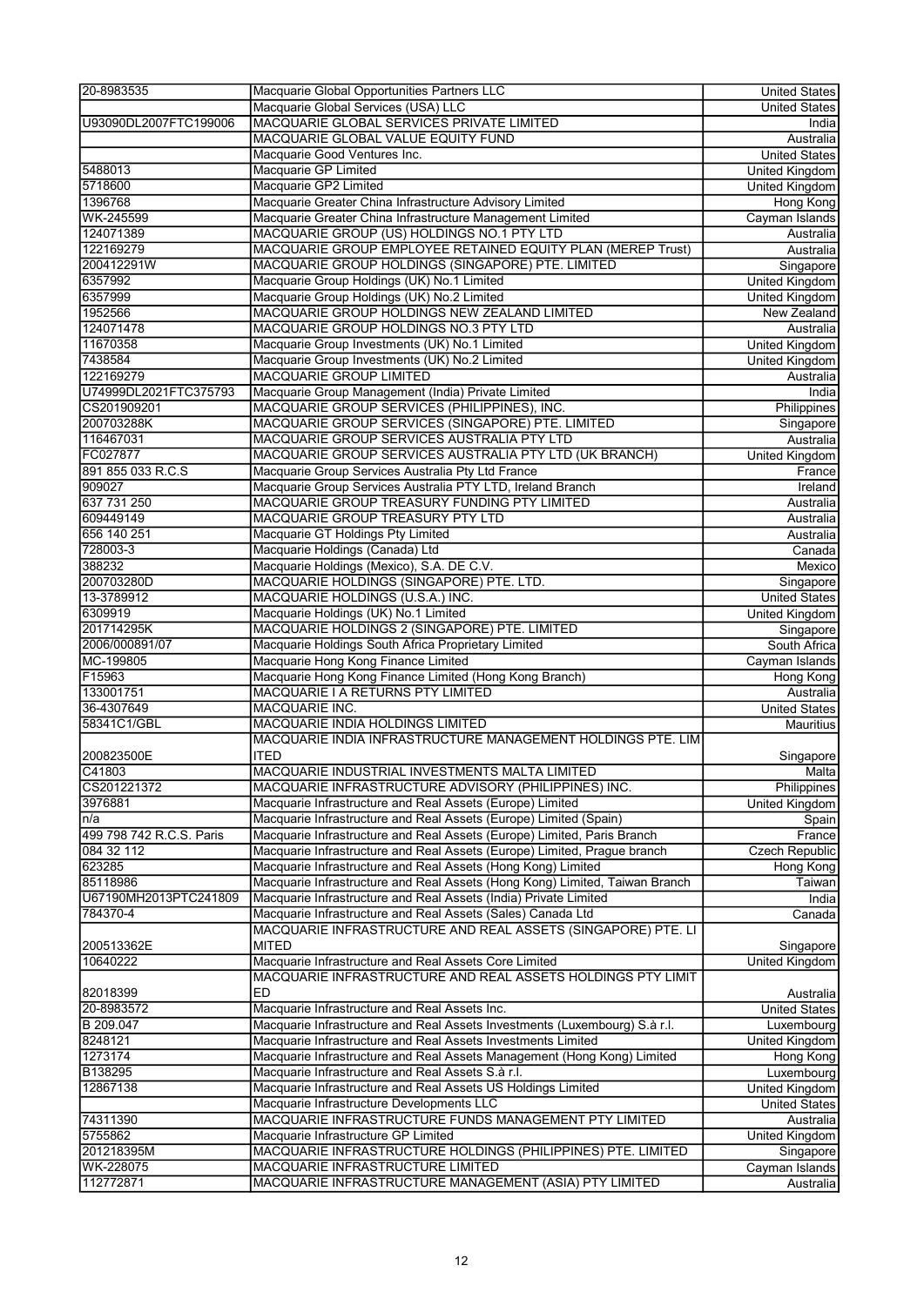| 20-8983535               | Macquarie Global Opportunities Partners LLC                                                | United States               |
|--------------------------|--------------------------------------------------------------------------------------------|-----------------------------|
|                          | Macquarie Global Services (USA) LLC                                                        | <b>United States</b>        |
| U93090DL2007FTC199006    | MACQUARIE GLOBAL SERVICES PRIVATE LIMITED                                                  | India                       |
|                          | MACQUARIE GLOBAL VALUE EQUITY FUND                                                         | Australia                   |
|                          | Macquarie Good Ventures Inc.                                                               | <b>United States</b>        |
| 5488013                  | Macquarie GP Limited                                                                       | <b>United Kingdom</b>       |
| 5718600                  | Macquarie GP2 Limited                                                                      | <b>United Kingdom</b>       |
| 1396768                  | Macquarie Greater China Infrastructure Advisory Limited                                    | Hong Kong                   |
| WK-245599                | Macquarie Greater China Infrastructure Management Limited                                  | Cayman Islands              |
| 124071389                | MACQUARIE GROUP (US) HOLDINGS NO.1 PTY LTD                                                 |                             |
|                          | MACQUARIE GROUP EMPLOYEE RETAINED EQUITY PLAN (MEREP Trust)                                | Australia<br>Australia      |
| 122169279<br>200412291W  |                                                                                            |                             |
|                          | MACQUARIE GROUP HOLDINGS (SINGAPORE) PTE. LIMITED                                          | Singapore                   |
| 6357992                  | Macquarie Group Holdings (UK) No.1 Limited                                                 | <b>United Kingdom</b>       |
| 6357999                  | Macquarie Group Holdings (UK) No.2 Limited                                                 | <b>United Kingdom</b>       |
| 1952566                  | MACQUARIE GROUP HOLDINGS NEW ZEALAND LIMITED                                               | New Zealand                 |
| 124071478                | MACQUARIE GROUP HOLDINGS NO.3 PTY LTD                                                      | Australia                   |
| 11670358                 | Macquarie Group Investments (UK) No.1 Limited                                              | United Kingdom              |
| 7438584                  | Macquarie Group Investments (UK) No.2 Limited                                              | <b>United Kingdom</b>       |
| 122169279                | <b>MACQUARIE GROUP LIMITED</b>                                                             | Australia                   |
| U74999DL2021FTC375793    | Macquarie Group Management (India) Private Limited                                         | India                       |
| CS201909201              | MACQUARIE GROUP SERVICES (PHILIPPINES), INC.                                               | Philippines                 |
| 200703288K               | MACQUARIE GROUP SERVICES (SINGAPORE) PTE. LIMITED                                          | Singapore                   |
| 116467031                | MACQUARIE GROUP SERVICES AUSTRALIA PTY LTD                                                 | Australia                   |
| FC027877                 | MACQUARIE GROUP SERVICES AUSTRALIA PTY LTD (UK BRANCH)                                     | United Kingdom              |
| 891 855 033 R.C.S        | Macquarie Group Services Australia Pty Ltd France                                          | France                      |
| 909027                   | Macquarie Group Services Australia PTY LTD, Ireland Branch                                 | Ireland                     |
| 637 731 250              | MACQUARIE GROUP TREASURY FUNDING PTY LIMITED                                               | Australia                   |
| 609449149                | MACQUARIE GROUP TREASURY PTY LTD                                                           | Australia                   |
| 656 140 251              | Macquarie GT Holdings Pty Limited                                                          | Australia                   |
| 728003-3                 | Macquarie Holdings (Canada) Ltd                                                            | Canada                      |
| 388232                   | Macquarie Holdings (Mexico), S.A. DE C.V.                                                  | Mexico                      |
| 200703280D               | MACQUARIE HOLDINGS (SINGAPORE) PTE. LTD.                                                   | Singapore                   |
| 13-3789912               | MACQUARIE HOLDINGS (U.S.A.) INC.                                                           | <b>United States</b>        |
| 6309919                  | Macquarie Holdings (UK) No.1 Limited                                                       |                             |
|                          |                                                                                            | <b>United Kingdom</b>       |
| 201714295K               | MACQUARIE HOLDINGS 2 (SINGAPORE) PTE. LIMITED                                              | Singapore                   |
| 2006/000891/07           | Macquarie Holdings South Africa Proprietary Limited                                        | South Africa                |
| MC-199805                | Macquarie Hong Kong Finance Limited                                                        | Cayman Islands              |
| F15963                   | Macquarie Hong Kong Finance Limited (Hong Kong Branch)                                     | <b>Hong Kong</b>            |
| 133001751                | MACQUARIE I A RETURNS PTY LIMITED                                                          | Australia                   |
| 36-4307649               | <b>MACQUARIE INC.</b>                                                                      | <b>United States</b>        |
| 58341C1/GBL              | MACQUARIE INDIA HOLDINGS LIMITED                                                           | <b>Mauritius</b>            |
|                          | MACQUARIE INDIA INFRASTRUCTURE MANAGEMENT HOLDINGS PTE. LIM                                |                             |
| 200823500E               | <b>ITED</b>                                                                                | Singapore                   |
| C41803                   | MACQUARIE INDUSTRIAL INVESTMENTS MALTA LIMITED                                             | Malta                       |
| CS201221372              | MACQUARIE INFRASTRUCTURE ADVISORY (PHILIPPINES) INC.                                       | <b>Philippines</b>          |
| 3976881                  | Macquarie Infrastructure and Real Assets (Europe) Limited                                  | United Kingdom              |
| n/a                      | Macquarie Infrastructure and Real Assets (Europe) Limited (Spain)                          | Spain                       |
| 499 798 742 R.C.S. Paris | Macquarie Infrastructure and Real Assets (Europe) Limited, Paris Branch                    | France                      |
| 084 32 112               | Macquarie Infrastructure and Real Assets (Europe) Limited, Prague branch                   | Czech Republic              |
| 623285                   | Macquarie Infrastructure and Real Assets (Hong Kong) Limited                               | Hong Kong                   |
| 85118986                 | Macquarie Infrastructure and Real Assets (Hong Kong) Limited, Taiwan Branch                | Taiwan                      |
| U67190MH2013PTC241809    | Macquarie Infrastructure and Real Assets (India) Private Limited                           | India                       |
| 784370-4                 | Macquarie Infrastructure and Real Assets (Sales) Canada Ltd                                | Canada                      |
|                          | MACQUARIE INFRASTRUCTURE AND REAL ASSETS (SINGAPORE) PTE. LI                               |                             |
| 200513362E               | <b>MITED</b>                                                                               | Singapore                   |
| 10640222                 | Macquarie Infrastructure and Real Assets Core Limited                                      | <b>United Kingdom</b>       |
|                          |                                                                                            |                             |
|                          |                                                                                            |                             |
| 82018399<br>20-8983572   | MACQUARIE INFRASTRUCTURE AND REAL ASSETS HOLDINGS PTY LIMIT                                |                             |
|                          | <b>ED</b>                                                                                  | Australia                   |
|                          | Macquarie Infrastructure and Real Assets Inc.                                              | <b>United States</b>        |
| B 209.047                | Macquarie Infrastructure and Real Assets Investments (Luxembourg) S.à r.l.                 | Luxembourg                  |
| 8248121                  | Macquarie Infrastructure and Real Assets Investments Limited                               | United Kingdom              |
| 1273174                  | Macquarie Infrastructure and Real Assets Management (Hong Kong) Limited                    | Hong Kong                   |
| B138295                  | Macquarie Infrastructure and Real Assets S.à r.l.                                          | Luxembourg                  |
| 12867138                 | Macquarie Infrastructure and Real Assets US Holdings Limited                               | United Kingdom              |
|                          | Macquarie Infrastructure Developments LLC                                                  | United States               |
| 74311390                 | MACQUARIE INFRASTRUCTURE FUNDS MANAGEMENT PTY LIMITED                                      | Australia                   |
| 5755862                  | Macquarie Infrastructure GP Limited                                                        | United Kingdom              |
| 201218395M               | MACQUARIE INFRASTRUCTURE HOLDINGS (PHILIPPINES) PTE. LIMITED                               | Singapore                   |
| WK-228075<br>112772871   | MACQUARIE INFRASTRUCTURE LIMITED<br>MACQUARIE INFRASTRUCTURE MANAGEMENT (ASIA) PTY LIMITED | Cayman Islands<br>Australia |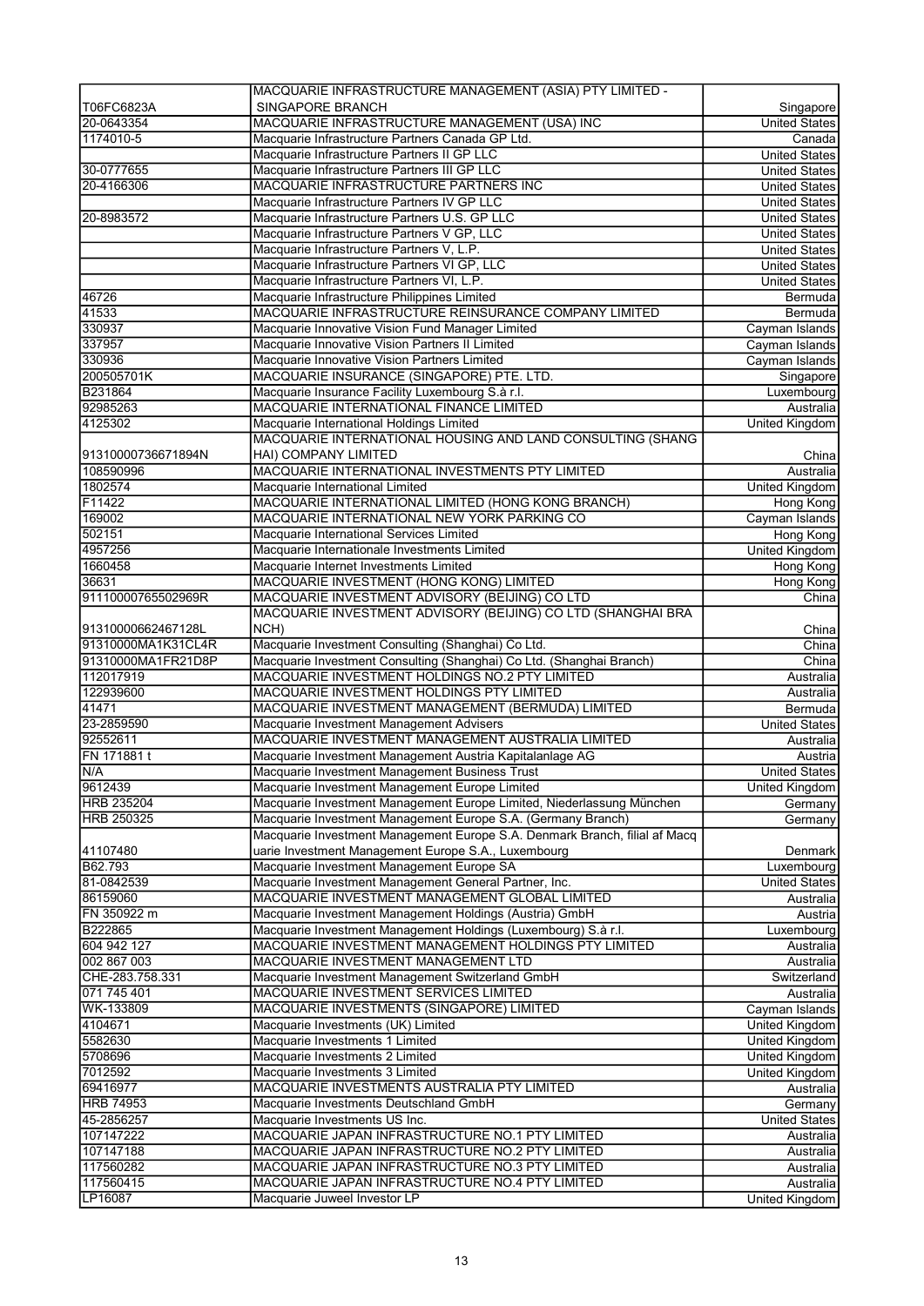|                        | MACQUARIE INFRASTRUCTURE MANAGEMENT (ASIA) PTY LIMITED -                                                               |                                              |
|------------------------|------------------------------------------------------------------------------------------------------------------------|----------------------------------------------|
| T06FC6823A             | SINGAPORE BRANCH                                                                                                       | Singapore                                    |
| 20-0643354             | MACQUARIE INFRASTRUCTURE MANAGEMENT (USA) INC                                                                          | <b>United States</b>                         |
| 1174010-5              | Macquarie Infrastructure Partners Canada GP Ltd.                                                                       | Canada                                       |
|                        | Macquarie Infrastructure Partners II GP LLC                                                                            | <b>United States</b>                         |
| 30-0777655             | Macquarie Infrastructure Partners III GP LLC                                                                           | <b>United States</b>                         |
| 20-4166306             | MACQUARIE INFRASTRUCTURE PARTNERS INC                                                                                  | <b>United States</b>                         |
|                        | Macquarie Infrastructure Partners IV GP LLC                                                                            | <b>United States</b>                         |
| 20-8983572             | Macquarie Infrastructure Partners U.S. GP LLC<br>Macquarie Infrastructure Partners V GP, LLC                           | <b>United States</b><br><b>United States</b> |
|                        | Macquarie Infrastructure Partners V, L.P.                                                                              | <b>United States</b>                         |
|                        | Macquarie Infrastructure Partners VI GP, LLC                                                                           | <b>United States</b>                         |
|                        | Macquarie Infrastructure Partners VI, L.P.                                                                             | <b>United States</b>                         |
| 46726                  | Macquarie Infrastructure Philippines Limited                                                                           | Bermuda                                      |
| 41533                  | MACQUARIE INFRASTRUCTURE REINSURANCE COMPANY LIMITED                                                                   | Bermuda                                      |
| 330937                 | Macquarie Innovative Vision Fund Manager Limited                                                                       | Cayman Islands                               |
| 337957                 | Macquarie Innovative Vision Partners II Limited                                                                        | Cayman Islands                               |
| 330936                 | Macquarie Innovative Vision Partners Limited                                                                           | Cayman Islands                               |
| 200505701K             | MACQUARIE INSURANCE (SINGAPORE) PTE. LTD.                                                                              | Singapore                                    |
| B231864                | Macquarie Insurance Facility Luxembourg S.à r.l.                                                                       | Luxembourg                                   |
| 92985263               | MACQUARIE INTERNATIONAL FINANCE LIMITED                                                                                | Australia                                    |
| 4125302                | Macquarie International Holdings Limited                                                                               | United Kingdom                               |
|                        | MACQUARIE INTERNATIONAL HOUSING AND LAND CONSULTING (SHANG                                                             |                                              |
| 91310000736671894N     | HAI) COMPANY LIMITED                                                                                                   | China                                        |
| 108590996              | MACQUARIE INTERNATIONAL INVESTMENTS PTY LIMITED                                                                        | Australia                                    |
| 1802574                | Macquarie International Limited                                                                                        | United Kingdom                               |
| F11422                 | MACQUARIE INTERNATIONAL LIMITED (HONG KONG BRANCH)                                                                     | Hong Kong                                    |
| 169002                 | MACQUARIE INTERNATIONAL NEW YORK PARKING CO                                                                            | Cayman Islands                               |
| 502151                 | Macquarie International Services Limited                                                                               | Hong Kong                                    |
| 4957256                | Macquarie Internationale Investments Limited                                                                           | United Kingdom                               |
| 1660458<br>36631       | Macquarie Internet Investments Limited<br>MACQUARIE INVESTMENT (HONG KONG) LIMITED                                     | Hong Kong                                    |
| 91110000765502969R     | MACQUARIE INVESTMENT ADVISORY (BEIJING) CO LTD                                                                         | Hong Kong<br>China                           |
|                        | MACQUARIE INVESTMENT ADVISORY (BEIJING) CO LTD (SHANGHAI BRA                                                           |                                              |
| 91310000662467128L     | NCH)                                                                                                                   | China                                        |
| 91310000MA1K31CL4R     | Macquarie Investment Consulting (Shanghai) Co Ltd.                                                                     | China                                        |
| 91310000MA1FR21D8P     | Macquarie Investment Consulting (Shanghai) Co Ltd. (Shanghai Branch)                                                   | $\overline{China}$                           |
| 112017919              | MACQUARIE INVESTMENT HOLDINGS NO.2 PTY LIMITED                                                                         | Australia                                    |
| 122939600              | MACQUARIE INVESTMENT HOLDINGS PTY LIMITED                                                                              | Australia                                    |
| 41471                  | MACQUARIE INVESTMENT MANAGEMENT (BERMUDA) LIMITED                                                                      | Bermuda                                      |
| 23-2859590             | Macquarie Investment Management Advisers                                                                               | <b>United States</b>                         |
| 92552611               | MACQUARIE INVESTMENT MANAGEMENT AUSTRALIA LIMITED                                                                      | Australia                                    |
| FN 171881 t            | Macquarie Investment Management Austria Kapitalanlage AG                                                               | Austria                                      |
| N/A                    | Macquarie Investment Management Business Trust                                                                         | United States                                |
| 9612439                | Macquarie Investment Management Europe Limited                                                                         | United Kingdom                               |
| <b>HRB 235204</b>      | Macquarie Investment Management Europe Limited, Niederlassung München                                                  | Germany                                      |
| <b>HRB 250325</b>      | Macquarie Investment Management Europe S.A. (Germany Branch)                                                           | Germany                                      |
|                        | Macquarie Investment Management Europe S.A. Denmark Branch, filial af Macq                                             |                                              |
| 41107480               | uarie Investment Management Europe S.A., Luxembourg                                                                    | Denmark                                      |
| B62.793                | Macquarie Investment Management Europe SA                                                                              | Luxembourg                                   |
| 81-0842539             | Macquarie Investment Management General Partner, Inc.                                                                  | United States                                |
| 86159060               | MACQUARIE INVESTMENT MANAGEMENT GLOBAL LIMITED                                                                         | Australia                                    |
| FN 350922 m            | Macquarie Investment Management Holdings (Austria) GmbH                                                                | Austria                                      |
| B222865<br>604 942 127 | Macquarie Investment Management Holdings (Luxembourg) S.à r.l.<br>MACQUARIE INVESTMENT MANAGEMENT HOLDINGS PTY LIMITED | Luxembourg<br>Australia                      |
| 002 867 003            | MACQUARIE INVESTMENT MANAGEMENT LTD                                                                                    | Australia                                    |
| CHE-283.758.331        | Macquarie Investment Management Switzerland GmbH                                                                       | Switzerland                                  |
| 071 745 401            | MACQUARIE INVESTMENT SERVICES LIMITED                                                                                  | Australia                                    |
| WK-133809              | MACQUARIE INVESTMENTS (SINGAPORE) LIMITED                                                                              | Cayman Islands                               |
| 4104671                | Macquarie Investments (UK) Limited                                                                                     | United Kingdom                               |
| 5582630                | Macquarie Investments 1 Limited                                                                                        | United Kingdom                               |
| 5708696                | Macquarie Investments 2 Limited                                                                                        | United Kingdom                               |
| 7012592                | Macquarie Investments 3 Limited                                                                                        | United Kingdom                               |
| 69416977               | MACQUARIE INVESTMENTS AUSTRALIA PTY LIMITED                                                                            | Australia                                    |
| <b>HRB 74953</b>       | Macquarie Investments Deutschland GmbH                                                                                 | Germany                                      |
| 45-2856257             | Macquarie Investments US Inc.                                                                                          | <b>United States</b>                         |
| 107147222              | MACQUARIE JAPAN INFRASTRUCTURE NO.1 PTY LIMITED                                                                        | Australia                                    |
| 107147188              | MACQUARIE JAPAN INFRASTRUCTURE NO.2 PTY LIMITED                                                                        | Australia                                    |
|                        |                                                                                                                        |                                              |
| 117560282              | MACQUARIE JAPAN INFRASTRUCTURE NO.3 PTY LIMITED                                                                        | Australia                                    |
| 117560415              | MACQUARIE JAPAN INFRASTRUCTURE NO.4 PTY LIMITED                                                                        | Australia                                    |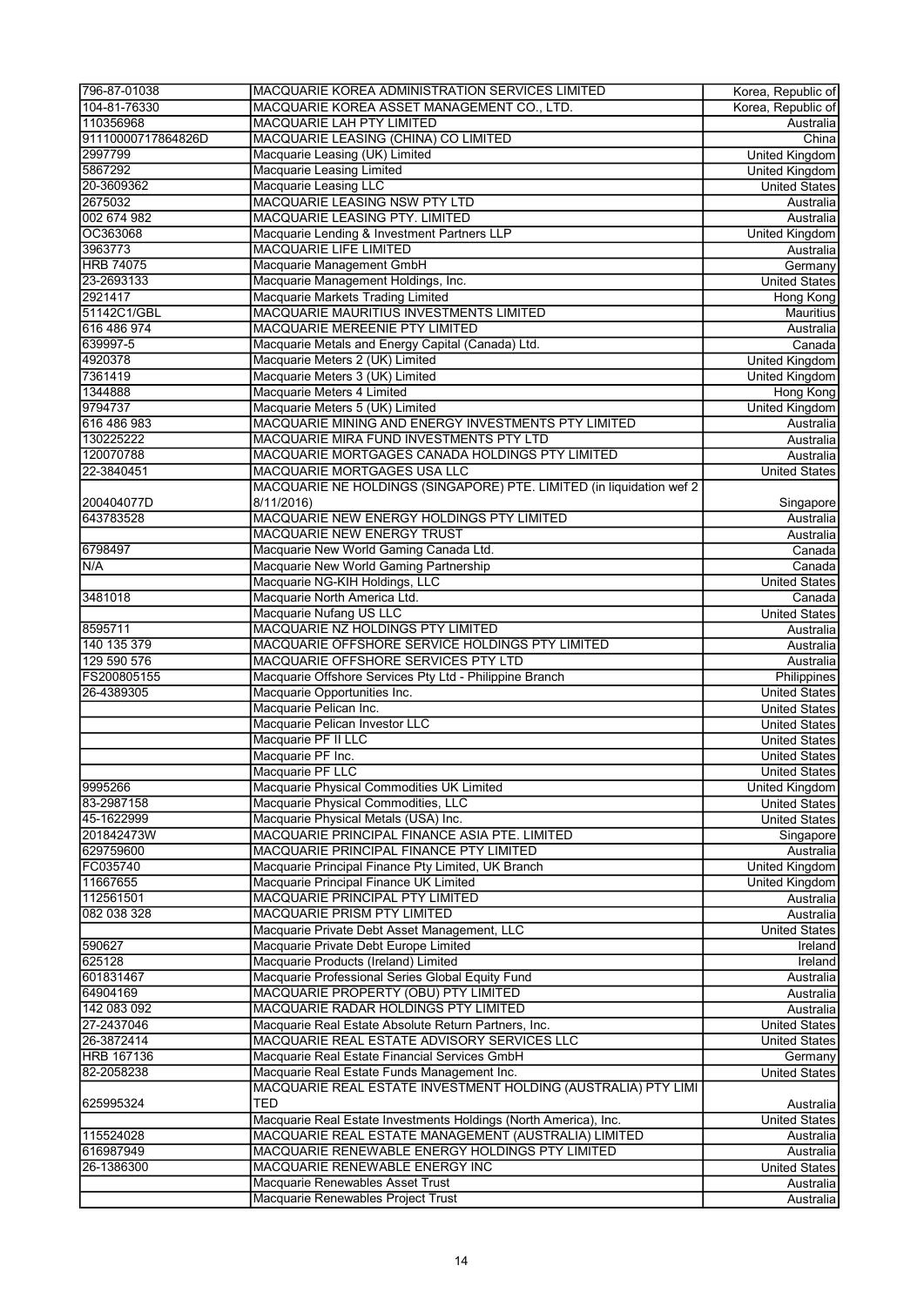| 796-87-01038          | MACQUARIE KOREA ADMINISTRATION SERVICES LIMITED                                          | Korea, Republic of              |
|-----------------------|------------------------------------------------------------------------------------------|---------------------------------|
| 104-81-76330          | MACQUARIE KOREA ASSET MANAGEMENT CO., LTD.                                               | Korea, Republic of              |
| 110356968             | <b>MACQUARIE LAH PTY LIMITED</b>                                                         | Australia                       |
| 91110000717864826D    | MACQUARIE LEASING (CHINA) CO LIMITED                                                     | China                           |
| 2997799               | Macquarie Leasing (UK) Limited                                                           | <b>United Kingdom</b>           |
| 5867292               | Macquarie Leasing Limited                                                                | <b>United Kingdom</b>           |
| 20-3609362            | <b>Macquarie Leasing LLC</b>                                                             | <b>United States</b>            |
| 2675032               | MACQUARIE LEASING NSW PTY LTD                                                            | Australia                       |
| 002 674 982           | MACQUARIE LEASING PTY. LIMITED                                                           | Australia                       |
| OC363068<br>3963773   | Macquarie Lending & Investment Partners LLP<br><b>MACQUARIE LIFE LIMITED</b>             | United Kingdom<br>Australia     |
| <b>HRB 74075</b>      | Macquarie Management GmbH                                                                | Germany                         |
| 23-2693133            | Macquarie Management Holdings, Inc.                                                      | <b>United States</b>            |
| 2921417               | <b>Macquarie Markets Trading Limited</b>                                                 | Hong Kong                       |
| 51142C1/GBL           | MACQUARIE MAURITIUS INVESTMENTS LIMITED                                                  | Mauritius                       |
| 616 486 974           | MACQUARIE MEREENIE PTY LIMITED                                                           | Australia                       |
| 639997-5              | Macquarie Metals and Energy Capital (Canada) Ltd.                                        | Canada                          |
| 4920378               | Macquarie Meters 2 (UK) Limited                                                          | <b>United Kingdom</b>           |
| 7361419               | Macquarie Meters 3 (UK) Limited                                                          | United Kingdom                  |
| 1344888               | Macquarie Meters 4 Limited                                                               | Hong Kong                       |
| 9794737               | Macquarie Meters 5 (UK) Limited                                                          | <b>United Kingdom</b>           |
| 616 486 983           | MACQUARIE MINING AND ENERGY INVESTMENTS PTY LIMITED                                      | Australia                       |
| 130225222             | MACQUARIE MIRA FUND INVESTMENTS PTY LTD                                                  | Australia                       |
| 120070788             | MACQUARIE MORTGAGES CANADA HOLDINGS PTY LIMITED                                          | Australia                       |
| 22-3840451            | MACQUARIE MORTGAGES USA LLC                                                              | <b>United States</b>            |
|                       | MACQUARIE NE HOLDINGS (SINGAPORE) PTE. LIMITED (in liquidation wef 2                     |                                 |
| 200404077D            | 8/11/2016)                                                                               | Singapore                       |
| 643783528             | MACQUARIE NEW ENERGY HOLDINGS PTY LIMITED                                                | Australia                       |
|                       | MACQUARIE NEW ENERGY TRUST                                                               | Australia                       |
| 6798497               | Macquarie New World Gaming Canada Ltd.                                                   | Canada                          |
| N/A                   | Macquarie New World Gaming Partnership                                                   | Canada                          |
|                       | Macquarie NG-KIH Holdings, LLC                                                           | <b>United States</b>            |
| 3481018               | Macquarie North America Ltd.                                                             | Canada                          |
|                       | Macquarie Nufang US LLC                                                                  | <b>United States</b>            |
| 8595711               | MACQUARIE NZ HOLDINGS PTY LIMITED                                                        | Australia                       |
| 140 135 379           | MACQUARIE OFFSHORE SERVICE HOLDINGS PTY LIMITED                                          | Australia                       |
| 129 590 576           | MACQUARIE OFFSHORE SERVICES PTY LTD                                                      | Australia                       |
| FS200805155           | Macquarie Offshore Services Pty Ltd - Philippine Branch                                  | Philippines                     |
| 26-4389305            | Macquarie Opportunities Inc.                                                             | <b>United States</b>            |
|                       | Macquarie Pelican Inc.                                                                   | <b>United States</b>            |
|                       | Macquarie Pelican Investor LLC                                                           | <b>United States</b>            |
|                       | Macquarie PF II LLC                                                                      | <b>United States</b>            |
|                       | Macquarie PF Inc.                                                                        | <b>United States</b>            |
|                       | Macquarie PF LLC                                                                         | <b>United States</b>            |
| 9995266               | Macquarie Physical Commodities UK Limited                                                | <b>United Kingdom</b>           |
| 83-2987158            | Macquarie Physical Commodities, LLC                                                      | <b>United States</b>            |
| 45-1622999            | Macquarie Physical Metals (USA) Inc.                                                     | <b>United States</b>            |
| 201842473W            | MACQUARIE PRINCIPAL FINANCE ASIA PTE. LIMITED                                            | Singapore                       |
| 629759600             | MACQUARIE PRINCIPAL FINANCE PTY LIMITED                                                  | Australia                       |
| FC035740              | Macquarie Principal Finance Pty Limited, UK Branch                                       | United Kingdom                  |
| 11667655              | Macquarie Principal Finance UK Limited                                                   | United Kingdom                  |
| 112561501             | MACQUARIE PRINCIPAL PTY LIMITED                                                          | Australia                       |
| 082 038 328           | MACQUARIE PRISM PTY LIMITED                                                              | Australia                       |
|                       | Macquarie Private Debt Asset Management, LLC                                             | <b>United States</b>            |
| 590627<br>625128      | Macquarie Private Debt Europe Limited                                                    | Ireland                         |
|                       | Macquarie Products (Ireland) Limited                                                     | Ireland                         |
| 601831467<br>64904169 | Macquarie Professional Series Global Equity Fund<br>MACQUARIE PROPERTY (OBU) PTY LIMITED | Australia                       |
| 142 083 092           | MACQUARIE RADAR HOLDINGS PTY LIMITED                                                     | Australia<br>Australia          |
| 27-2437046            | Macquarie Real Estate Absolute Return Partners, Inc.                                     | <b>United States</b>            |
| 26-3872414            | MACQUARIE REAL ESTATE ADVISORY SERVICES LLC                                              |                                 |
| <b>HRB 167136</b>     | Macquarie Real Estate Financial Services GmbH                                            | <b>United States</b><br>Germany |
| 82-2058238            | Macquarie Real Estate Funds Management Inc.                                              | <b>United States</b>            |
|                       | MACQUARIE REAL ESTATE INVESTMENT HOLDING (AUSTRALIA) PTY LIMI                            |                                 |
| 625995324             | <b>TED</b>                                                                               | Australia                       |
|                       | Macquarie Real Estate Investments Holdings (North America), Inc.                         | <b>United States</b>            |
| 115524028             | MACQUARIE REAL ESTATE MANAGEMENT (AUSTRALIA) LIMITED                                     | Australia                       |
| 616987949             | MACQUARIE RENEWABLE ENERGY HOLDINGS PTY LIMITED                                          | Australia                       |
| 26-1386300            | MACQUARIE RENEWABLE ENERGY INC                                                           | <b>United States</b>            |
|                       | Macquarie Renewables Asset Trust                                                         | Australia                       |
|                       | Macquarie Renewables Project Trust                                                       | Australia                       |
|                       |                                                                                          |                                 |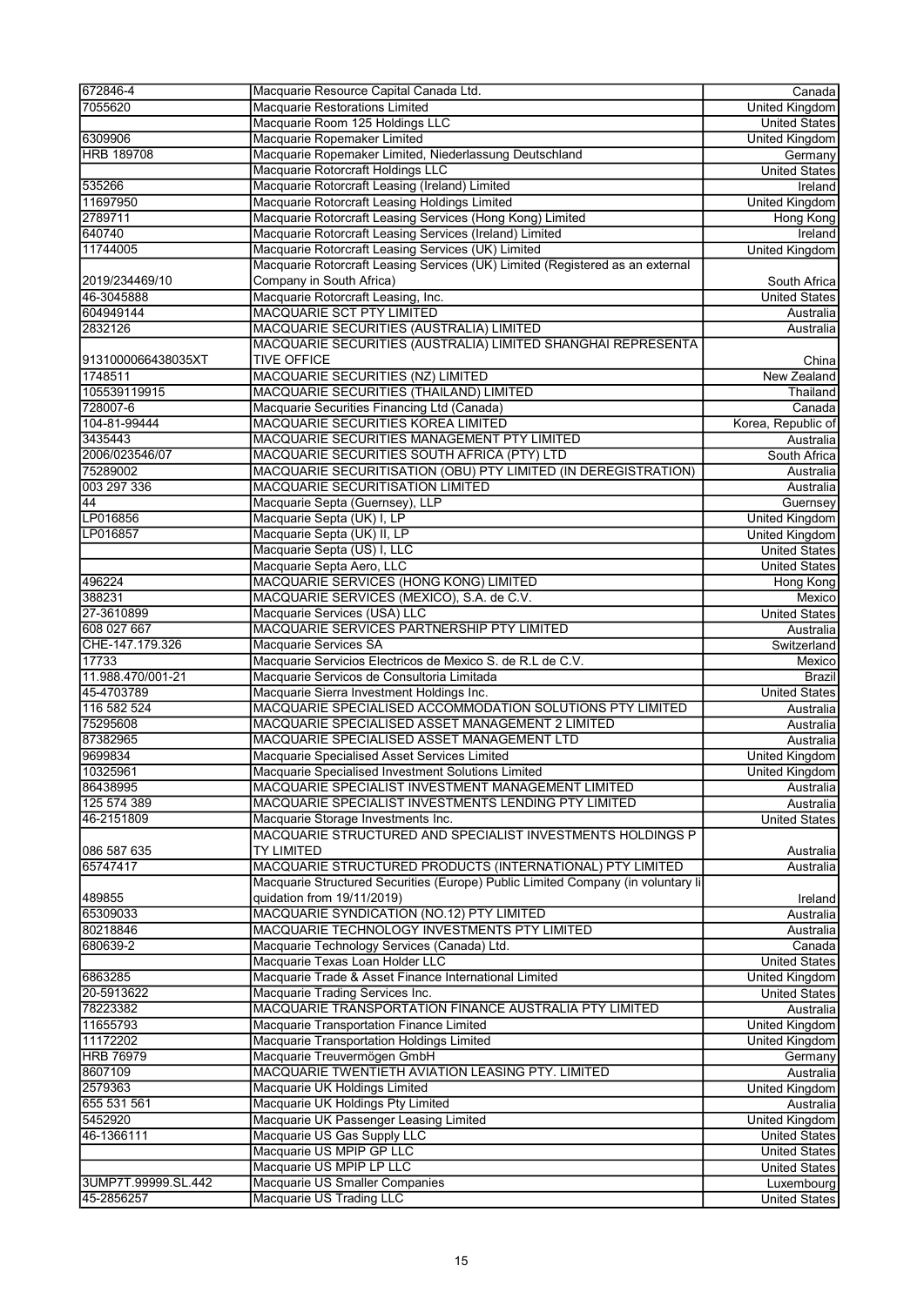| 672846-4                          | Macquarie Resource Capital Canada Ltd.                                           | Canada                |
|-----------------------------------|----------------------------------------------------------------------------------|-----------------------|
| 7055620                           | Macquarie Restorations Limited                                                   | <b>United Kingdom</b> |
|                                   | Macquarie Room 125 Holdings LLC                                                  |                       |
|                                   |                                                                                  | <b>United States</b>  |
| 6309906                           | Macquarie Ropemaker Limited                                                      | <b>United Kingdom</b> |
| <b>HRB 189708</b>                 | Macquarie Ropemaker Limited, Niederlassung Deutschland                           | Germany               |
|                                   | Macquarie Rotorcraft Holdings LLC                                                | <b>United States</b>  |
| 535266                            | Macquarie Rotorcraft Leasing (Ireland) Limited                                   | Ireland               |
| 11697950                          | Macquarie Rotorcraft Leasing Holdings Limited                                    | United Kingdom        |
| 2789711                           | Macquarie Rotorcraft Leasing Services (Hong Kong) Limited                        | Hong Kong             |
| 640740                            | Macquarie Rotorcraft Leasing Services (Ireland) Limited                          | Ireland               |
| 11744005                          | Macquarie Rotorcraft Leasing Services (UK) Limited                               | United Kingdom        |
|                                   |                                                                                  |                       |
|                                   | Macquarie Rotorcraft Leasing Services (UK) Limited (Registered as an external    |                       |
| 2019/234469/10                    | Company in South Africa)                                                         | South Africa          |
| 46-3045888                        | Macquarie Rotorcraft Leasing, Inc.                                               | <b>United States</b>  |
| 604949144                         | MACQUARIE SCT PTY LIMITED                                                        | Australia             |
| 2832126                           | MACQUARIE SECURITIES (AUSTRALIA) LIMITED                                         | Australia             |
|                                   | MACQUARIE SECURITIES (AUSTRALIA) LIMITED SHANGHAI REPRESENTA                     |                       |
| 9131000066438035XT                | <b>TIVE OFFICE</b>                                                               | China                 |
| 1748511                           | MACQUARIE SECURITIES (NZ) LIMITED                                                | New Zealand           |
|                                   |                                                                                  |                       |
| 105539119915                      | MACQUARIE SECURITIES (THAILAND) LIMITED                                          | Thailand              |
| 728007-6                          | Macquarie Securities Financing Ltd (Canada)                                      | Canada                |
| 104-81-99444                      | MACQUARIE SECURITIES KOREA LIMITED                                               | Korea, Republic of    |
| 3435443                           | MACQUARIE SECURITIES MANAGEMENT PTY LIMITED                                      | Australia             |
| 2006/023546/07                    | MACQUARIE SECURITIES SOUTH AFRICA (PTY) LTD                                      | South Africa          |
| 75289002                          | MACQUARIE SECURITISATION (OBU) PTY LIMITED (IN DEREGISTRATION)                   | Australia             |
| 003 297 336                       | <b>MACQUARIE SECURITISATION LIMITED</b>                                          | Australia             |
|                                   |                                                                                  |                       |
| 44                                | Macquarie Septa (Guernsey), LLP                                                  | Guernsey              |
| LP016856                          | Macquarie Septa (UK) I, LP                                                       | United Kingdom        |
| LP016857                          | Macquarie Septa (UK) II, LP                                                      | <b>United Kingdom</b> |
|                                   | Macquarie Septa (US) I, LLC                                                      | <b>United States</b>  |
|                                   | Macquarie Septa Aero, LLC                                                        | <b>United States</b>  |
| 496224                            | MACQUARIE SERVICES (HONG KONG) LIMITED                                           | Hong Kong             |
| 388231                            | MACQUARIE SERVICES (MEXICO), S.A. de C.V.                                        | Mexico                |
| 27-3610899                        | Macquarie Services (USA) LLC                                                     | <b>United States</b>  |
| 608 027 667                       |                                                                                  |                       |
|                                   | MACQUARIE SERVICES PARTNERSHIP PTY LIMITED                                       | Australia             |
| CHE-147.179.326                   | Macquarie Services SA                                                            | Switzerland           |
| 17733                             | Macquarie Servicios Electricos de Mexico S. de R.L de C.V.                       | Mexico                |
| 11.988.470/001-21                 | Macquarie Servicos de Consultoria Limitada                                       | <b>Brazil</b>         |
| 45-4703789                        | Macquarie Sierra Investment Holdings Inc.                                        | <b>United States</b>  |
| 116 582 524                       | MACQUARIE SPECIALISED ACCOMMODATION SOLUTIONS PTY LIMITED                        | Australia             |
| 75295608                          | MACQUARIE SPECIALISED ASSET MANAGEMENT 2 LIMITED                                 | Australia             |
| 87382965                          | MACQUARIE SPECIALISED ASSET MANAGEMENT LTD                                       | Australia             |
| 9699834                           | Macquarie Specialised Asset Services Limited                                     | United Kingdom        |
|                                   |                                                                                  |                       |
| 10325961                          | Macquarie Specialised Investment Solutions Limited                               | United Kingdom        |
| 86438995                          | MACQUARIE SPECIALIST INVESTMENT MANAGEMENT LIMITED                               | Australia             |
| 125 574 389                       | MACQUARIE SPECIALIST INVESTMENTS LENDING PTY LIMITED                             | Australia             |
| 46-2151809                        | Macquarie Storage Investments Inc.                                               | <b>United States</b>  |
|                                   | MACQUARIE STRUCTURED AND SPECIALIST INVESTMENTS HOLDINGS P                       |                       |
| 086 587 635                       | <b>TY LIMITED</b>                                                                | Australia             |
| 65747417                          | MACQUARIE STRUCTURED PRODUCTS (INTERNATIONAL) PTY LIMITED                        | Australia             |
|                                   | Macquarie Structured Securities (Europe) Public Limited Company (in voluntary li |                       |
|                                   | quidation from 19/11/2019)                                                       |                       |
| 489855                            |                                                                                  | Ireland               |
| 65309033                          | MACQUARIE SYNDICATION (NO.12) PTY LIMITED                                        | Australia             |
| 80218846                          | MACQUARIE TECHNOLOGY INVESTMENTS PTY LIMITED                                     | Australia             |
| 680639-2                          | Macquarie Technology Services (Canada) Ltd.                                      | Canada                |
|                                   | Macquarie Texas Loan Holder LLC                                                  | <b>United States</b>  |
| 6863285                           | Macquarie Trade & Asset Finance International Limited                            | United Kingdom        |
| 20-5913622                        | Macquarie Trading Services Inc.                                                  | <b>United States</b>  |
| 78223382                          | MACQUARIE TRANSPORTATION FINANCE AUSTRALIA PTY LIMITED                           | Australia             |
| 11655793                          | Macquarie Transportation Finance Limited                                         | United Kingdom        |
|                                   |                                                                                  |                       |
| 11172202                          | Macquarie Transportation Holdings Limited                                        | <b>United Kingdom</b> |
| <b>HRB 76979</b>                  | Macquarie Treuvermögen GmbH                                                      | Germany               |
| 8607109                           | MACQUARIE TWENTIETH AVIATION LEASING PTY. LIMITED                                | Australia             |
| 2579363                           | Macquarie UK Holdings Limited                                                    | United Kingdom        |
| 655 531 561                       | Macquarie UK Holdings Pty Limited                                                | Australia             |
| 5452920                           | Macquarie UK Passenger Leasing Limited                                           | <b>United Kingdom</b> |
| 46-1366111                        | Macquarie US Gas Supply LLC                                                      | <b>United States</b>  |
|                                   | Macquarie US MPIP GP LLC                                                         | <b>United States</b>  |
|                                   | Macquarie US MPIP LP LLC                                                         |                       |
|                                   |                                                                                  | <b>United States</b>  |
| 3UMP7T.99999.SL.442<br>45-2856257 | Macquarie US Smaller Companies                                                   | Luxembourg            |
|                                   | Macquarie US Trading LLC                                                         | <b>United States</b>  |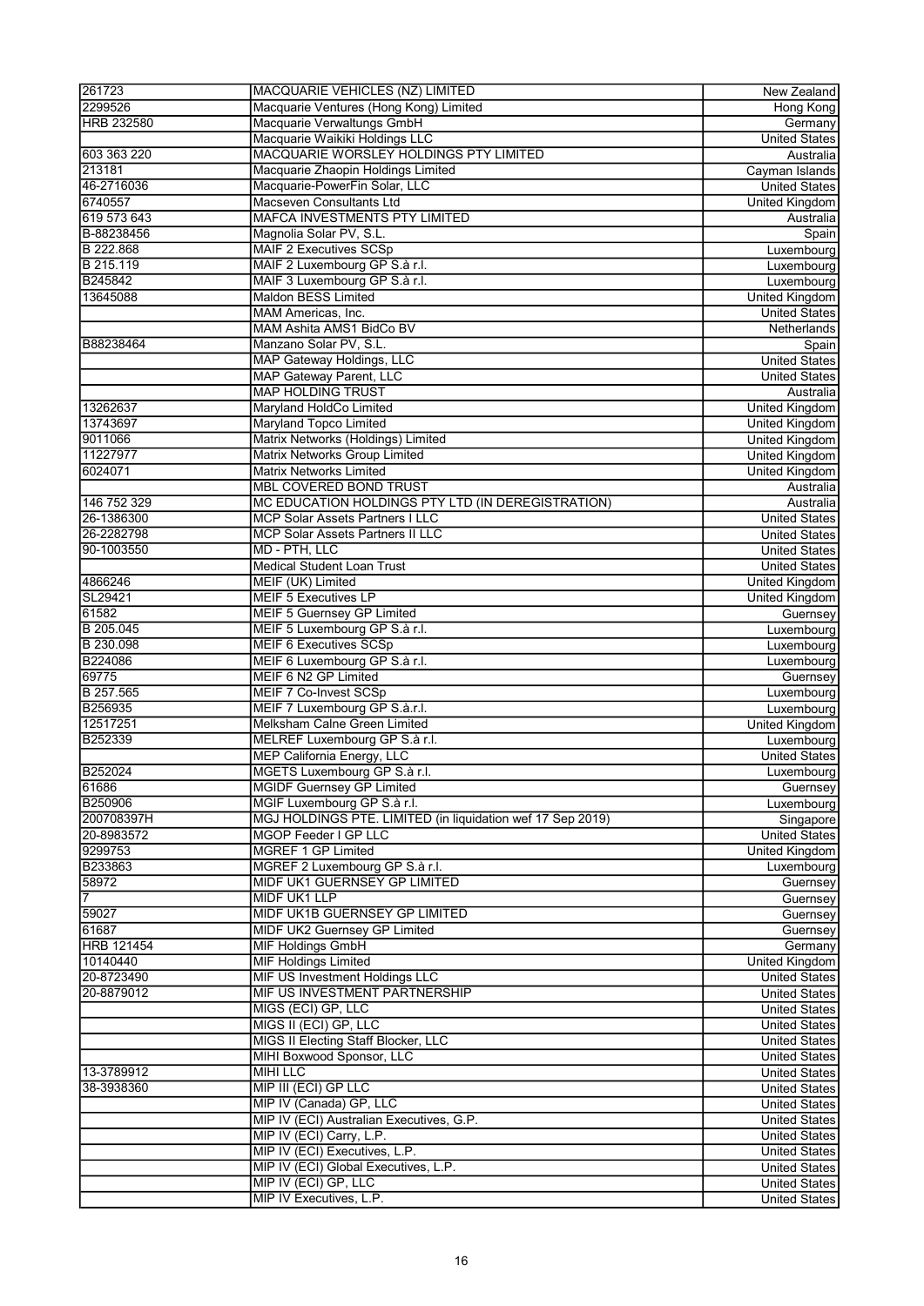| 261723            | MACQUARIE VEHICLES (NZ) LIMITED                            | New Zealand           |
|-------------------|------------------------------------------------------------|-----------------------|
| 2299526           | Macquarie Ventures (Hong Kong) Limited                     | <b>Hong Kong</b>      |
| <b>HRB 232580</b> | Macquarie Verwaltungs GmbH                                 |                       |
|                   |                                                            | Germany               |
|                   | Macquarie Waikiki Holdings LLC                             | <b>United States</b>  |
| 603 363 220       | MACQUARIE WORSLEY HOLDINGS PTY LIMITED                     | Australia             |
| 213181            | Macquarie Zhaopin Holdings Limited                         | Cayman Islands        |
| 46-2716036        | Macquarie-PowerFin Solar, LLC                              | <b>United States</b>  |
| 6740557           | Macseven Consultants Ltd                                   | United Kingdom        |
| 619 573 643       | <b>MAFCA INVESTMENTS PTY LIMITED</b>                       | Australia             |
| B-88238456        |                                                            |                       |
|                   | Magnolia Solar PV, S.L.                                    | Spain                 |
| B 222.868         | <b>MAIF 2 Executives SCSp</b>                              | Luxembourg            |
| B 215.119         | MAIF 2 Luxembourg GP S.à r.l.                              | Luxembourg            |
| B245842           | MAIF 3 Luxembourg GP S.à r.l.                              | Luxembourg            |
| 13645088          | Maldon BESS Limited                                        | <b>United Kingdom</b> |
|                   | MAM Americas, Inc.                                         | <b>United States</b>  |
|                   | MAM Ashita AMS1 BidCo BV                                   | Netherlands           |
|                   |                                                            |                       |
| B88238464         | Manzano Solar PV, S.L.                                     | Spain                 |
|                   | MAP Gateway Holdings, LLC                                  | <b>United States</b>  |
|                   | <b>MAP Gateway Parent, LLC</b>                             | <b>United States</b>  |
|                   | <b>MAP HOLDING TRUST</b>                                   | Australia             |
| 13262637          | Maryland HoldCo Limited                                    | <b>United Kingdom</b> |
| 13743697          | <b>Maryland Topco Limited</b>                              | United Kingdom        |
|                   |                                                            |                       |
| 9011066           | Matrix Networks (Holdings) Limited                         | United Kingdom        |
| 11227977          | Matrix Networks Group Limited                              | United Kingdom        |
| 6024071           | <b>Matrix Networks Limited</b>                             | <b>United Kingdom</b> |
|                   | <b>MBL COVERED BOND TRUST</b>                              | Australia             |
| 146 752 329       | MC EDUCATION HOLDINGS PTY LTD (IN DEREGISTRATION)          | Australia             |
| 26-1386300        | MCP Solar Assets Partners I LLC                            | <b>United States</b>  |
| 26-2282798        | <b>MCP Solar Assets Partners II LLC</b>                    | <b>United States</b>  |
|                   |                                                            |                       |
| 90-1003550        | MD - PTH, LLC                                              | <b>United States</b>  |
|                   | <b>Medical Student Loan Trust</b>                          | <b>United States</b>  |
| 4866246           | MEIF (UK) Limited                                          | <b>United Kingdom</b> |
| SL29421           | <b>MEIF 5 Executives LP</b>                                | United Kingdom        |
| 61582             | <b>MEIF 5 Guernsey GP Limited</b>                          | Guernsey              |
| B 205.045         | MEIF 5 Luxembourg GP S.à r.l.                              | Luxembourg            |
|                   |                                                            |                       |
| B 230.098         | <b>MEIF 6 Executives SCSp</b>                              | Luxembourg            |
| B224086           | MEIF 6 Luxembourg GP S.à r.l.                              | Luxembourg            |
| 69775             | MEIF 6 N2 GP Limited                                       | Guernsey              |
| B 257.565         | MEIF 7 Co-Invest SCSp                                      | Luxembourg            |
| B256935           | MEIF 7 Luxembourg GP S.à.r.l.                              | Luxembourg            |
| 12517251          | Melksham Calne Green Limited                               | <b>United Kingdom</b> |
|                   |                                                            |                       |
| B252339           | MELREF Luxembourg GP S.à r.l.                              | Luxembourg            |
|                   | <b>MEP California Energy, LLC</b>                          | <b>United States</b>  |
| B252024           | MGETS Luxembourg GP S.à r.l.                               | Luxembourg            |
| 61686             | <b>MGIDF Guernsey GP Limited</b>                           | Guernsey              |
| <b>B250906</b>    | MGIF Luxembourg GP S.à r.l.                                | Luxembourg            |
| 200708397H        | MGJ HOLDINGS PTE. LIMITED (in liquidation wef 17 Sep 2019) | Singapore             |
|                   | MGOP Feeder I GP LLC                                       |                       |
| 20-8983572        |                                                            | <b>United States</b>  |
| 9299753           | MGREF 1 GP Limited                                         | United Kingdom        |
| B233863           | MGREF 2 Luxembourg GP S.à r.l.                             | Luxembourg            |
| 58972             | MIDF UK1 GUERNSEY GP LIMITED                               | Guernsey              |
| 7                 | <b>MIDF UK1 LLP</b>                                        | Guernsey              |
| 59027             | MIDF UK1B GUERNSEY GP LIMITED                              | Guernsey              |
| 61687             | MIDF UK2 Guernsey GP Limited                               | Guernsey              |
|                   |                                                            |                       |
| <b>HRB 121454</b> | <b>MIF Holdings GmbH</b>                                   | Germany               |
| 10140440          | <b>MIF Holdings Limited</b>                                | United Kingdom        |
| 20-8723490        | <b>MIF US Investment Holdings LLC</b>                      | United States         |
| 20-8879012        | MIF US INVESTMENT PARTNERSHIP                              | United States         |
|                   | MIGS (ECI) GP, LLC                                         | <b>United States</b>  |
|                   | MIGS II (ECI) GP, LLC                                      | <b>United States</b>  |
|                   |                                                            |                       |
|                   | MIGS II Electing Staff Blocker, LLC                        | <b>United States</b>  |
|                   | <b>MIHI Boxwood Sponsor, LLC</b>                           | <b>United States</b>  |
| 13-3789912        | <b>MIHI LLC</b>                                            | <b>United States</b>  |
| 38-3938360        | MIP III (ECI) GP LLC                                       | United States         |
|                   | MIP IV (Canada) GP, LLC                                    | <b>United States</b>  |
|                   | MIP IV (ECI) Australian Executives, G.P.                   | <b>United States</b>  |
|                   |                                                            |                       |
|                   | MIP IV (ECI) Carry, L.P.                                   | United States         |
|                   | MIP IV (ECI) Executives, L.P.                              | United States         |
|                   | MIP IV (ECI) Global Executives, L.P.                       | United States         |
|                   | MIP IV (ECI) GP, LLC                                       | United States         |
|                   | MIP IV Executives, L.P.                                    | <b>United States</b>  |
|                   |                                                            |                       |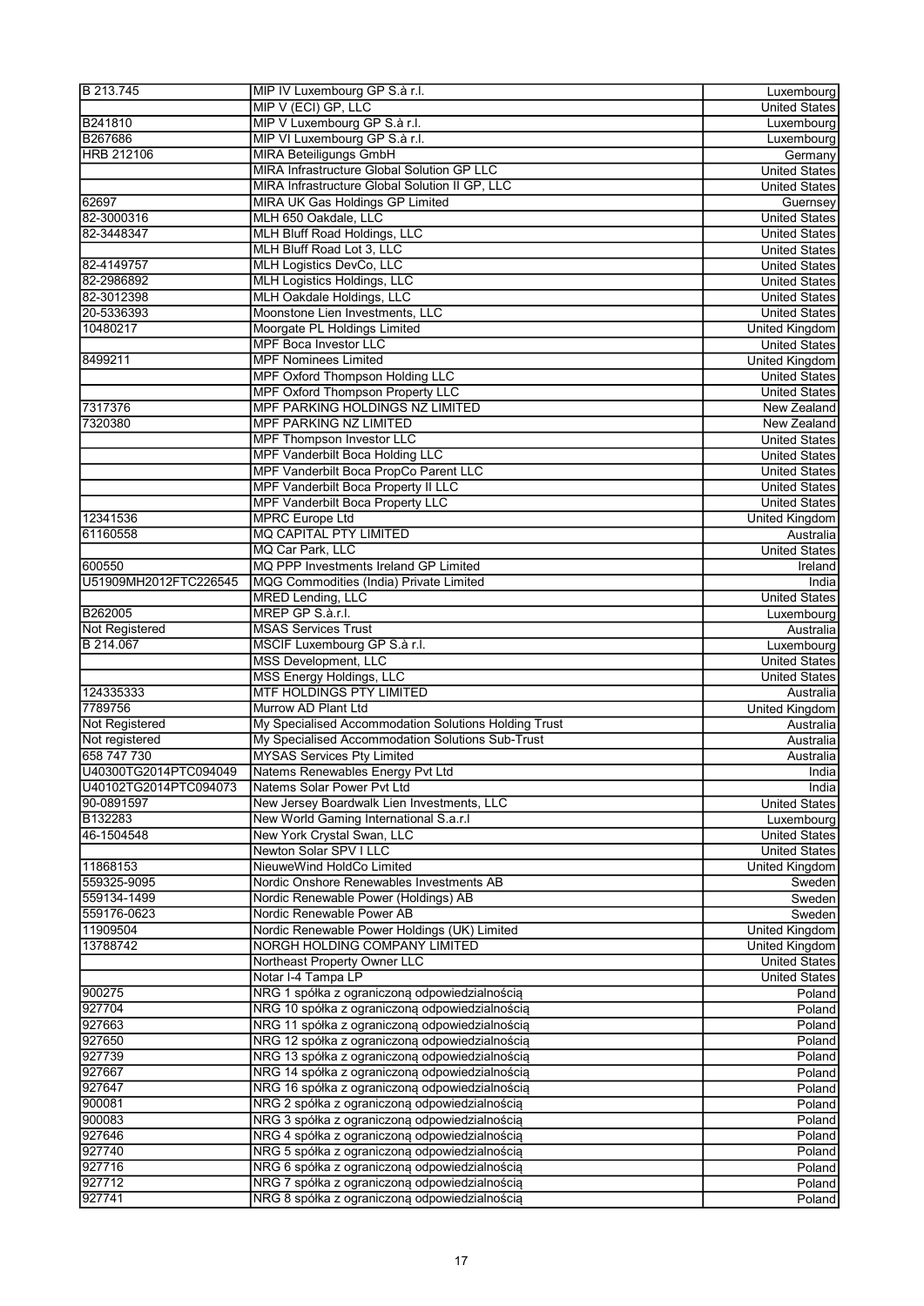| B 213.745             | MIP IV Luxembourg GP S.à r.l.                                                                  | Luxembourg            |
|-----------------------|------------------------------------------------------------------------------------------------|-----------------------|
|                       | MIP V (ECI) GP, LLC                                                                            | <b>United States</b>  |
| B241810               | MIP V Luxembourg GP S.à r.l.                                                                   | Luxembourg            |
| B267686               | MIP VI Luxembourg GP S.à r.l.                                                                  |                       |
|                       |                                                                                                | Luxembourg            |
| <b>HRB 212106</b>     | <b>MIRA Beteiligungs GmbH</b>                                                                  | Germany               |
|                       | MIRA Infrastructure Global Solution GP LLC                                                     | <b>United States</b>  |
|                       | MIRA Infrastructure Global Solution II GP, LLC                                                 | <b>United States</b>  |
| 62697                 | MIRA UK Gas Holdings GP Limited                                                                | Guernsey              |
| 82-3000316            | MLH 650 Oakdale, LLC                                                                           | <b>United States</b>  |
| 82-3448347            | <b>MLH Bluff Road Holdings, LLC</b>                                                            | <b>United States</b>  |
|                       | MLH Bluff Road Lot 3, LLC                                                                      | <b>United States</b>  |
| 82-4149757            | MLH Logistics DevCo, LLC                                                                       | <b>United States</b>  |
|                       |                                                                                                |                       |
| 82-2986892            | MLH Logistics Holdings, LLC                                                                    | <b>United States</b>  |
| 82-3012398            | <b>MLH Oakdale Holdings, LLC</b>                                                               | <b>United States</b>  |
| 20-5336393            | Moonstone Lien Investments, LLC                                                                | <b>United States</b>  |
| 10480217              | Moorgate PL Holdings Limited                                                                   | <b>United Kingdom</b> |
|                       | <b>MPF Boca Investor LLC</b>                                                                   | <b>United States</b>  |
| 8499211               | <b>MPF Nominees Limited</b>                                                                    | <b>United Kingdom</b> |
|                       | <b>MPF Oxford Thompson Holding LLC</b>                                                         | <b>United States</b>  |
|                       | <b>MPF Oxford Thompson Property LLC</b>                                                        |                       |
|                       |                                                                                                | <b>United States</b>  |
| 7317376               | MPF PARKING HOLDINGS NZ LIMITED                                                                | New Zealand           |
| 7320380               | <b>MPF PARKING NZ LIMITED</b>                                                                  | New Zealand           |
|                       | <b>MPF Thompson Investor LLC</b>                                                               | <b>United States</b>  |
|                       | <b>MPF Vanderbilt Boca Holding LLC</b>                                                         | <b>United States</b>  |
|                       | MPF Vanderbilt Boca PropCo Parent LLC                                                          | <b>United States</b>  |
|                       | <b>MPF Vanderbilt Boca Property II LLC</b>                                                     | <b>United States</b>  |
|                       | <b>MPF Vanderbilt Boca Property LLC</b>                                                        |                       |
|                       |                                                                                                | <b>United States</b>  |
| 12341536              | <b>MPRC Europe Ltd</b>                                                                         | <b>United Kingdom</b> |
| 61160558              | <b>MQ CAPITAL PTY LIMITED</b>                                                                  | Australia             |
|                       | MQ Car Park, LLC                                                                               | <b>United States</b>  |
| 600550                | MQ PPP Investments Ireland GP Limited                                                          | Ireland               |
| U51909MH2012FTC226545 | MQG Commodities (India) Private Limited                                                        | India                 |
|                       | <b>MRED Lending, LLC</b>                                                                       | <b>United States</b>  |
| B262005               | MREP GP S.à.r.l.                                                                               |                       |
|                       |                                                                                                | Luxembourg            |
| Not Registered        | <b>MSAS Services Trust</b>                                                                     | Australia             |
| B 214.067             | MSCIF Luxembourg GP S.à r.l.                                                                   | Luxembourg            |
|                       | <b>MSS Development, LLC</b>                                                                    | <b>United States</b>  |
|                       | <b>MSS Energy Holdings, LLC</b>                                                                | <b>United States</b>  |
| 124335333             | <b>MTF HOLDINGS PTY LIMITED</b>                                                                | Australia             |
| 7789756               | Murrow AD Plant Ltd                                                                            | United Kingdom        |
| Not Registered        | My Specialised Accommodation Solutions Holding Trust                                           | Australia             |
|                       | My Specialised Accommodation Solutions Sub-Trust                                               |                       |
| Not registered        |                                                                                                | Australia             |
| 658 747 730           | <b>MYSAS Services Pty Limited</b>                                                              | Australia             |
| U40300TG2014PTC094049 | Natems Renewables Energy Pvt Ltd                                                               | India                 |
| U40102TG2014PTC094073 | Natems Solar Power Pvt Ltd                                                                     | India                 |
| 90-0891597            | New Jersey Boardwalk Lien Investments, LLC                                                     | <b>United States</b>  |
| B132283               | New World Gaming International S.a.r.I                                                         | Luxembourg            |
| 46-1504548            | New York Crystal Swan, LLC                                                                     | <b>United States</b>  |
|                       |                                                                                                |                       |
|                       | Newton Solar SPV I LLC                                                                         | <b>United States</b>  |
| 11868153              | NieuweWind HoldCo Limited                                                                      | United Kingdom        |
| 559325-9095           | Nordic Onshore Renewables Investments AB                                                       | Sweden                |
| 559134-1499           | Nordic Renewable Power (Holdings) AB                                                           | Sweden                |
| 559176-0623           | Nordic Renewable Power AB                                                                      | Sweden                |
| 11909504              | Nordic Renewable Power Holdings (UK) Limited                                                   | <b>United Kingdom</b> |
| 13788742              | NORGH HOLDING COMPANY LIMITED                                                                  | United Kingdom        |
|                       | Northeast Property Owner LLC                                                                   | <b>United States</b>  |
|                       |                                                                                                |                       |
|                       | Notar I-4 Tampa LP                                                                             | <b>United States</b>  |
| 900275                | NRG 1 spółka z ograniczoną odpowiedzialnością                                                  | Poland                |
| 927704                | NRG 10 spółka z ograniczoną odpowiedzialnością                                                 | Poland                |
| 927663                | NRG 11 spółka z ograniczoną odpowiedzialnością                                                 | Poland                |
| 927650                | NRG 12 spółka z ograniczoną odpowiedzialnością                                                 | Poland                |
| 927739                | NRG 13 spółka z ograniczoną odpowiedzialnością                                                 | Poland                |
| 927667                | NRG 14 spółka z ograniczoną odpowiedzialnością                                                 | Poland                |
| 927647                | NRG 16 spółka z ograniczoną odpowiedzialnością                                                 | Poland                |
|                       |                                                                                                |                       |
| 900081                |                                                                                                |                       |
|                       | NRG 2 spółka z ograniczoną odpowiedzialnością                                                  | Poland                |
| 900083                | NRG 3 spółka z ograniczoną odpowiedzialnością                                                  | Poland                |
| 927646                | NRG 4 spółka z ograniczoną odpowiedzialnością                                                  | Poland                |
| 927740                | NRG 5 spółka z ograniczoną odpowiedzialnością                                                  | Poland                |
|                       |                                                                                                |                       |
| 927716                | NRG 6 spółka z ograniczoną odpowiedzialnością                                                  | Poland                |
| 927712<br>927741      | NRG 7 spółka z ograniczoną odpowiedzialnością<br>NRG 8 spółka z ograniczoną odpowiedzialnością | Poland<br>Poland      |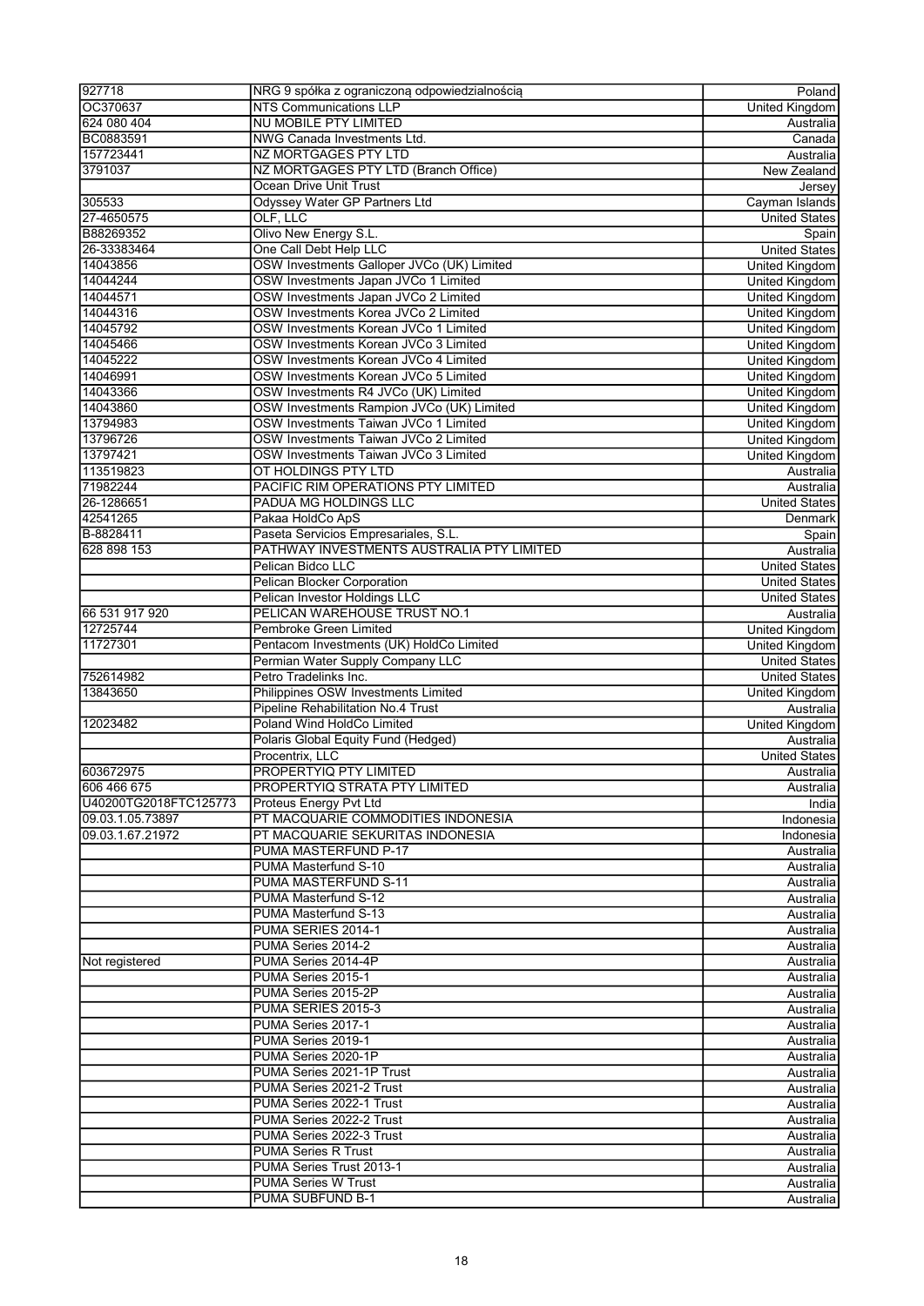| 927718                | NRG 9 spółka z ograniczoną odpowiedzialnością | Poland                |
|-----------------------|-----------------------------------------------|-----------------------|
| OC370637              | <b>NTS Communications LLP</b>                 | United Kingdom        |
| 624 080 404           | <b>NU MOBILE PTY LIMITED</b>                  | Australia             |
| BC0883591             | <b>NWG Canada Investments Ltd.</b>            | Canada                |
| 157723441             | <b>NZ MORTGAGES PTY LTD</b>                   | Australia             |
| 3791037               | NZ MORTGAGES PTY LTD (Branch Office)          | New Zealand           |
|                       | Ocean Drive Unit Trust                        | Jersey                |
| 305533                | Odyssey Water GP Partners Ltd                 | Cayman Islands        |
| 27-4650575            | OLF, LLC                                      | <b>United States</b>  |
| B88269352             | Olivo New Energy S.L.                         | Spain                 |
| 26-33383464           | One Call Debt Help LLC                        | <b>United States</b>  |
| 14043856              | OSW Investments Galloper JVCo (UK) Limited    |                       |
|                       |                                               | <b>United Kingdom</b> |
| 14044244              | OSW Investments Japan JVCo 1 Limited          | United Kingdom        |
| 14044571              | OSW Investments Japan JVCo 2 Limited          | United Kingdom        |
| 14044316              | OSW Investments Korea JVCo 2 Limited          | <b>United Kingdom</b> |
| 14045792              | OSW Investments Korean JVCo 1 Limited         | <b>United Kingdom</b> |
| 14045466              | OSW Investments Korean JVCo 3 Limited         | <b>United Kingdom</b> |
| 14045222              | OSW Investments Korean JVCo 4 Limited         | <b>United Kingdom</b> |
| 14046991              | OSW Investments Korean JVCo 5 Limited         | <b>United Kingdom</b> |
| 14043366              | OSW Investments R4 JVCo (UK) Limited          | United Kingdom        |
| 14043860              | OSW Investments Rampion JVCo (UK) Limited     | <b>United Kingdom</b> |
| 13794983              | OSW Investments Taiwan JVCo 1 Limited         | <b>United Kingdom</b> |
| 13796726              | OSW Investments Taiwan JVCo 2 Limited         | <b>United Kingdom</b> |
| 13797421              | OSW Investments Taiwan JVCo 3 Limited         | United Kingdom        |
| 113519823             | OT HOLDINGS PTY LTD                           | Australia             |
| 71982244              | PACIFIC RIM OPERATIONS PTY LIMITED            | Australia             |
| 26-1286651            | PADUA MG HOLDINGS LLC                         | <b>United States</b>  |
|                       |                                               |                       |
| 42541265              | Pakaa HoldCo ApS                              | Denmark               |
| B-8828411             | Paseta Servicios Empresariales, S.L.          | Spain                 |
| 628 898 153           | PATHWAY INVESTMENTS AUSTRALIA PTY LIMITED     | Australia             |
|                       | Pelican Bidco LLC                             | <b>United States</b>  |
|                       | Pelican Blocker Corporation                   | <b>United States</b>  |
|                       | Pelican Investor Holdings LLC                 | <b>United States</b>  |
| 66 531 917 920        | PELICAN WAREHOUSE TRUST NO.1                  | Australia             |
| 12725744              | Pembroke Green Limited                        | <b>United Kingdom</b> |
| 11727301              | Pentacom Investments (UK) HoldCo Limited      | United Kingdom        |
|                       | Permian Water Supply Company LLC              | <b>United States</b>  |
| 752614982             | Petro Tradelinks Inc.                         | <b>United States</b>  |
| 13843650              | Philippines OSW Investments Limited           | United Kingdom        |
|                       | Pipeline Rehabilitation No.4 Trust            | Australia             |
| 12023482              | Poland Wind HoldCo Limited                    | <b>United Kingdom</b> |
|                       | Polaris Global Equity Fund (Hedged)           | Australia             |
|                       | Procentrix. LLC                               | <b>United States</b>  |
|                       |                                               |                       |
| 603672975             | PROPERTYIQ PTY LIMITED                        | Australia             |
| 606 466 675           | PROPERTYIQ STRATA PTY LIMITED                 | Australia             |
| U40200TG2018FTC125773 | Proteus Energy Pvt Ltd                        | Indial                |
| 09.03.1.05.73897      | PT MACQUARIE COMMODITIES INDONESIA            | Indonesia             |
| 09.03.1.67.21972      | PT MACQUARIE SEKURITAS INDONESIA              | Indonesia             |
|                       | PUMA MASTERFUND P-17                          | Australia             |
|                       | PUMA Masterfund S-10                          | Australia             |
|                       | PUMA MASTERFUND S-11                          | Australia             |
|                       | PUMA Masterfund S-12                          | Australia             |
|                       | PUMA Masterfund S-13                          | Australia             |
|                       | PUMA SERIES 2014-1                            | Australia             |
|                       | PUMA Series 2014-2                            | Australia             |
| Not registered        | PUMA Series 2014-4P                           | Australia             |
|                       | PUMA Series 2015-1                            | Australia             |
|                       | PUMA Series 2015-2P                           | Australia             |
|                       | PUMA SERIES 2015-3                            | Australia             |
|                       |                                               |                       |
|                       | PUMA Series 2017-1                            | Australia             |
|                       | PUMA Series 2019-1                            | Australia             |
|                       | PUMA Series 2020-1P                           | Australia             |
|                       | PUMA Series 2021-1P Trust                     | Australia             |
|                       | PUMA Series 2021-2 Trust                      | Australia             |
|                       | PUMA Series 2022-1 Trust                      | Australia             |
|                       | PUMA Series 2022-2 Trust                      | Australia             |
|                       | PUMA Series 2022-3 Trust                      | Australia             |
|                       | <b>PUMA Series R Trust</b>                    | Australia             |
|                       | PUMA Series Trust 2013-1                      | Australia             |
|                       | <b>PUMA Series W Trust</b>                    | Australia             |
|                       | PUMA SUBFUND B-1                              | Australia             |
|                       |                                               |                       |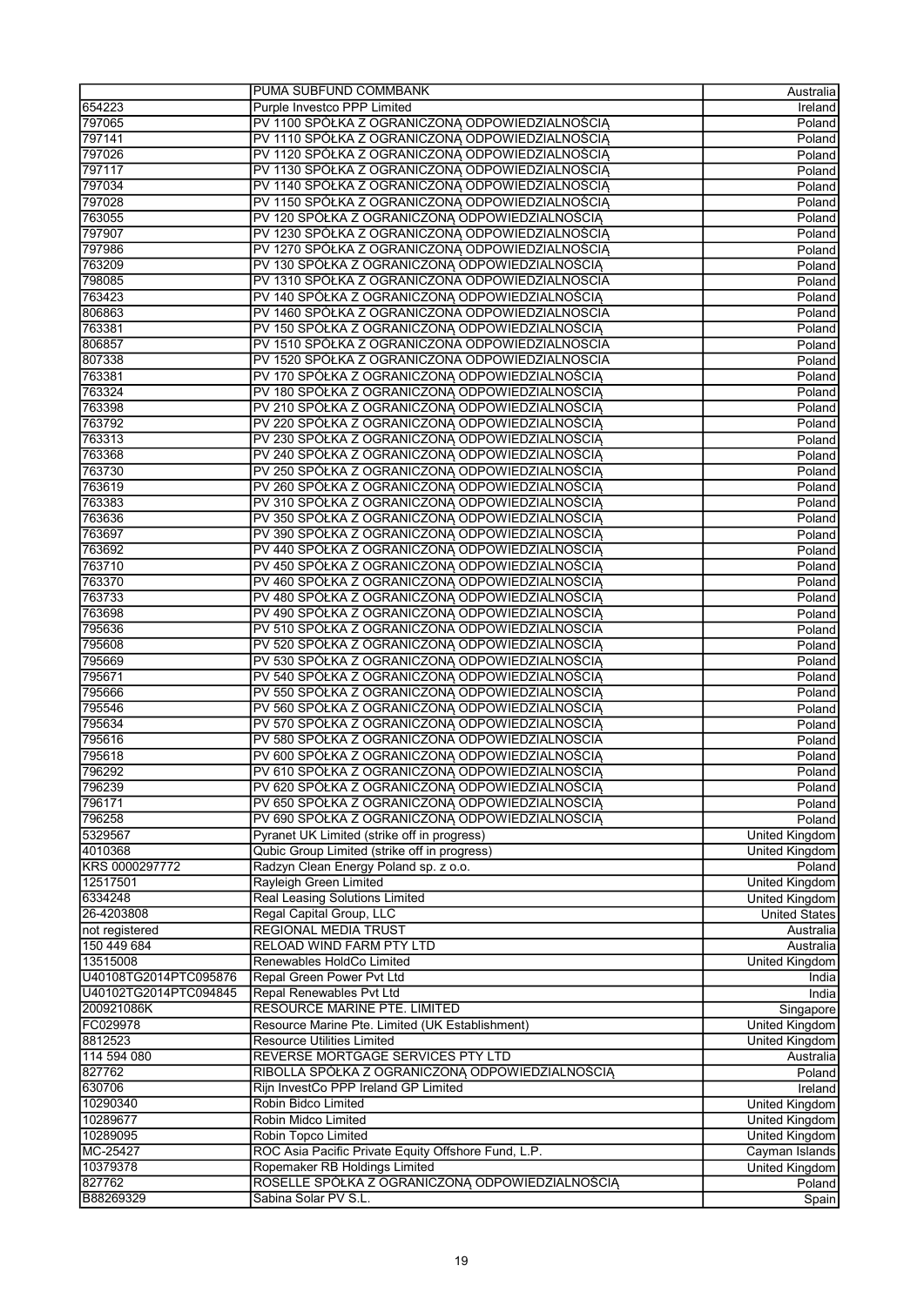|                       | PUMA SUBFUND COMMBANK                                                                            | Australia                               |
|-----------------------|--------------------------------------------------------------------------------------------------|-----------------------------------------|
| 654223                | Purple Investco PPP Limited                                                                      | Ireland                                 |
| 797065                | PV 1100 SPÓŁKA Z OGRANICZONĄ ODPOWIEDZIALNOŚCIĄ                                                  | Poland                                  |
| 797141                | PV 1110 SPÓŁKA Z OGRANICZONĄ ODPOWIEDZIALNOŚCIĄ                                                  | Poland                                  |
| 797026                | PV 1120 SPÓŁKA Z OGRANICZONĄ ODPOWIEDZIALNOŚCIĄ                                                  | Poland                                  |
| 797117                | PV 1130 SPÓŁKA Z OGRANICZONA ODPOWIEDZIALNOŚCIA                                                  | Poland                                  |
| 797034                | PV 1140 SPÓŁKA Z OGRANICZONĄ ODPOWIEDZIALNOŚCIĄ                                                  | Poland                                  |
| 797028                | PV 1150 SPÓŁKA Z OGRANICZONĄ ODPOWIEDZIALNOŚCIĄ                                                  | Poland                                  |
| 763055                | PV 120 SPÓŁKA Z OGRANICZONĄ ODPOWIEDZIALNOŚCIĄ                                                   | Poland                                  |
| 797907                | PV 1230 SPÓŁKA Z OGRANICZONĄ ODPOWIEDZIALNOŚCIĄ                                                  | Poland                                  |
| 797986                | PV 1270 SPÓŁKA Z OGRANICZONĄ ODPOWIEDZIALNOŚCIĄ                                                  | Poland                                  |
| 763209                | PV 130 SPÓŁKA Z OGRANICZONĄ ODPOWIEDZIALNOŚCIĄ                                                   | Poland                                  |
| 798085                | PV 1310 SPÓŁKA Z OGRANICZONA ODPOWIEDZIALNOSCIA                                                  | Poland                                  |
| 763423                | PV 140 SPÓŁKA Z OGRANICZONĄ ODPOWIEDZIALNOŚCIĄ                                                   | Poland                                  |
| 806863                | PV 1460 SPÓŁKA Z OGRANICZONA ODPOWIEDZIALNOSCIA                                                  | Poland                                  |
| 763381                | PV 150 SPÓŁKA Z OGRANICZONĄ ODPOWIEDZIALNOŚCIĄ                                                   | Poland                                  |
| 806857                | PV 1510 SPÓŁKA Z OGRANICZONA ODPOWIEDZIALNOSCIA                                                  | Poland                                  |
| 807338                | PV 1520 SPÓŁKA Z OGRANICZONA ODPOWIEDZIALNOSCIA                                                  | Poland                                  |
| 763381                | PV 170 SPÓŁKA Z OGRANICZONĄ ODPOWIEDZIALNOŚCIĄ                                                   | Poland                                  |
| 763324                | PV 180 SPÓŁKA Z OGRANICZONĄ ODPOWIEDZIALNOŚCIĄ                                                   | Poland                                  |
| 763398                | PV 210 SPÓŁKA Z OGRANICZONĄ ODPOWIEDZIALNOŚCIĄ                                                   | Poland                                  |
| 763792                | PV 220 SPÓŁKA Z OGRANICZONĄ ODPOWIEDZIALNOŚCIĄ                                                   | Poland                                  |
| 763313                | PV 230 SPÓŁKA Z OGRANICZONĄ ODPOWIEDZIALNOŚCIĄ                                                   | Poland                                  |
| 763368                | PV 240 SPÓŁKA Z OGRANICZONĄ ODPOWIEDZIALNOŚCIĄ                                                   | Poland                                  |
| 763730<br>763619      | PV 250 SPÓŁKA Z OGRANICZONA ODPOWIEDZIALNOŚCIA                                                   | Poland<br>Poland                        |
|                       | PV 260 SPÓŁKA Z OGRANICZONĄ ODPOWIEDZIALNOŚCIĄ                                                   |                                         |
| 763383                | PV 310 SPÓŁKA Z OGRANICZONĄ ODPOWIEDZIALNOŚCIĄ                                                   | Poland                                  |
| 763636<br>763697      | PV 350 SPÓŁKA Z OGRANICZONĄ ODPOWIEDZIALNOŚCIĄ                                                   | Poland                                  |
| 763692                | PV 390 SPÓŁKA Z OGRANICZONĄ ODPOWIEDZIALNOŚCIĄ                                                   | Poland                                  |
| 763710                | PV 440 SPÓŁKA Z OGRANICZONĄ ODPOWIEDZIALNOŚCIĄ                                                   | Poland                                  |
| 763370                | PV 450 SPÓŁKA Z OGRANICZONĄ ODPOWIEDZIALNOŚCIĄ<br>PV 460 SPÓŁKA Z OGRANICZONĄ ODPOWIEDZIALNOŚCIĄ | Poland<br>Poland                        |
| 763733                | PV 480 SPÓŁKA Z OGRANICZONĄ ODPOWIEDZIALNOŚCIĄ                                                   | Poland                                  |
| 763698                | PV 490 SPÓŁKA Z OGRANICZONĄ ODPOWIEDZIALNOŚCIĄ                                                   | Poland                                  |
| 795636                | PV 510 SPÓŁKA Z OGRANICZONA ODPOWIEDZIALNOSCIA                                                   | Poland                                  |
| 795608                | PV 520 SPÓŁKA Z OGRANICZONA ODPOWIEDZIALNOŚCIA                                                   | Poland                                  |
| 795669                | PV 530 SPÓŁKA Z OGRANICZONĄ ODPOWIEDZIALNOŚCIĄ                                                   | Poland                                  |
| 795671                | PV 540 SPÓŁKA Z OGRANICZONĄ ODPOWIEDZIALNOŚCIĄ                                                   | Poland                                  |
| 795666                | PV 550 SPÓŁKA Z OGRANICZONĄ ODPOWIEDZIALNOŚCIĄ                                                   | Poland                                  |
| 795546                | PV 560 SPÓŁKA Z OGRANICZONĄ ODPOWIEDZIALNOŚCIĄ                                                   | Poland                                  |
| 795634                | PV 570 SPÓŁKA Z OGRANICZONĄ ODPOWIEDZIALNOŚCIĄ                                                   | Poland                                  |
| 795616                | PV 580 SPÓŁKA Z OGRANICZONA ODPOWIEDZIALNOSCIA                                                   | Poland                                  |
| 795618                | PV 600 SPÓŁKA Z OGRANICZONĄ ODPOWIEDZIALNOŚCIĄ                                                   | Poland                                  |
| 796292                | PV 610 SPÓŁKA Z OGRANICZONĄ ODPOWIEDZIALNOŚCIĄ                                                   | Poland                                  |
| 796239                | PV 620 SPÓŁKA Z OGRANICZONĄ ODPOWIEDZIALNOŚCIĄ                                                   | Poland                                  |
| 796171                | PV 650 SPÓŁKA Z OGRANICZONĄ ODPOWIEDZIALNOŚCIĄ                                                   | Poland                                  |
| 796258                | PV 690 SPÓŁKA Z OGRANICZONĄ ODPOWIEDZIALNOŚCIĄ                                                   | Poland                                  |
| 5329567               | Pyranet UK Limited (strike off in progress)                                                      | United Kingdom                          |
| 4010368               | Qubic Group Limited (strike off in progress)                                                     | United Kingdom                          |
| KRS 0000297772        | Radzyn Clean Energy Poland sp. z o.o.                                                            | Poland                                  |
| 12517501              | Rayleigh Green Limited                                                                           | <b>United Kingdom</b>                   |
| 6334248               | <b>Real Leasing Solutions Limited</b>                                                            | <b>United Kingdom</b>                   |
| 26-4203808            | Regal Capital Group, LLC                                                                         | <b>United States</b>                    |
| not registered        | <b>REGIONAL MEDIA TRUST</b>                                                                      | Australia                               |
| 150 449 684           | RELOAD WIND FARM PTY LTD                                                                         | Australia                               |
| 13515008              | Renewables HoldCo Limited                                                                        | <b>United Kingdom</b>                   |
| U40108TG2014PTC095876 | Repal Green Power Pvt Ltd                                                                        | India                                   |
| U40102TG2014PTC094845 | Repal Renewables Pvt Ltd                                                                         | India                                   |
| 200921086K            | <b>RESOURCE MARINE PTE. LIMITED</b>                                                              | Singapore                               |
| FC029978              | Resource Marine Pte. Limited (UK Establishment)                                                  | United Kingdom                          |
| 8812523               | <b>Resource Utilities Limited</b>                                                                | United Kingdom                          |
| 114 594 080           | REVERSE MORTGAGE SERVICES PTY LTD                                                                | Australia                               |
| 827762                | RIBOLLA SPÓŁKA Z OGRANICZONĄ ODPOWIEDZIALNOŚCIĄ                                                  | Poland                                  |
| 630706                | Rijn InvestCo PPP Ireland GP Limited                                                             | <b>Ireland</b>                          |
| 10290340              | Robin Bidco Limited                                                                              | United Kingdom                          |
| 10289677              | Robin Midco Limited                                                                              | <b>United Kingdom</b>                   |
| 10289095              | Robin Topco Limited                                                                              | United Kingdom                          |
| MC-25427<br>10379378  | ROC Asia Pacific Private Equity Offshore Fund, L.P.<br>Ropemaker RB Holdings Limited             | Cayman Islands<br><b>United Kingdom</b> |
| 827762                | ROSELLE SPÓŁKA Z OGRANICZONĄ ODPOWIEDZIALNOŚCIĄ                                                  | Poland                                  |
| B88269329             | Sabina Solar PV S.L.                                                                             | Spain                                   |
|                       |                                                                                                  |                                         |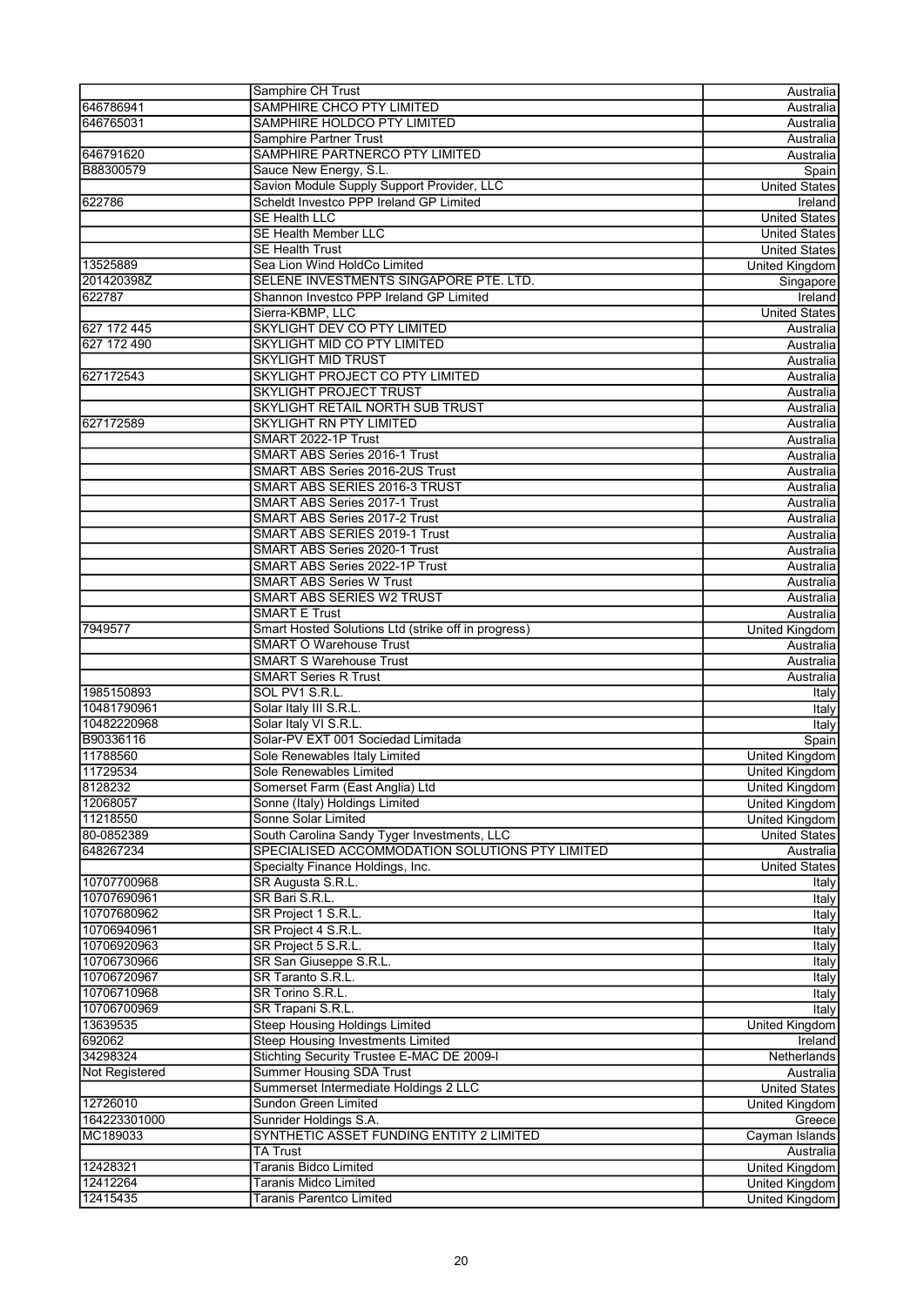|                | Samphire CH Trust                                   | Australia             |
|----------------|-----------------------------------------------------|-----------------------|
| 646786941      | SAMPHIRE CHCO PTY LIMITED                           | Australia             |
| 646765031      | SAMPHIRE HOLDCO PTY LIMITED                         | Australia             |
|                | <b>Samphire Partner Trust</b>                       | Australia             |
| 646791620      | SAMPHIRE PARTNERCO PTY LIMITED                      | Australia             |
|                |                                                     |                       |
| B88300579      | Sauce New Energy, S.L.                              | Spain                 |
|                | Savion Module Supply Support Provider, LLC          | <b>United States</b>  |
| 622786         | Scheldt Investco PPP Ireland GP Limited             | Ireland               |
|                | <b>SE Health LLC</b>                                | <b>United States</b>  |
|                | <b>SE Health Member LLC</b>                         | <b>United States</b>  |
|                | <b>SE Health Trust</b>                              | <b>United States</b>  |
| 13525889       | Sea Lion Wind HoldCo Limited                        | <b>United Kingdom</b> |
| 201420398Z     | SELENE INVESTMENTS SINGAPORE PTE. LTD.              | Singapore             |
|                |                                                     |                       |
| 622787         | Shannon Investco PPP Ireland GP Limited             | Ireland               |
|                | Sierra-KBMP, LLC                                    | <b>United States</b>  |
| 627 172 445    | SKYLIGHT DEV CO PTY LIMITED                         | Australia             |
| 627 172 490    | <b>SKYLIGHT MID CO PTY LIMITED</b>                  | Australia             |
|                | <b>SKYLIGHT MID TRUST</b>                           | Australia             |
| 627172543      | SKYLIGHT PROJECT CO PTY LIMITED                     | Australia             |
|                | <b>SKYLIGHT PROJECT TRUST</b>                       | Australia             |
|                | SKYLIGHT RETAIL NORTH SUB TRUST                     | Australia             |
|                |                                                     |                       |
| 627172589      | <b>SKYLIGHT RN PTY LIMITED</b>                      | Australia             |
|                | SMART 2022-1P Trust                                 | Australia             |
|                | SMART ABS Series 2016-1 Trust                       | Australia             |
|                | SMART ABS Series 2016-2US Trust                     | Australia             |
|                | SMART ABS SERIES 2016-3 TRUST                       | Australia             |
|                | <b>SMART ABS Series 2017-1 Trust</b>                | Australia             |
|                | SMART ABS Series 2017-2 Trust                       | Australia             |
|                |                                                     |                       |
|                | SMART ABS SERIES 2019-1 Trust                       | Australia             |
|                | SMART ABS Series 2020-1 Trust                       | Australia             |
|                | SMART ABS Series 2022-1P Trust                      | Australia             |
|                | <b>SMART ABS Series W Trust</b>                     | Australia             |
|                | <b>SMART ABS SERIES W2 TRUST</b>                    | Australia             |
|                | <b>SMART E Trust</b>                                | Australia             |
| 7949577        | Smart Hosted Solutions Ltd (strike off in progress) | <b>United Kingdom</b> |
|                | <b>SMART O Warehouse Trust</b>                      |                       |
|                |                                                     | Australia             |
|                | <b>SMART S Warehouse Trust</b>                      | Australia             |
|                | <b>SMART Series R Trust</b>                         | Australia             |
| 1985150893     | SOL PV1 S.R.L.                                      | Italy                 |
| 10481790961    | Solar Italy III S.R.L.                              | Italy                 |
| 10482220968    | Solar Italy VI S.R.L.                               | Italy                 |
| B90336116      | Solar-PV EXT 001 Sociedad Limitada                  | Spain                 |
| 11788560       | Sole Renewables Italy Limited                       | <b>United Kingdom</b> |
|                |                                                     |                       |
| 11729534       | Sole Renewables Limited                             | United Kingdom        |
| 8128232        | Somerset Farm (East Anglia) Ltd                     | <b>United Kingdom</b> |
| 12068057       | Sonne (Italy) Holdings Limited                      | United Kingdom        |
| 11218550       | Sonne Solar Limited                                 | United Kingdom        |
| 80-0852389     | South Carolina Sandy Tyger Investments, LLC         | <b>United States</b>  |
| 648267234      | SPECIALISED ACCOMMODATION SOLUTIONS PTY LIMITED     | Australia             |
|                | Specialty Finance Holdings, Inc.                    | <b>United States</b>  |
| 10707700968    | SR Augusta S.R.L.                                   |                       |
|                |                                                     | Italy                 |
| 10707690961    | SR Bari S.R.L.                                      | Italy                 |
| 10707680962    | SR Project 1 S.R.L.                                 | Italy                 |
| 10706940961    | SR Project 4 S.R.L.                                 | Italy                 |
| 10706920963    | SR Project 5 S.R.L.                                 | Italy                 |
| 10706730966    | SR San Giuseppe S.R.L.                              | Italy                 |
| 10706720967    | SR Taranto S.R.L.                                   | Italy                 |
| 10706710968    | SR Torino S.R.L.                                    | Italy                 |
| 10706700969    | SR Trapani S.R.L.                                   | Italy                 |
|                |                                                     |                       |
| 13639535       | <b>Steep Housing Holdings Limited</b>               | United Kingdom        |
| 692062         | <b>Steep Housing Investments Limited</b>            | Ireland               |
| 34298324       | Stichting Security Trustee E-MAC DE 2009-I          | Netherlands           |
| Not Registered | <b>Summer Housing SDA Trust</b>                     | Australia             |
|                | Summerset Intermediate Holdings 2 LLC               | <b>United States</b>  |
| 12726010       | Sundon Green Limited                                | <b>United Kingdom</b> |
| 164223301000   | Sunrider Holdings S.A.                              | Greece                |
|                |                                                     |                       |
| MC189033       | SYNTHETIC ASSET FUNDING ENTITY 2 LIMITED            | Cayman Islands        |
|                | <b>TA Trust</b>                                     | Australia             |
| 12428321       | <b>Taranis Bidco Limited</b>                        | United Kingdom        |
| 12412264       | <b>Taranis Midco Limited</b>                        | United Kingdom        |
| 12415435       | <b>Taranis Parentco Limited</b>                     | United Kingdom        |
|                |                                                     |                       |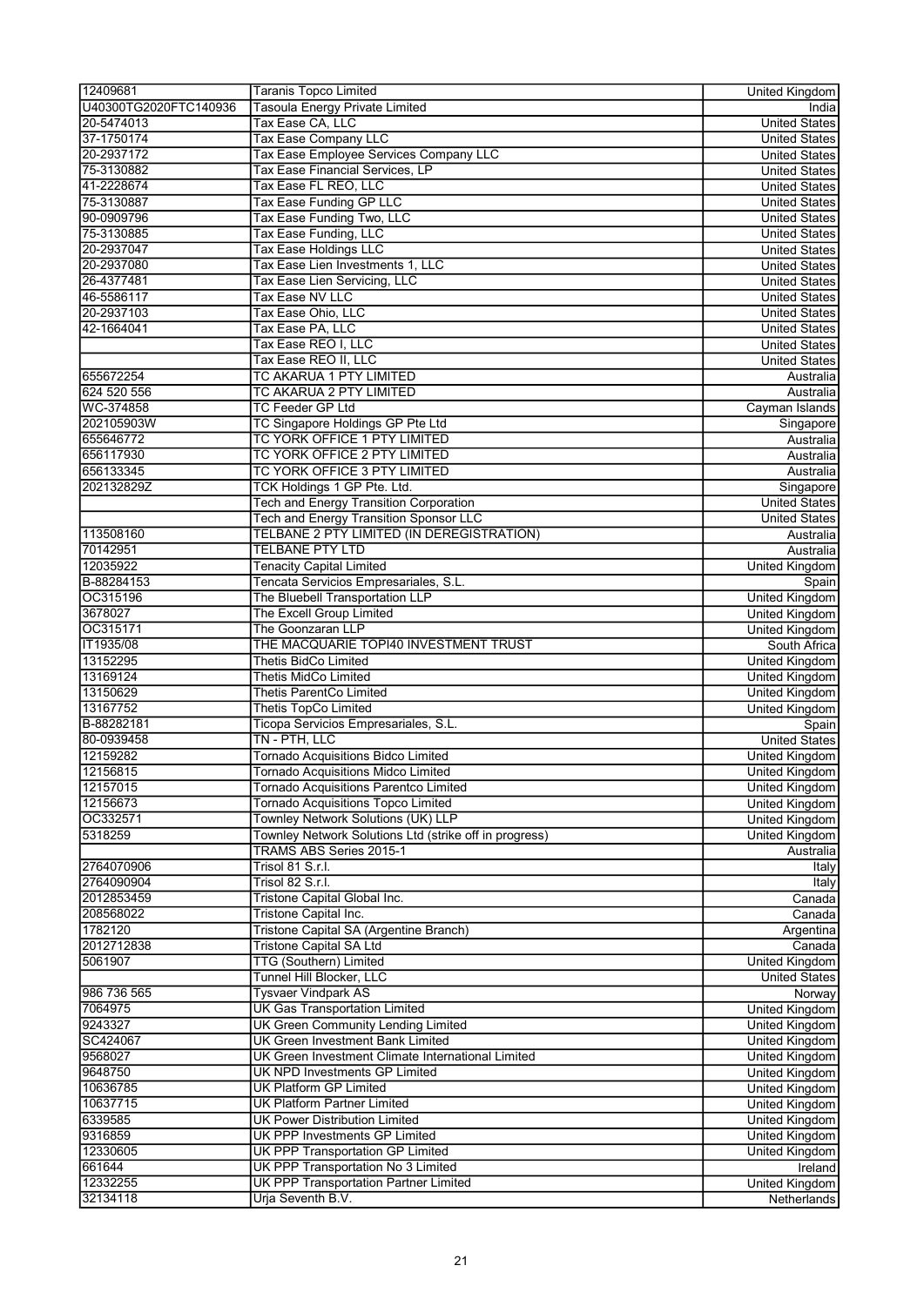| 12409681                 | <b>Taranis Topco Limited</b>                                        | <b>United Kingdom</b>         |
|--------------------------|---------------------------------------------------------------------|-------------------------------|
| U40300TG2020FTC140936    | <b>Tasoula Energy Private Limited</b>                               | India                         |
| 20-5474013               | Tax Ease CA, LLC                                                    | <b>United States</b>          |
| 37-1750174               | <b>Tax Ease Company LLC</b>                                         | <b>United States</b>          |
| 20-2937172               | Tax Ease Employee Services Company LLC                              | <b>United States</b>          |
| 75-3130882               | Tax Ease Financial Services, LP                                     | <b>United States</b>          |
| 41-2228674               | Tax Ease FL REO, LLC                                                | <b>United States</b>          |
| 75-3130887               | Tax Ease Funding GP LLC                                             | <b>United States</b>          |
| 90-0909796               | Tax Ease Funding Two, LLC                                           | <b>United States</b>          |
| 75-3130885               | Tax Ease Funding, LLC                                               | <b>United States</b>          |
| 20-2937047               | Tax Ease Holdings LLC                                               | <b>United States</b>          |
| 20-2937080               | Tax Ease Lien Investments 1, LLC                                    | <b>United States</b>          |
| 26-4377481               | Tax Ease Lien Servicing, LLC                                        | <b>United States</b>          |
| 46-5586117               | <b>Tax Ease NV LLC</b>                                              | <b>United States</b>          |
| 20-2937103               | Tax Ease Ohio, LLC                                                  | <b>United States</b>          |
| 42-1664041               | Tax Ease PA, LLC                                                    | <b>United States</b>          |
|                          | Tax Ease REO I, LLC                                                 | <b>United States</b>          |
|                          | Tax Ease REO II, LLC                                                | <b>United States</b>          |
| 655672254                | TC AKARUA 1 PTY LIMITED                                             | Australia                     |
| 624 520 556              | TC AKARUA 2 PTY LIMITED                                             | Australia                     |
| WC-374858                | <b>TC Feeder GP Ltd</b>                                             | Cayman Islands                |
| 202105903W               | TC Singapore Holdings GP Pte Ltd                                    | Singapore                     |
| 655646772                | TC YORK OFFICE 1 PTY LIMITED                                        | Australia                     |
| 656117930                | TC YORK OFFICE 2 PTY LIMITED                                        | Australia                     |
| 656133345                | TC YORK OFFICE 3 PTY LIMITED                                        | Australia                     |
| 202132829Z               | TCK Holdings 1 GP Pte. Ltd.                                         | Singapore                     |
|                          | <b>Tech and Energy Transition Corporation</b>                       | <b>United States</b>          |
|                          | Tech and Energy Transition Sponsor LLC                              | <b>United States</b>          |
| 113508160                | TELBANE 2 PTY LIMITED (IN DEREGISTRATION)                           | Australia                     |
| 70142951                 | <b>TELBANE PTY LTD</b>                                              | Australia                     |
| 12035922                 | <b>Tenacity Capital Limited</b>                                     | <b>United Kingdom</b>         |
| B-88284153               | Tencata Servicios Empresariales, S.L.                               | Spain                         |
| OC315196                 | The Bluebell Transportation LLP                                     | <b>United Kingdom</b>         |
| 3678027                  | The Excell Group Limited                                            | United Kingdom                |
| OC315171                 | The Goonzaran LLP                                                   | <b>United Kingdom</b>         |
| IT1935/08                | THE MACQUARIE TOPI40 INVESTMENT TRUST                               | South Africa                  |
| 13152295                 | <b>Thetis BidCo Limited</b>                                         | <b>United Kingdom</b>         |
| 13169124                 | <b>Thetis MidCo Limited</b>                                         | <b>United Kingdom</b>         |
| 13150629                 | <b>Thetis ParentCo Limited</b>                                      | <b>United Kingdom</b>         |
| 13167752                 | <b>Thetis TopCo Limited</b><br>Ticopa Servicios Empresariales, S.L. | <b>United Kingdom</b>         |
| B-88282181<br>80-0939458 | TN - PTH, LLC                                                       | Spain<br><b>United States</b> |
| 12159282                 | <b>Tornado Acquisitions Bidco Limited</b>                           | United Kingdom                |
| 12156815                 | <b>Tornado Acquisitions Midco Limited</b>                           | United Kingdom                |
| 12157015                 | Tornado Acquisitions Parentco Limited                               | <b>United Kingdom</b>         |
| 12156673                 | <b>Tornado Acquisitions Topco Limited</b>                           | <b>United Kingdom</b>         |
| OC332571                 | Townley Network Solutions (UK) LLP                                  | United Kingdom                |
| 5318259                  | Townley Network Solutions Ltd (strike off in progress)              | United Kingdom                |
|                          | TRAMS ABS Series 2015-1                                             | Australia                     |
| 2764070906               | Trisol 81 S.r.l.                                                    | Italy                         |
| 2764090904               | Trisol 82 S.r.l.                                                    | Italy                         |
| 2012853459               | Tristone Capital Global Inc.                                        | Canada                        |
| 208568022                | Tristone Capital Inc.                                               | Canada                        |
| 1782120                  | Tristone Capital SA (Argentine Branch)                              | Argentina                     |
| 2012712838               | <b>Tristone Capital SA Ltd</b>                                      | Canada                        |
| 5061907                  | <b>TTG (Southern) Limited</b>                                       | <b>United Kingdom</b>         |
|                          | Tunnel Hill Blocker, LLC                                            | <b>United States</b>          |
| 986 736 565              | <b>Tysvaer Vindpark AS</b>                                          | Norway                        |
| 7064975                  | <b>UK Gas Transportation Limited</b>                                | United Kingdom                |
| 9243327                  | UK Green Community Lending Limited                                  | United Kingdom                |
| SC424067                 | <b>UK Green Investment Bank Limited</b>                             | United Kingdom                |
| 9568027                  | UK Green Investment Climate International Limited                   | <b>United Kingdom</b>         |
| 9648750                  | UK NPD Investments GP Limited                                       | <b>United Kingdom</b>         |
| 10636785                 | <b>UK Platform GP Limited</b>                                       | United Kingdom                |
| 10637715                 | <b>UK Platform Partner Limited</b>                                  | <b>United Kingdom</b>         |
| 6339585                  | <b>UK Power Distribution Limited</b>                                | <b>United Kingdom</b>         |
| 9316859                  | <b>UK PPP Investments GP Limited</b>                                | United Kingdom                |
| 12330605                 | UK PPP Transportation GP Limited                                    | United Kingdom                |
| 661644                   | UK PPP Transportation No 3 Limited                                  | Ireland                       |
| 12332255                 | <b>UK PPP Transportation Partner Limited</b>                        | United Kingdom                |
| 32134118                 | Urja Seventh B.V.                                                   | Netherlands                   |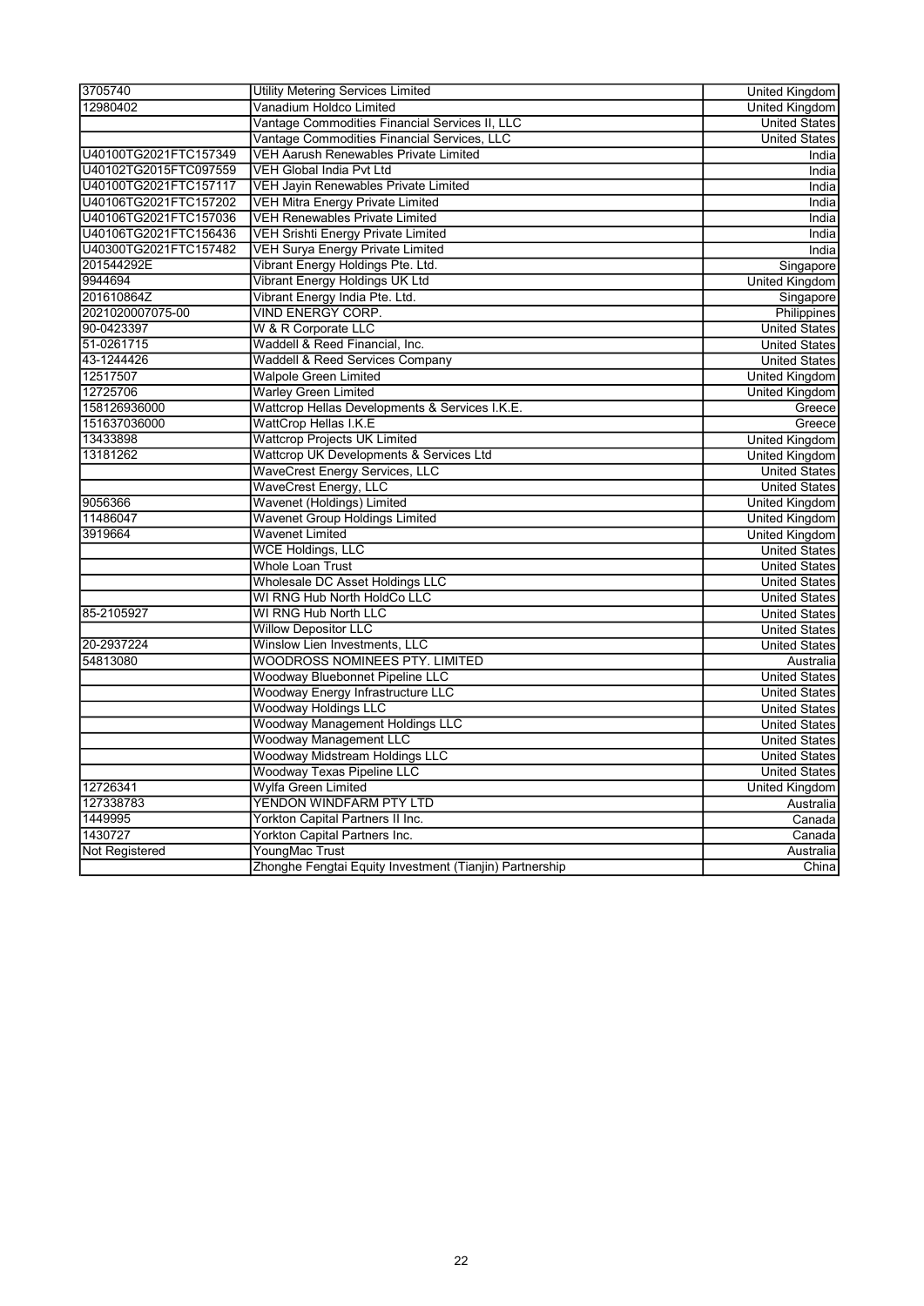| 3705740               | <b>Utility Metering Services Limited</b>                | <b>United Kingdom</b> |
|-----------------------|---------------------------------------------------------|-----------------------|
| 12980402              | Vanadium Holdco Limited                                 | <b>United Kingdom</b> |
|                       | Vantage Commodities Financial Services II, LLC          | <b>United States</b>  |
|                       | Vantage Commodities Financial Services, LLC             | <b>United States</b>  |
| U40100TG2021FTC157349 | VEH Aarush Renewables Private Limited                   | India                 |
| U40102TG2015FTC097559 | <b>VEH Global India Pvt Ltd</b>                         | India                 |
| U40100TG2021FTC157117 | VEH Jayin Renewables Private Limited                    | India                 |
| U40106TG2021FTC157202 | <b>VEH Mitra Energy Private Limited</b>                 | India                 |
| U40106TG2021FTC157036 | <b>VEH Renewables Private Limited</b>                   | India                 |
| U40106TG2021FTC156436 | <b>VEH Srishti Energy Private Limited</b>               | India                 |
| U40300TG2021FTC157482 | <b>VEH Surya Energy Private Limited</b>                 | India                 |
| 201544292E            | Vibrant Energy Holdings Pte. Ltd.                       | Singapore             |
| 9944694               | Vibrant Energy Holdings UK Ltd                          | <b>United Kingdom</b> |
| 201610864Z            | Vibrant Energy India Pte. Ltd.                          | Singapore             |
| 2021020007075-00      | VIND ENERGY CORP.                                       | Philippines           |
| 90-0423397            | W & R Corporate LLC                                     | <b>United States</b>  |
| 51-0261715            | Waddell & Reed Financial, Inc.                          | <b>United States</b>  |
| 43-1244426            | <b>Waddell &amp; Reed Services Company</b>              | <b>United States</b>  |
| 12517507              | <b>Walpole Green Limited</b>                            | <b>United Kingdom</b> |
| 12725706              | <b>Warley Green Limited</b>                             | <b>United Kingdom</b> |
| 158126936000          | Wattcrop Hellas Developments & Services I.K.E.          | Greece                |
| 151637036000          | <b>WattCrop Hellas I.K.E</b>                            | Greece                |
| 13433898              | <b>Wattcrop Projects UK Limited</b>                     | United Kingdom        |
| 13181262              | Wattcrop UK Developments & Services Ltd                 | United Kingdom        |
|                       | <b>WaveCrest Energy Services, LLC</b>                   | <b>United States</b>  |
|                       | <b>WaveCrest Energy, LLC</b>                            | <b>United States</b>  |
| 9056366               | Wavenet (Holdings) Limited                              | <b>United Kingdom</b> |
| 11486047              | <b>Wavenet Group Holdings Limited</b>                   | <b>United Kingdom</b> |
| 3919664               | Wavenet Limited                                         | <b>United Kingdom</b> |
|                       | <b>WCE Holdings, LLC</b>                                | <b>United States</b>  |
|                       | <b>Whole Loan Trust</b>                                 | <b>United States</b>  |
|                       | Wholesale DC Asset Holdings LLC                         | <b>United States</b>  |
|                       | WI RNG Hub North HoldCo LLC                             | <b>United States</b>  |
| 85-2105927            | WI RNG Hub North LLC                                    | <b>United States</b>  |
|                       | <b>Willow Depositor LLC</b>                             | <b>United States</b>  |
| 20-2937224            | Winslow Lien Investments, LLC                           | <b>United States</b>  |
| 54813080              | <b>WOODROSS NOMINEES PTY. LIMITED</b>                   | Australia             |
|                       | Woodway Bluebonnet Pipeline LLC                         | <b>United States</b>  |
|                       | Woodway Energy Infrastructure LLC                       | <b>United States</b>  |
|                       | <b>Woodway Holdings LLC</b>                             | <b>United States</b>  |
|                       | Woodway Management Holdings LLC                         | <b>United States</b>  |
|                       | <b>Woodway Management LLC</b>                           | <b>United States</b>  |
|                       | <b>Woodway Midstream Holdings LLC</b>                   | <b>United States</b>  |
|                       | <b>Woodway Texas Pipeline LLC</b>                       | <b>United States</b>  |
| 12726341              | Wylfa Green Limited                                     | United Kingdom        |
| 127338783             | YENDON WINDFARM PTY LTD                                 | Australia             |
| 1449995               | Yorkton Capital Partners II Inc.                        | Canada                |
| 1430727               | Yorkton Capital Partners Inc.                           | Canada                |
| Not Registered        | YoungMac Trust                                          | Australia             |
|                       | Zhonghe Fengtai Equity Investment (Tianjin) Partnership | China                 |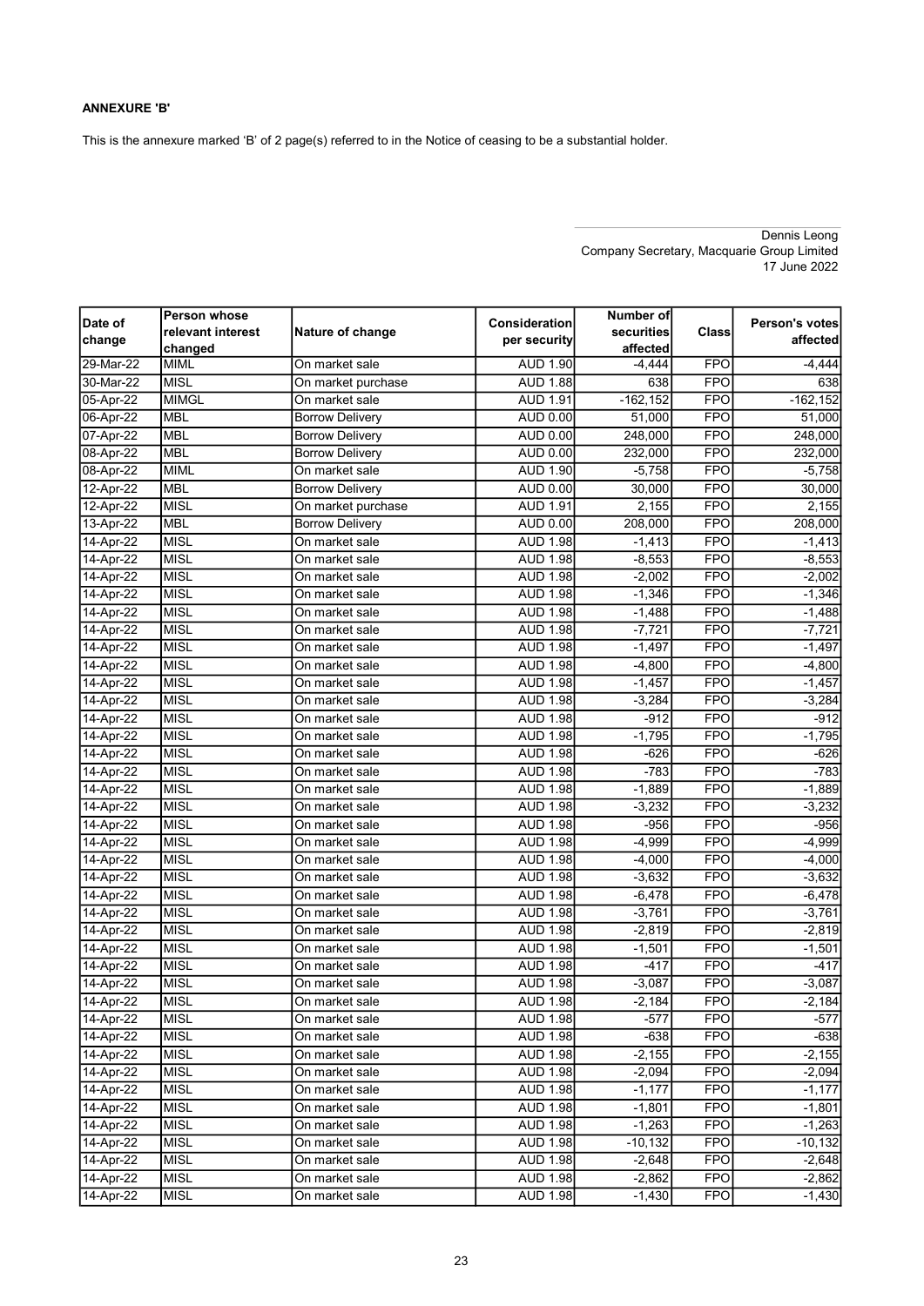### ANNEXURE 'B'

This is the annexure marked 'B' of 2 page(s) referred to in the Notice of ceasing to be a substantial holder.

|           | Person whose      |                        |                 | Number of   |            |                |
|-----------|-------------------|------------------------|-----------------|-------------|------------|----------------|
| Date of   | relevant interest | Nature of change       | Consideration   | securities  | Class      | Person's votes |
| change    | changed           |                        | per security    | affected    |            | affected       |
| 29-Mar-22 | <b>MIML</b>       | On market sale         | <b>AUD 1.90</b> | $-4,444$    | <b>FPO</b> | $-4,444$       |
| 30-Mar-22 | <b>MISL</b>       | On market purchase     | <b>AUD 1.88</b> | 638         | <b>FPO</b> | 638            |
| 05-Apr-22 | <b>MIMGL</b>      | On market sale         | <b>AUD 1.91</b> | $-162, 152$ | <b>FPO</b> | $-162, 152$    |
| 06-Apr-22 | <b>MBL</b>        | <b>Borrow Delivery</b> | AUD 0.00        | 51,000      | <b>FPO</b> | 51,000         |
| 07-Apr-22 | <b>MBL</b>        | <b>Borrow Delivery</b> | AUD 0.00        | 248,000     | <b>FPO</b> | 248,000        |
| 08-Apr-22 | <b>MBL</b>        | <b>Borrow Deliverv</b> | AUD 0.00        | 232,000     | <b>FPO</b> | 232,000        |
| 08-Apr-22 | <b>MIML</b>       | On market sale         | <b>AUD 1.90</b> | $-5,758$    | <b>FPO</b> | $-5,758$       |
| 12-Apr-22 | <b>MBL</b>        | Borrow Delivery        | AUD 0.00        | 30,000      | <b>FPO</b> | 30,000         |
| 12-Apr-22 | <b>MISL</b>       | On market purchase     | <b>AUD 1.91</b> | 2,155       | <b>FPO</b> | 2,155          |
| 13-Apr-22 | <b>MBL</b>        | <b>Borrow Delivery</b> | AUD 0.00        | 208,000     | <b>FPO</b> | 208,000        |
| 14-Apr-22 | <b>MISL</b>       | On market sale         | <b>AUD 1.98</b> | $-1,413$    | <b>FPO</b> | $-1,413$       |
| 14-Apr-22 | <b>MISL</b>       | On market sale         | <b>AUD 1.98</b> | $-8,553$    | <b>FPO</b> | $-8,553$       |
| 14-Apr-22 | <b>MISL</b>       | On market sale         | <b>AUD 1.98</b> | $-2,002$    | <b>FPO</b> | $-2,002$       |
| 14-Apr-22 | <b>MISL</b>       | On market sale         | <b>AUD 1.98</b> | $-1,346$    | <b>FPO</b> | $-1,346$       |
| 14-Apr-22 | <b>MISL</b>       | On market sale         | <b>AUD 1.98</b> | $-1,488$    | <b>FPO</b> | $-1,488$       |
| 14-Apr-22 | <b>MISL</b>       | On market sale         | <b>AUD 1.98</b> | $-7,721$    | <b>FPO</b> | $-7,721$       |
| 14-Apr-22 | <b>MISL</b>       | On market sale         | <b>AUD 1.98</b> | $-1,497$    | <b>FPO</b> | $-1,497$       |
| 14-Apr-22 | MISL              | On market sale         | <b>AUD 1.98</b> | $-4,800$    | <b>FPO</b> | $-4,800$       |
| 14-Apr-22 | <b>MISL</b>       | On market sale         | <b>AUD 1.98</b> | $-1,457$    | <b>FPO</b> | $-1,457$       |
| 14-Apr-22 | <b>MISL</b>       | On market sale         | <b>AUD 1.98</b> | $-3,284$    | <b>FPO</b> | $-3,284$       |
| 14-Apr-22 | <b>MISL</b>       | On market sale         | <b>AUD 1.98</b> | $-912$      | <b>FPO</b> | $-912$         |
| 14-Apr-22 | <b>MISL</b>       | On market sale         | <b>AUD 1.98</b> | $-1,795$    | <b>FPO</b> | $-1,795$       |
| 14-Apr-22 | <b>MISL</b>       | On market sale         | <b>AUD 1.98</b> | $-626$      | <b>FPO</b> | $-626$         |
| 14-Apr-22 | <b>MISL</b>       | On market sale         | <b>AUD 1.98</b> | $-783$      | <b>FPO</b> | $-783$         |
| 14-Apr-22 | <b>MISL</b>       | On market sale         | <b>AUD 1.98</b> | $-1,889$    | <b>FPO</b> | $-1,889$       |
| 14-Apr-22 | <b>MISL</b>       | On market sale         | <b>AUD 1.98</b> | $-3,232$    | <b>FPO</b> | $-3,232$       |
| 14-Apr-22 | <b>MISL</b>       | On market sale         | <b>AUD 1.98</b> | $-956$      | <b>FPO</b> | $-956$         |
| 14-Apr-22 | <b>MISL</b>       | On market sale         | <b>AUD 1.98</b> | $-4,999$    | <b>FPO</b> | $-4,999$       |
| 14-Apr-22 | <b>MISL</b>       | On market sale         | <b>AUD 1.98</b> | $-4,000$    | <b>FPO</b> | $-4,000$       |
| 14-Apr-22 | <b>MISL</b>       | On market sale         | <b>AUD 1.98</b> | $-3,632$    | <b>FPO</b> | $-3,632$       |
| 14-Apr-22 | <b>MISL</b>       | On market sale         | <b>AUD 1.98</b> | $-6,478$    | <b>FPO</b> | $-6,478$       |
| 14-Apr-22 | <b>MISL</b>       | On market sale         | <b>AUD 1.98</b> | -3,761      | <b>FPO</b> | $-3,761$       |
| 14-Apr-22 | <b>MISL</b>       | On market sale         | <b>AUD 1.98</b> | $-2,819$    | <b>FPO</b> | $-2,819$       |
| 14-Apr-22 | <b>MISL</b>       | On market sale         | <b>AUD 1.98</b> | $-1,501$    | <b>FPO</b> | $-1,501$       |
| 14-Apr-22 | <b>MISL</b>       | On market sale         | <b>AUD 1.98</b> | $-417$      | <b>FPO</b> | $-417$         |
| 14-Apr-22 | <b>MISL</b>       | On market sale         | <b>AUD 1.98</b> | $-3,087$    | <b>FPO</b> | $-3,087$       |
| 14-Apr-22 | MISL              | On market sale         | <b>AUD 1.98</b> | $-2,184$    | <b>FPO</b> | $-2,184$       |
| 14-Apr-22 | <b>MISL</b>       | On market sale         | <b>AUD 1.98</b> | $-577$      | <b>FPO</b> | $-577$         |
| 14-Apr-22 | <b>MISL</b>       | On market sale         | <b>AUD 1.98</b> | $-638$      | <b>FPO</b> | $-638$         |
| 14-Apr-22 | <b>MISL</b>       | On market sale         | <b>AUD 1.98</b> | $-2,155$    | <b>FPO</b> | $-2,155$       |
| 14-Apr-22 | <b>MISL</b>       | On market sale         | <b>AUD 1.98</b> | $-2,094$    | <b>FPO</b> | $-2,094$       |
| 14-Apr-22 | <b>MISL</b>       | On market sale         | <b>AUD 1.98</b> | $-1,177$    | <b>FPO</b> | $-1,177$       |
| 14-Apr-22 | <b>MISL</b>       | On market sale         | <b>AUD 1.98</b> | $-1,801$    | <b>FPO</b> | $-1,801$       |
| 14-Apr-22 | <b>MISL</b>       | On market sale         | <b>AUD 1.98</b> | $-1,263$    | <b>FPO</b> | $-1,263$       |
| 14-Apr-22 | <b>MISL</b>       | On market sale         | <b>AUD 1.98</b> | $-10,132$   | <b>FPO</b> | $-10,132$      |
| 14-Apr-22 | <b>MISL</b>       | On market sale         | <b>AUD 1.98</b> | $-2,648$    | <b>FPO</b> | $-2,648$       |
| 14-Apr-22 | <b>MISL</b>       | On market sale         | <b>AUD 1.98</b> | $-2,862$    | <b>FPO</b> | $-2,862$       |
| 14-Apr-22 | <b>MISL</b>       | On market sale         | <b>AUD 1.98</b> | $-1,430$    | <b>FPO</b> | $-1,430$       |

Dennis Leong Company Secretary, Macquarie Group Limited 17 June 2022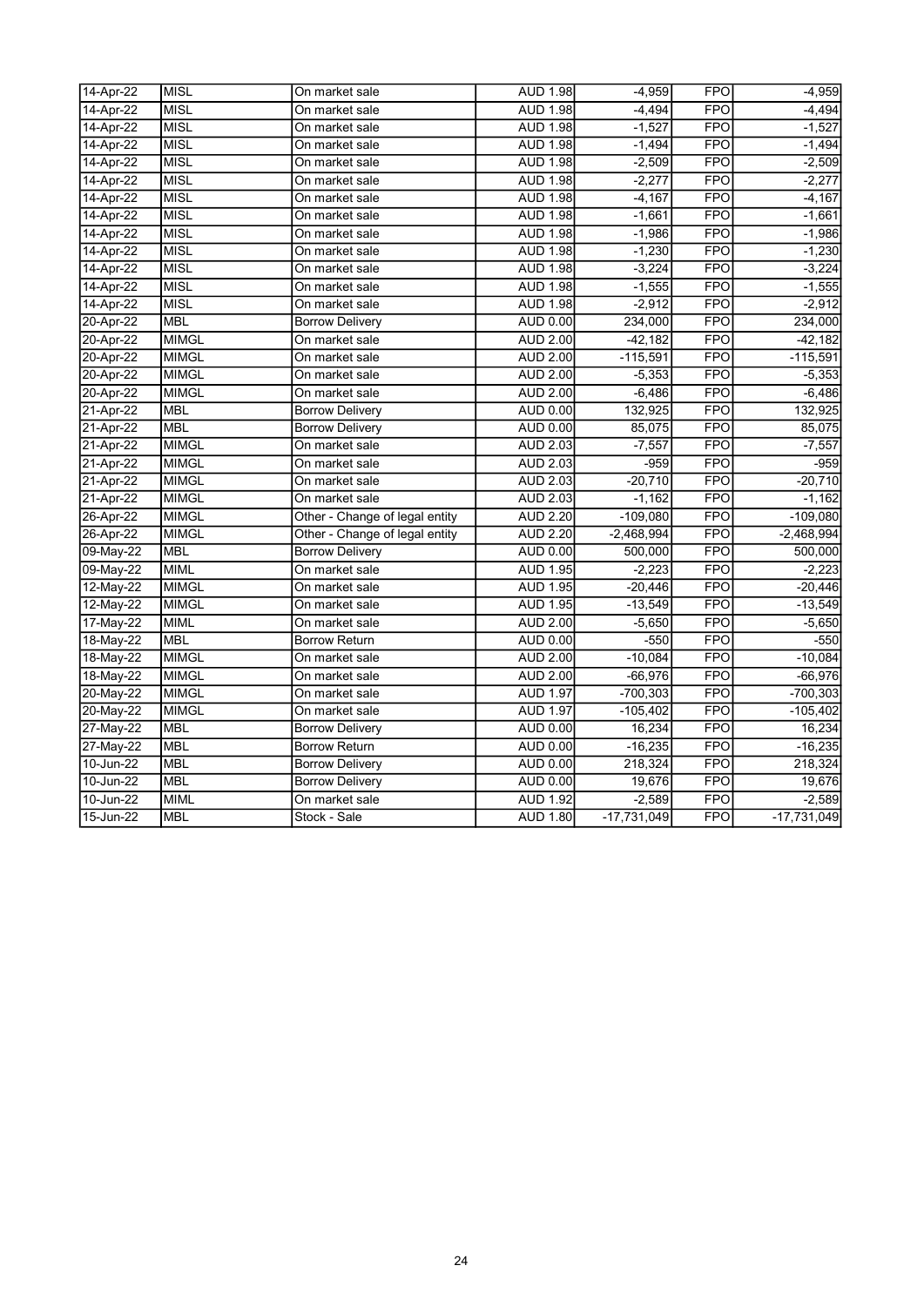| 14-Apr-22     | <b>MISL</b>  | On market sale                 | <b>AUD 1.98</b> | $-4,959$      | <b>FPO</b> | $-4,959$      |
|---------------|--------------|--------------------------------|-----------------|---------------|------------|---------------|
| 14-Apr-22     | <b>MISL</b>  | On market sale                 | <b>AUD 1.98</b> | $-4,494$      | <b>FPO</b> | $-4,494$      |
| 14-Apr-22     | <b>MISL</b>  | On market sale                 | <b>AUD 1.98</b> | $-1,527$      | <b>FPO</b> | $-1,527$      |
| 14-Apr-22     | <b>MISL</b>  | On market sale                 | <b>AUD 1.98</b> | $-1,494$      | <b>FPO</b> | $-1,494$      |
| 14-Apr-22     | <b>MISL</b>  | On market sale                 | <b>AUD 1.98</b> | $-2,509$      | <b>FPO</b> | $-2,509$      |
| 14-Apr-22     | <b>MISL</b>  | On market sale                 | <b>AUD 1.98</b> | $-2,277$      | <b>FPO</b> | $-2,277$      |
| 14-Apr-22     | <b>MISL</b>  | On market sale                 | <b>AUD 1.98</b> | $-4,167$      | <b>FPO</b> | $-4,167$      |
| 14-Apr-22     | <b>MISL</b>  | On market sale                 | <b>AUD 1.98</b> | $-1,661$      | <b>FPO</b> | $-1,661$      |
| 14-Apr-22     | <b>MISL</b>  | On market sale                 | <b>AUD 1.98</b> | $-1,986$      | <b>FPO</b> | $-1,986$      |
| 14-Apr-22     | <b>MISL</b>  | On market sale                 | <b>AUD 1.98</b> | $-1,230$      | <b>FPO</b> | $-1,230$      |
| 14-Apr-22     | <b>MISL</b>  | On market sale                 | <b>AUD 1.98</b> | $-3,224$      | <b>FPO</b> | $-3,224$      |
| 14-Apr-22     | <b>MISL</b>  | On market sale                 | <b>AUD 1.98</b> | $-1,555$      | <b>FPO</b> | $-1,555$      |
| 14-Apr-22     | <b>MISL</b>  | On market sale                 | <b>AUD 1.98</b> | $-2,912$      | <b>FPO</b> | $-2,912$      |
| 20-Apr-22     | <b>MBL</b>   | <b>Borrow Delivery</b>         | <b>AUD 0.00</b> | 234,000       | <b>FPO</b> | 234,000       |
| 20-Apr-22     | <b>MIMGL</b> | On market sale                 | <b>AUD 2.00</b> | $-42,182$     | <b>FPO</b> | $-42,182$     |
| 20-Apr-22     | <b>MIMGL</b> | On market sale                 | <b>AUD 2.00</b> | $-115,591$    | <b>FPO</b> | $-115,591$    |
| 20-Apr-22     | <b>MIMGL</b> | On market sale                 | <b>AUD 2.00</b> | $-5,353$      | <b>FPO</b> | $-5,353$      |
| 20-Apr-22     | <b>MIMGL</b> | On market sale                 | <b>AUD 2.00</b> | $-6,486$      | <b>FPO</b> | $-6,486$      |
| 21-Apr-22     | <b>MBL</b>   | <b>Borrow Delivery</b>         | <b>AUD 0.00</b> | 132,925       | <b>FPO</b> | 132,925       |
| 21-Apr-22     | <b>MBL</b>   | <b>Borrow Delivery</b>         | <b>AUD 0.00</b> | 85,075        | <b>FPO</b> | 85,075        |
| 21-Apr-22     | <b>MIMGL</b> | On market sale                 | <b>AUD 2.03</b> | $-7,557$      | <b>FPO</b> | $-7,557$      |
| 21-Apr-22     | <b>MIMGL</b> | On market sale                 | <b>AUD 2.03</b> | $-959$        | <b>FPO</b> | $-959$        |
| 21-Apr-22     | <b>MIMGL</b> | On market sale                 | <b>AUD 2.03</b> | $-20,710$     | <b>FPO</b> | $-20,710$     |
| 21-Apr-22     | <b>MIMGL</b> | On market sale                 | <b>AUD 2.03</b> | $-1,162$      | <b>FPO</b> | $-1,162$      |
| 26-Apr-22     | <b>MIMGL</b> | Other - Change of legal entity | <b>AUD 2.20</b> | $-109,080$    | <b>FPO</b> | $-109,080$    |
| 26-Apr-22     | <b>MIMGL</b> | Other - Change of legal entity | <b>AUD 2.20</b> | $-2,468,994$  | <b>FPO</b> | $-2,468,994$  |
| 09-May-22     | <b>MBL</b>   | <b>Borrow Delivery</b>         | <b>AUD 0.00</b> | 500,000       | <b>FPO</b> | 500,000       |
| 09-May-22     | <b>MIML</b>  | On market sale                 | <b>AUD 1.95</b> | $-2,223$      | <b>FPO</b> | $-2,223$      |
| 12-May-22     | <b>MIMGL</b> | On market sale                 | <b>AUD 1.95</b> | $-20,446$     | <b>FPO</b> | $-20,446$     |
| 12-May-22     | <b>MIMGL</b> | On market sale                 | <b>AUD 1.95</b> | $-13,549$     | <b>FPO</b> | $-13,549$     |
| 17-May-22     | <b>MIML</b>  | On market sale                 | <b>AUD 2.00</b> | $-5,650$      | <b>FPO</b> | $-5,650$      |
| 18-May-22     | <b>MBL</b>   | <b>Borrow Return</b>           | AUD 0.00        | $-550$        | <b>FPO</b> | $-550$        |
| 18-May-22     | <b>MIMGL</b> | On market sale                 | <b>AUD 2.00</b> | $-10,084$     | <b>FPO</b> | $-10,084$     |
| 18-May-22     | <b>MIMGL</b> | On market sale                 | <b>AUD 2.00</b> | $-66,976$     | <b>FPO</b> | $-66,976$     |
| 20-May-22     | <b>MIMGL</b> | On market sale                 | <b>AUD 1.97</b> | $-700,303$    | <b>FPO</b> | $-700,303$    |
| 20-May-22     | <b>MIMGL</b> | On market sale                 | <b>AUD 1.97</b> | $-105,402$    | <b>FPO</b> | $-105,402$    |
| 27-May-22     | <b>MBL</b>   | <b>Borrow Delivery</b>         | AUD 0.00        | 16,234        | <b>FPO</b> | 16,234        |
| 27-May-22     | <b>MBL</b>   | <b>Borrow Return</b>           | <b>AUD 0.00</b> | $-16,235$     | <b>FPO</b> | $-16,235$     |
| 10-Jun-22     | <b>MBL</b>   | <b>Borrow Delivery</b>         | <b>AUD 0.00</b> | 218,324       | <b>FPO</b> | 218,324       |
| $10 - Jun-22$ | <b>MBL</b>   | <b>Borrow Delivery</b>         | AUD 0.00        | 19,676        | <b>FPO</b> | 19,676        |
| 10-Jun-22     | <b>MIML</b>  | On market sale                 | <b>AUD 1.92</b> | $-2,589$      | <b>FPO</b> | $-2,589$      |
| 15-Jun-22     | <b>MBL</b>   | Stock - Sale                   | <b>AUD 1.80</b> | $-17,731,049$ | <b>FPO</b> | $-17,731,049$ |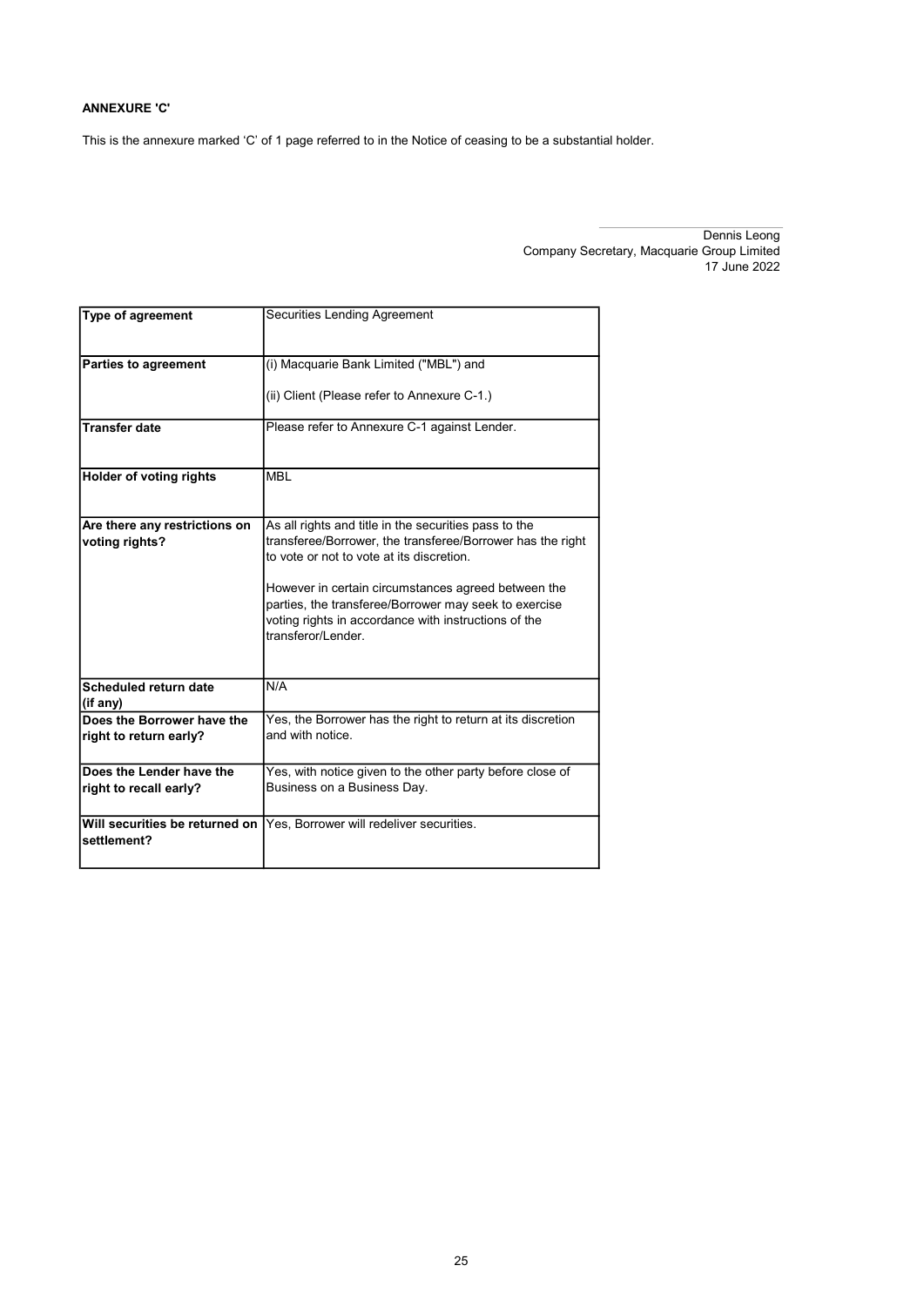### ANNEXURE 'C'

This is the annexure marked 'C' of 1 page referred to in the Notice of ceasing to be a substantial holder.

| <b>Type of agreement</b>       | Securities Lending Agreement                                               |
|--------------------------------|----------------------------------------------------------------------------|
|                                |                                                                            |
| <b>Parties to agreement</b>    | (i) Macquarie Bank Limited ("MBL") and                                     |
|                                | (ii) Client (Please refer to Annexure C-1.)                                |
|                                |                                                                            |
| <b>Transfer date</b>           | Please refer to Annexure C-1 against Lender.                               |
|                                |                                                                            |
| <b>Holder of voting rights</b> | <b>MBI</b>                                                                 |
|                                |                                                                            |
| Are there any restrictions on  | As all rights and title in the securities pass to the                      |
| voting rights?                 | transferee/Borrower, the transferee/Borrower has the right                 |
|                                | to vote or not to vote at its discretion.                                  |
|                                | However in certain circumstances agreed between the                        |
|                                | parties, the transferee/Borrower may seek to exercise                      |
|                                | voting rights in accordance with instructions of the<br>transferor/Lender. |
|                                |                                                                            |
| Scheduled return date          | N/A                                                                        |
| (if any)                       |                                                                            |
| Does the Borrower have the     | Yes, the Borrower has the right to return at its discretion                |
| right to return early?         | and with notice.                                                           |
| Does the Lender have the       | Yes, with notice given to the other party before close of                  |
| right to recall early?         | Business on a Business Day.                                                |
| Will securities be returned on |                                                                            |
| settlement?                    | Yes, Borrower will redeliver securities.                                   |
|                                |                                                                            |

Dennis Leong Company Secretary, Macquarie Group Limited 17 June 2022